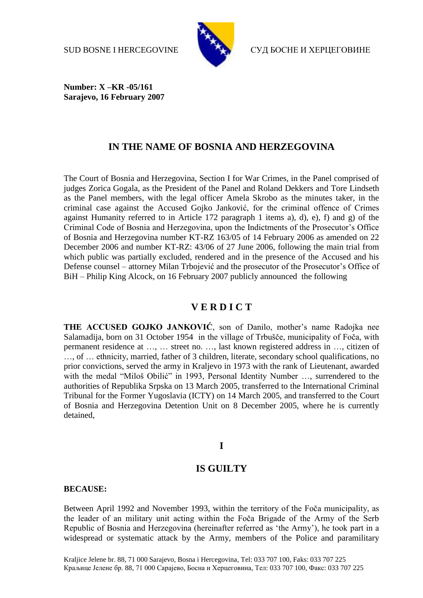

SUD BOSNE I HERCEGOVINE СУД БОСНЕ И ХЕРЦЕГОВИНЕ

**Number: X –KR -05/161 Sarajevo, 16 February 2007**

# **IN THE NAME OF BOSNIA AND HERZEGOVINA**

The Court of Bosnia and Herzegovina, Section I for War Crimes, in the Panel comprised of judges Zorica Gogala, as the President of the Panel and Roland Dekkers and Tore Lindseth as the Panel members, with the legal officer Amela Skrobo as the minutes taker, in the criminal case against the Accused Gojko Janković, for the criminal offence of Crimes against Humanity referred to in Article 172 paragraph 1 items a), d), e), f) and g) of the Criminal Code of Bosnia and Herzegovina, upon the Indictments of the Prosecutor's Office of Bosnia and Herzegovina number KT-RZ 163/05 of 14 February 2006 as amended on 22 December 2006 and number KT-RZ: 43/06 of 27 June 2006, following the main trial from which public was partially excluded, rendered and in the presence of the Accused and his Defense counsel – attorney Milan Trbojević and the prosecutor of the Prosecutor's Office of BiH – Philip King Alcock, on 16 February 2007 publicly announced the following

# **V E R D I C T**

**THE ACCUSED GOJKO JANKOVIĆ**, son of Danilo, mother's name Radojka nee Salamadija, born on 31 October 1954 in the village of Trbušče, municipality of Foča, with permanent residence at …, … street no. …, last known registered address in …, citizen of …, of … ethnicity, married, father of 3 children, literate, secondary school qualifications, no prior convictions, served the army in Kraljevo in 1973 with the rank of Lieutenant, awarded with the medal "Miloš Obilić" in 1993, Personal Identity Number …, surrendered to the authorities of Republika Srpska on 13 March 2005, transferred to the International Criminal Tribunal for the Former Yugoslavia (ICTY) on 14 March 2005, and transferred to the Court of Bosnia and Herzegovina Detention Unit on 8 December 2005, where he is currently detained,

# **I**

# **IS GUILTY**

#### **BECAUSE:**

Between April 1992 and November 1993, within the territory of the Foča municipality, as the leader of an military unit acting within the Foča Brigade of the Army of the Serb Republic of Bosnia and Herzegovina (hereinafter referred as 'the Army'), he took part in a widespread or systematic attack by the Army, members of the Police and paramilitary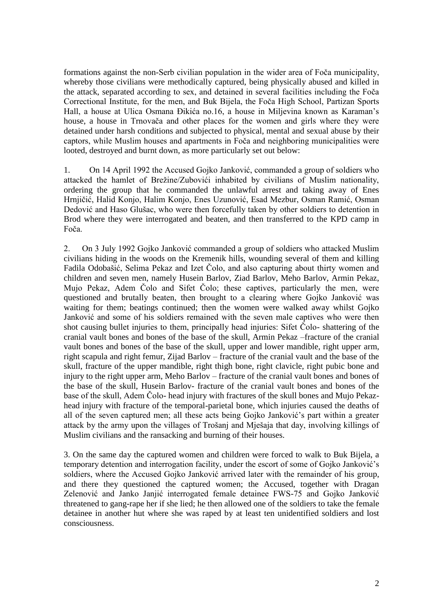formations against the non-Serb civilian population in the wider area of Foča municipality, whereby those civilians were methodically captured, being physically abused and killed in the attack, separated according to sex, and detained in several facilities including the Foča Correctional Institute, for the men, and Buk Bijela, the Foča High School, Partizan Sports Hall, a house at Ulica Osmana Đikića no.16, a house in Miljevina known as Karaman's house, a house in Trnovača and other places for the women and girls where they were detained under harsh conditions and subjected to physical, mental and sexual abuse by their captors, while Muslim houses and apartments in Foča and neighboring municipalities were looted, destroyed and burnt down, as more particularly set out below:

1. On 14 April 1992 the Accused Gojko Janković, commanded a group of soldiers who attacked the hamlet of Brežine/Zubovići inhabited by civilians of Muslim nationality, ordering the group that he commanded the unlawful arrest and taking away of Enes Hrnjičić, Halid Konjo, Halim Konjo, Enes Uzunović, Esad Mezbur, Osman Ramić, Osman Dedović and Haso Glušac, who were then forcefully taken by other soldiers to detention in Brod where they were interrogated and beaten, and then transferred to the KPD camp in Foča.

2. On 3 July 1992 Gojko Janković commanded a group of soldiers who attacked Muslim civilians hiding in the woods on the Kremenik hills, wounding several of them and killing Fadila Odobašić, Selima Pekaz and Izet Čolo, and also capturing about thirty women and children and seven men, namely Husein Barlov, Ziad Barlov, Meho Barlov, Armin Pekaz, Mujo Pekaz, Adem Čolo and Sifet Čolo; these captives, particularly the men, were questioned and brutally beaten, then brought to a clearing where Gojko Janković was waiting for them; beatings continued; then the women were walked away whilst Gojko Janković and some of his soldiers remained with the seven male captives who were then shot causing bullet injuries to them, principally head injuries: Sifet Čolo- shattering of the cranial vault bones and bones of the base of the skull, Armin Pekaz –fracture of the cranial vault bones and bones of the base of the skull, upper and lower mandible, right upper arm, right scapula and right femur, Zijad Barlov – fracture of the cranial vault and the base of the skull, fracture of the upper mandible, right thigh bone, right clavicle, right pubic bone and injury to the right upper arm, Meho Barlov – fracture of the cranial vault bones and bones of the base of the skull, Husein Barlov- fracture of the cranial vault bones and bones of the base of the skull, Adem Čolo- head injury with fractures of the skull bones and Mujo Pekazhead injury with fracture of the temporal-parietal bone, which injuries caused the deaths of all of the seven captured men; all these acts being Gojko Janković's part within a greater attack by the army upon the villages of Trošanj and Mješaja that day, involving killings of Muslim civilians and the ransacking and burning of their houses.

3. On the same day the captured women and children were forced to walk to Buk Bijela, a temporary detention and interrogation facility, under the escort of some of Gojko Janković's soldiers, where the Accused Gojko Janković arrived later with the remainder of his group, and there they questioned the captured women; the Accused, together with Dragan Zelenović and Janko Janjić interrogated female detainee FWS-75 and Gojko Janković threatened to gang-rape her if she lied; he then allowed one of the soldiers to take the female detainee in another hut where she was raped by at least ten unidentified soldiers and lost consciousness.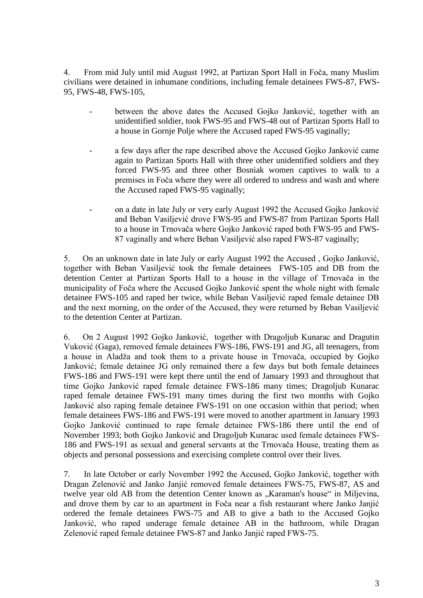4. From mid July until mid August 1992, at Partizan Sport Hall in Foča, many Muslim civilians were detained in inhumane conditions, including female detainees FWS-87, FWS-95, FWS-48, FWS-105,

- between the above dates the Accused Gojko Janković, together with an unidentified soldier, took FWS-95 and FWS-48 out of Partizan Sports Hall to a house in Gornje Polje where the Accused raped FWS-95 vaginally;
- a few days after the rape described above the Accused Gojko Janković came again to Partizan Sports Hall with three other unidentified soldiers and they forced FWS-95 and three other Bosniak women captives to walk to a premises in Foča where they were all ordered to undress and wash and where the Accused raped FWS-95 vaginally;
- on a date in late July or very early August 1992 the Accused Gojko Janković and Beban Vasiljević drove FWS-95 and FWS-87 from Partizan Sports Hall to a house in Trnovača where Gojko Janković raped both FWS-95 and FWS-87 vaginally and where Beban Vasiljević also raped FWS-87 vaginally;

5. On an unknown date in late July or early August 1992 the Accused , Gojko Janković, together with Beban Vasiljević took the female detainees FWS-105 and DB from the detention Center at Partizan Sports Hall to a house in the village of Trnovača in the municipality of Foča where the Accused Gojko Janković spent the whole night with female detainee FWS-105 and raped her twice, while Beban Vasiljević raped female detainee DB and the next morning, on the order of the Accused, they were returned by Beban Vasiljević to the detention Center at Partizan.

6. On 2 August 1992 Gojko Janković, together with Dragoljub Kunarac and Dragutin Vuković (Gaga), removed female detainees FWS-186, FWS-191 and JG, all teenagers, from a house in Aladža and took them to a private house in Trnovača, occupied by Gojko Janković; female detainee JG only remained there a few days but both female detainees FWS-186 and FWS-191 were kept there until the end of January 1993 and throughout that time Gojko Janković raped female detainee FWS-186 many times; Dragoljub Kunarac raped female detainee FWS-191 many times during the first two months with Gojko Janković also raping female detainee FWS-191 on one occasion within that period; when female detainees FWS-186 and FWS-191 were moved to another apartment in January 1993 Gojko Janković continued to rape female detainee FWS-186 there until the end of November 1993; both Gojko Janković and Dragoljub Kunarac used female detainees FWS-186 and FWS-191 as sexual and general servants at the Trnovača House, treating them as objects and personal possessions and exercising complete control over their lives.

7. In late October or early November 1992 the Accused, Gojko Janković, together with Dragan Zelenović and Janko Janjić removed female detainees FWS-75, FWS-87, AS and twelve year old AB from the detention Center known as "Karaman's house" in Miljevina, and drove them by car to an apartment in Foča near a fish restaurant where Janko Janjić ordered the female detainees FWS-75 and AB to give a bath to the Accused Gojko Janković, who raped underage female detainee AB in the bathroom, while Dragan Zelenović raped female detainee FWS-87 and Janko Janjić raped FWS-75.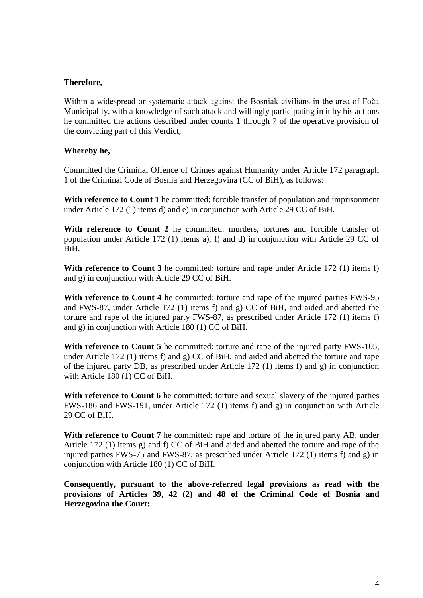## **Therefore,**

Within a widespread or systematic attack against the Bosniak civilians in the area of Foča Municipality, with a knowledge of such attack and willingly participating in it by his actions he committed the actions described under counts 1 through 7 of the operative provision of the convicting part of this Verdict,

## **Whereby he,**

Committed the Criminal Offence of Crimes against Humanity under Article 172 paragraph 1 of the Criminal Code of Bosnia and Herzegovina (CC of BiH), as follows:

With reference to Count 1 he committed: forcible transfer of population and imprisonment under Article 172 (1) items d) and e) in conjunction with Article 29 CC of BiH.

With reference to Count 2 he committed: murders, tortures and forcible transfer of population under Article 172 (1) items a), f) and d) in conjunction with Article 29 CC of BiH.

**With reference to Count 3** he committed: torture and rape under Article 172 (1) items f) and g) in conjunction with Article 29 CC of BiH.

With reference to Count 4 he committed: torture and rape of the injured parties FWS-95 and FWS-87, under Article 172 (1) items f) and g) CC of BiH, and aided and abetted the torture and rape of the injured party FWS-87, as prescribed under Article 172 (1) items f) and g) in conjunction with Article 180 (1) CC of BiH.

**With reference to Count 5** he committed: torture and rape of the injured party FWS-105, under Article 172 (1) items f) and g) CC of BiH, and aided and abetted the torture and rape of the injured party DB, as prescribed under Article 172 (1) items f) and g) in conjunction with Article 180 (1) CC of BiH.

With reference to Count 6 he committed: torture and sexual slavery of the injured parties FWS-186 and FWS-191, under Article 172 (1) items f) and g) in conjunction with Article 29 CC of BiH.

With reference to Count 7 he committed: rape and torture of the injured party AB, under Article 172 (1) items g) and f) CC of BiH and aided and abetted the torture and rape of the injured parties FWS-75 and FWS-87, as prescribed under Article 172 (1) items f) and g) in conjunction with Article 180 (1) CC of BiH.

**Consequently, pursuant to the above-referred legal provisions as read with the provisions of Articles 39, 42 (2) and 48 of the Criminal Code of Bosnia and Herzegovina the Court:**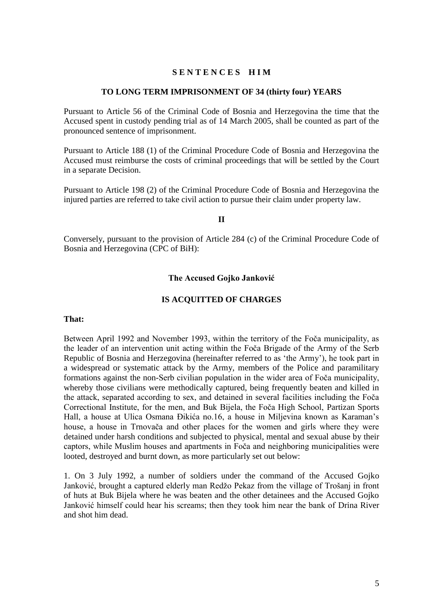#### **S E N T E N C E S H I M**

#### **TO LONG TERM IMPRISONMENT OF 34 (thirty four) YEARS**

Pursuant to Article 56 of the Criminal Code of Bosnia and Herzegovina the time that the Accused spent in custody pending trial as of 14 March 2005, shall be counted as part of the pronounced sentence of imprisonment.

Pursuant to Article 188 (1) of the Criminal Procedure Code of Bosnia and Herzegovina the Accused must reimburse the costs of criminal proceedings that will be settled by the Court in a separate Decision.

Pursuant to Article 198 (2) of the Criminal Procedure Code of Bosnia and Herzegovina the injured parties are referred to take civil action to pursue their claim under property law.

#### **II**

Conversely, pursuant to the provision of Article 284 (c) of the Criminal Procedure Code of Bosnia and Herzegovina (CPC of BiH):

#### **The Accused Gojko Janković**

#### **IS ACQUITTED OF CHARGES**

#### **That:**

Between April 1992 and November 1993, within the territory of the Foča municipality, as the leader of an intervention unit acting within the Foča Brigade of the Army of the Serb Republic of Bosnia and Herzegovina (hereinafter referred to as 'the Army'), he took part in a widespread or systematic attack by the Army, members of the Police and paramilitary formations against the non-Serb civilian population in the wider area of Foča municipality, whereby those civilians were methodically captured, being frequently beaten and killed in the attack, separated according to sex, and detained in several facilities including the Foča Correctional Institute, for the men, and Buk Bijela, the Foča High School, Partizan Sports Hall, a house at Ulica Osmana Đikića no.16, a house in Miljevina known as Karaman's house, a house in Trnovača and other places for the women and girls where they were detained under harsh conditions and subjected to physical, mental and sexual abuse by their captors, while Muslim houses and apartments in Foča and neighboring municipalities were looted, destroyed and burnt down, as more particularly set out below:

1. On 3 July 1992, a number of soldiers under the command of the Accused Gojko Janković, brought a captured elderly man Redžo Pekaz from the village of Trošanj in front of huts at Buk Bijela where he was beaten and the other detainees and the Accused Gojko Janković himself could hear his screams; then they took him near the bank of Drina River and shot him dead.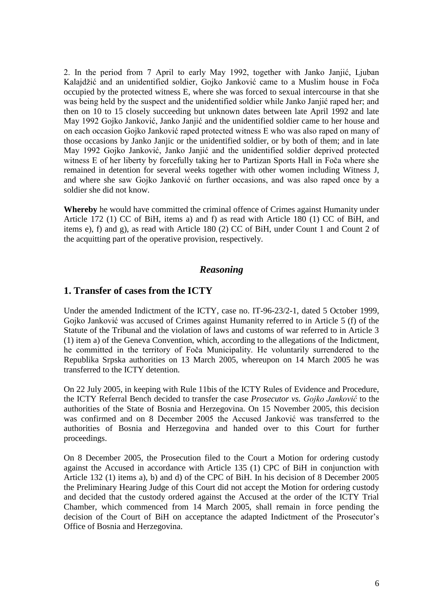2. In the period from 7 April to early May 1992, together with Janko Janjić, Ljuban Kalajdžić and an unidentified soldier, Gojko Janković came to a Muslim house in Foča occupied by the protected witness E, where she was forced to sexual intercourse in that she was being held by the suspect and the unidentified soldier while Janko Janjić raped her; and then on 10 to 15 closely succeeding but unknown dates between late April 1992 and late May 1992 Gojko Janković, Janko Janjić and the unidentified soldier came to her house and on each occasion Gojko Janković raped protected witness E who was also raped on many of those occasions by Janko Janjic or the unidentified soldier, or by both of them; and in late May 1992 Gojko Janković, Janko Janjić and the unidentified soldier deprived protected witness E of her liberty by forcefully taking her to Partizan Sports Hall in Foča where she remained in detention for several weeks together with other women including Witness J, and where she saw Gojko Janković on further occasions, and was also raped once by a soldier she did not know.

**Whereby** he would have committed the criminal offence of Crimes against Humanity under Article 172 (1) CC of BiH, items a) and f) as read with Article 180 (1) CC of BiH, and items e), f) and g), as read with Article 180 (2) CC of BiH, under Count 1 and Count 2 of the acquitting part of the operative provision, respectively.

# *Reasoning*

# **1. Transfer of cases from the ICTY**

Under the amended Indictment of the ICTY, case no. IT-96-23/2-1, dated 5 October 1999, Gojko Janković was accused of Crimes against Humanity referred to in Article 5 (f) of the Statute of the Tribunal and the violation of laws and customs of war referred to in Article 3 (1) item a) of the Geneva Convention, which, according to the allegations of the Indictment, he committed in the territory of Foča Municipality. He voluntarily surrendered to the Republika Srpska authorities on 13 March 2005, whereupon on 14 March 2005 he was transferred to the ICTY detention.

On 22 July 2005, in keeping with Rule 11bis of the ICTY Rules of Evidence and Procedure, the ICTY Referral Bench decided to transfer the case *Prosecutor vs. Gojko Janković* to the authorities of the State of Bosnia and Herzegovina. On 15 November 2005, this decision was confirmed and on 8 December 2005 the Accused Janković was transferred to the authorities of Bosnia and Herzegovina and handed over to this Court for further proceedings.

On 8 December 2005, the Prosecution filed to the Court a Motion for ordering custody against the Accused in accordance with Article 135 (1) CPC of BiH in conjunction with Article 132 (1) items a), b) and d) of the CPC of BiH. In his decision of 8 December 2005 the Preliminary Hearing Judge of this Court did not accept the Motion for ordering custody and decided that the custody ordered against the Accused at the order of the ICTY Trial Chamber, which commenced from 14 March 2005, shall remain in force pending the decision of the Court of BiH on acceptance the adapted Indictment of the Prosecutor's Office of Bosnia and Herzegovina.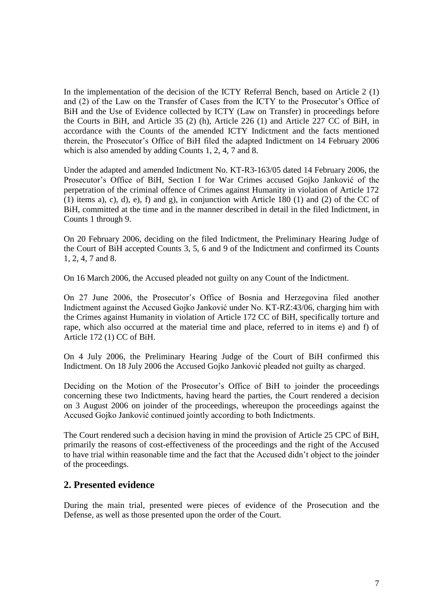In the implementation of the decision of the ICTY Referral Bench, based on Article 2 (1) and (2) of the Law on the Transfer of Cases from the ICTY to the Prosecutor's Office of BiH and the Use of Evidence collected by ICTY (Law on Transfer) in proceedings before the Courts in BiH, and Article 35 (2) (h), Article 226 (1) and Article 227 CC of BiH, in accordance with the Counts of the amended ICTY Indictment and the facts mentioned therein, the Prosecutor's Office of BiH filed the adapted Indictment on 14 February 2006 which is also amended by adding Counts 1, 2, 4, 7 and 8.

Under the adapted and amended Indictment No. KT-R3-163/05 dated 14 February 2006, the Prosecutor's Office of BiH, Section I for War Crimes accused Gojko Janković of the perpetration of the criminal offence of Crimes against Humanity in violation of Article 172 (1) items a), c), d), e), f) and g), in conjunction with Article 180 (1) and (2) of the CC of BiH, committed at the time and in the manner described in detail in the filed Indictment, in Counts 1 through 9.

On 20 February 2006, deciding on the filed Indictment, the Preliminary Hearing Judge of the Court of BiH accepted Counts 3, 5, 6 and 9 of the Indictment and confirmed its Counts 1, 2, 4, 7 and 8.

On 16 March 2006, the Accused pleaded not guilty on any Count of the Indictment.

On 27 June 2006, the Prosecutor's Office of Bosnia and Herzegovina filed another Indictment against the Accused Gojko Janković under No. KT-RZ:43/06, charging him with the Crimes against Humanity in violation of Article 172 CC of BiH, specifically torture and rape, which also occurred at the material time and place, referred to in items e) and f) of Article 172 (1) CC of BiH.

On 4 July 2006, the Preliminary Hearing Judge of the Court of BiH confirmed this Indictment. On 18 July 2006 the Accused Gojko Janković pleaded not guilty as charged.

Deciding on the Motion of the Prosecutor's Office of BiH to joinder the proceedings concerning these two Indictments, having heard the parties, the Court rendered a decision on 3 August 2006 on joinder of the proceedings, whereupon the proceedings against the Accused Gojko Janković continued jointly according to both Indictments.

The Court rendered such a decision having in mind the provision of Article 25 CPC of BiH, primarily the reasons of cost-effectiveness of the proceedings and the right of the Accused to have trial within reasonable time and the fact that the Accused didn't object to the joinder of the proceedings.

# **2. Presented evidence**

During the main trial, presented were pieces of evidence of the Prosecution and the Defense, as well as those presented upon the order of the Court.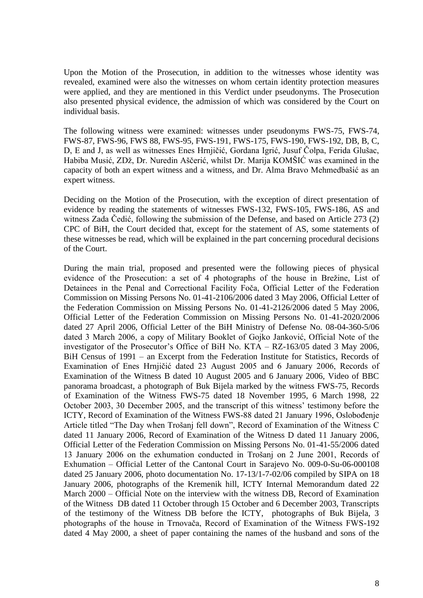Upon the Motion of the Prosecution, in addition to the witnesses whose identity was revealed, examined were also the witnesses on whom certain identity protection measures were applied, and they are mentioned in this Verdict under pseudonyms. The Prosecution also presented physical evidence, the admission of which was considered by the Court on individual basis.

The following witness were examined: witnesses under pseudonyms FWS-75, FWS-74, FWS-87, FWS-96, FWS 88, FWS-95, FWS-191, FWS-175, FWS-190, FWS-192, DB, B, C, D, E and J, as well as witnesses Enes Hrnjičić, Gordana Igrić, Jusuf Čolpa, Ferida Glušac, Habiba Musić, ZDž, Dr. Nuredin Aščerić, whilst Dr. Marija KOMŠIĆ was examined in the capacity of both an expert witness and a witness, and Dr. Alma Bravo Mehmedbašić as an expert witness.

Deciding on the Motion of the Prosecution, with the exception of direct presentation of evidence by reading the statements of witnesses FWS-132, FWS-105, FWS-186, AS and witness Zada Čedić, following the submission of the Defense, and based on Article 273 (2) CPC of BiH, the Court decided that, except for the statement of AS, some statements of these witnesses be read, which will be explained in the part concerning procedural decisions of the Court.

During the main trial, proposed and presented were the following pieces of physical evidence of the Prosecution: a set of 4 photographs of the house in Brežine, List of Detainees in the Penal and Correctional Facility Foča, Official Letter of the Federation Commission on Missing Persons No. 01-41-2106/2006 dated 3 May 2006, Official Letter of the Federation Commission on Missing Persons No. 01-41-2126/2006 dated 5 May 2006, Official Letter of the Federation Commission on Missing Persons No. 01-41-2020/2006 dated 27 April 2006, Official Letter of the BiH Ministry of Defense No. 08-04-360-5/06 dated 3 March 2006, a copy of Military Booklet of Gojko Janković, Official Note of the investigator of the Prosecutor's Office of BiH No. KTA – RZ-163/05 dated 3 May 2006, BiH Census of 1991 – an Excerpt from the Federation Institute for Statistics, Records of Examination of Enes Hrnjičić dated 23 August 2005 and 6 January 2006, Records of Examination of the Witness B dated 10 August 2005 and 6 January 2006, Video of BBC panorama broadcast, a photograph of Buk Bijela marked by the witness FWS-75, Records of Examination of the Witness FWS-75 dated 18 November 1995, 6 March 1998, 22 October 2003, 30 December 2005, and the transcript of this witness' testimony before the ICTY, Record of Examination of the Witness FWS-88 dated 21 January 1996, Oslobođenje Article titled "The Day when Trošanj fell down", Record of Examination of the Witness C dated 11 January 2006, Record of Examination of the Witness D dated 11 January 2006, Official Letter of the Federation Commission on Missing Persons No. 01-41-55/2006 dated 13 January 2006 on the exhumation conducted in Trošanj on 2 June 2001, Records of Exhumation – Official Letter of the Cantonal Court in Sarajevo No. 009-0-Su-06-000108 dated 25 January 2006, photo documentation No. 17-13/1-7-02/06 compiled by SIPA on 18 January 2006, photographs of the Kremenik hill, ICTY Internal Memorandum dated 22 March 2000 – Official Note on the interview with the witness DB, Record of Examination of the Witness DB dated 11 October through 15 October and 6 December 2003, Transcripts of the testimony of the Witness DB before the ICTY, photographs of Buk Bijela, 3 photographs of the house in Trnovača, Record of Examination of the Witness FWS-192 dated 4 May 2000, a sheet of paper containing the names of the husband and sons of the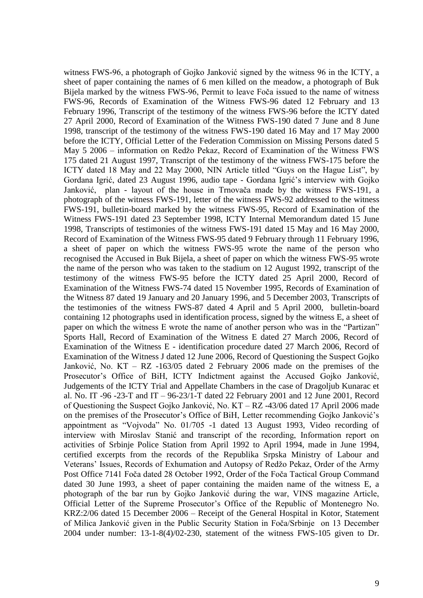witness FWS-96, a photograph of Gojko Janković signed by the witness 96 in the ICTY, a sheet of paper containing the names of 6 men killed on the meadow, a photograph of Buk Bijela marked by the witness FWS-96, Permit to leave Foča issued to the name of witness FWS-96, Records of Examination of the Witness FWS-96 dated 12 February and 13 February 1996, Transcript of the testimony of the witness FWS-96 before the ICTY dated 27 April 2000, Record of Examination of the Witness FWS-190 dated 7 June and 8 June 1998, transcript of the testimony of the witness FWS-190 dated 16 May and 17 May 2000 before the ICTY, Official Letter of the Federation Commission on Missing Persons dated 5 May 5 2006 – information on Redžo Pekaz, Record of Examination of the Witness FWS 175 dated 21 August 1997, Transcript of the testimony of the witness FWS-175 before the ICTY dated 18 May and 22 May 2000, NIN Article titled "Guys on the Hague List", by Gordana Igrić, dated 23 August 1996, audio tape - Gordana Igrić's interview with Gojko Janković, plan - layout of the house in Trnovača made by the witness FWS-191, a photograph of the witness FWS-191, letter of the witness FWS-92 addressed to the witness FWS-191, bulletin-board marked by the witness FWS-95, Record of Examination of the Witness FWS-191 dated 23 September 1998, ICTY Internal Memorandum dated 15 June 1998, Transcripts of testimonies of the witness FWS-191 dated 15 May and 16 May 2000, Record of Examination of the Witness FWS-95 dated 9 February through 11 February 1996, a sheet of paper on which the witness FWS-95 wrote the name of the person who recognised the Accused in Buk Bijela, a sheet of paper on which the witness FWS-95 wrote the name of the person who was taken to the stadium on 12 August 1992, transcript of the testimony of the witness FWS-95 before the ICTY dated 25 April 2000, Record of Examination of the Witness FWS-74 dated 15 November 1995, Records of Examination of the Witness 87 dated 19 January and 20 January 1996, and 5 December 2003, Transcripts of the testimonies of the witness FWS-87 dated 4 April and 5 April 2000, bulletin-board containing 12 photographs used in identification process, signed by the witness E, a sheet of paper on which the witness E wrote the name of another person who was in the "Partizan" Sports Hall, Record of Examination of the Witness E dated 27 March 2006, Record of Examination of the Witness E - identification procedure dated 27 March 2006, Record of Examination of the Witness J dated 12 June 2006, Record of Questioning the Suspect Gojko Janković, No. KT – RZ -163/05 dated 2 February 2006 made on the premises of the Prosecutor's Office of BiH, ICTY Indictment against the Accused Gojko Janković, Judgements of the ICTY Trial and Appellate Chambers in the case of Dragoljub Kunarac et al. No. IT -96 -23-T and IT – 96-23/1-T dated 22 February 2001 and 12 June 2001, Record of Questioning the Suspect Gojko Janković, No. KT – RZ -43/06 dated 17 April 2006 made on the premises of the Prosecutor's Office of BiH, Letter recommending Gojko Janković's appointment as "Vojvoda" No. 01/705 -1 dated 13 August 1993, Video recording of interview with Miroslav Stanić and transcript of the recording, Information report on activities of Srbinje Police Station from April 1992 to April 1994, made in June 1994, certified excerpts from the records of the Republika Srpska Ministry of Labour and Veterans' Issues, Records of Exhumation and Autopsy of Redžo Pekaz, Order of the Army Post Office 7141 Foča dated 28 October 1992, Order of the Foča Tactical Group Command dated 30 June 1993, a sheet of paper containing the maiden name of the witness E, a photograph of the bar run by Gojko Janković during the war, VINS magazine Article, Official Letter of the Supreme Prosecutor's Office of the Republic of Montenegro No. KRZ:2/06 dated 15 December 2006 – Receipt of the General Hospital in Kotor, Statement of Milica Janković given in the Public Security Station in Foča/Srbinje on 13 December 2004 under number: 13-1-8(4)/02-230, statement of the witness FWS-105 given to Dr.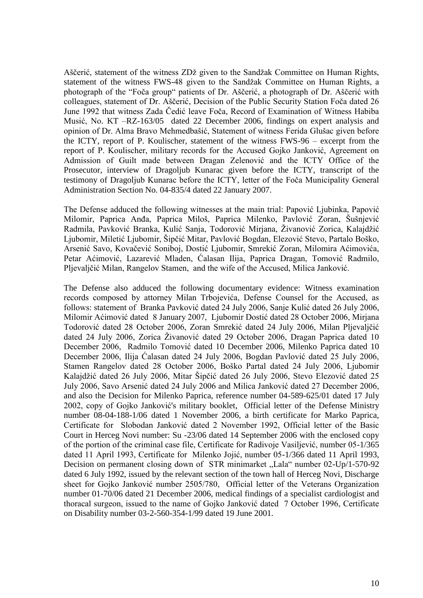Aščerić, statement of the witness ZDž given to the Sandžak Committee on Human Rights, statement of the witness FWS-48 given to the Sandžak Committee on Human Rights, a photograph of the "Foča group" patients of Dr. Aščerić, a photograph of Dr. Aščerić with colleagues, statement of Dr. Aščerić, Decision of the Public Security Station Foča dated 26 June 1992 that witness Zada Čedić leave Foča, Record of Examination of Witness Habiba Musić, No. KT –RZ-163/05 dated 22 December 2006, findings on expert analysis and opinion of Dr. Alma Bravo Mehmedbašić, Statement of witness Ferida Glušac given before the ICTY, report of P. Koulischer, statement of the witness FWS-96 – excerpt from the report of P. Koulischer, military records for the Accused Gojko Janković, Agreement on Admission of Guilt made between Dragan Zelenović and the ICTY Office of the Prosecutor, interview of Dragoljub Kunarac given before the ICTY, transcript of the testimony of Dragoljub Kunarac before the ICTY, letter of the Foča Municipality General Administration Section No. 04-835/4 dated 22 January 2007.

The Defense adduced the following witnesses at the main trial: Papović Ljubinka, Papović Milomir, Paprica Anđa, Paprica Miloš, Paprica Milenko, Pavlović Zoran, Šušnjević Radmila, Pavković Branka, Kulić Sanja, Todorović Mirjana, Živanović Zorica, Kalajdžić Ljubomir, Miletić Ljubomir, Šipčić Mitar, Pavlović Bogdan, Elezović Stevo, Partalo Boško, Arsenić Savo, Kovačević Soniboj, Dostić Ljubomir, Smrekić Zoran, Milomira Aćimovića, Petar Aćimović, Lazarević Mladen, Ćalasan Ilija, Paprica Dragan, Tomović Radmilo, Pljevaljčić Milan, Rangelov Stamen, and the wife of the Accused, Milica Janković.

The Defense also adduced the following documentary evidence: Witness examination records composed by attorney Milan Trbojevića, Defense Counsel for the Accused, as follows: statement of Branka Pavković dated 24 July 2006, Sanje Kulić dated 26 July 2006, Milomir Aćimović dated 8 January 2007, Ljubomir Dostić dated 28 October 2006, Mirjana Todorović dated 28 October 2006, Zoran Smrekić dated 24 July 2006, Milan Pljevaljčić dated 24 July 2006, Zorica Živanović dated 29 October 2006, Dragan Paprica dated 10 December 2006, Radmilo Tomović dated 10 December 2006, Milenko Paprica dated 10 December 2006, Ilija Ćalasan dated 24 July 2006, Bogdan Pavlović dated 25 July 2006, Stamen Rangelov dated 28 October 2006, Boško Partal dated 24 July 2006, Ljubomir Kalajdžić dated 26 July 2006, Mitar Šipčić dated 26 July 2006, Stevo Elezović dated 25 July 2006, Savo Arsenić dated 24 July 2006 and Milica Janković dated 27 December 2006, and also the Decision for Milenko Paprica, reference number 04-589-625/01 dated 17 July 2002, copy of Gojko Janković's military booklet, Official letter of the Defense Ministry number 08-04-188-1/06 dated 1 November 2006, a birth certificate for Marko Paprica, Certificate for Slobodan Janković dated 2 November 1992, Official letter of the Basic Court in Herceg Novi number: Su -23/06 dated 14 September 2006 with the enclosed copy of the portion of the criminal case file, Certificate for Radivoje Vasiljević, number 05-1/365 dated 11 April 1993, Certificate for Milenko Jojić, number 05-1/366 dated 11 April 1993, Decision on permanent closing down of STR minimarket "Lala" number 02-Up/1-570-92 dated 6 July 1992, issued by the relevant section of the town hall of Herceg Novi, Discharge sheet for Gojko Janković number 2505/780, Official letter of the Veterans Organization number 01-70/06 dated 21 December 2006, medical findings of a specialist cardiologist and thoracal surgeon, issued to the name of Gojko Janković dated 7 October 1996, Certificate on Disability number 03-2-560-354-1/99 dated 19 June 2001.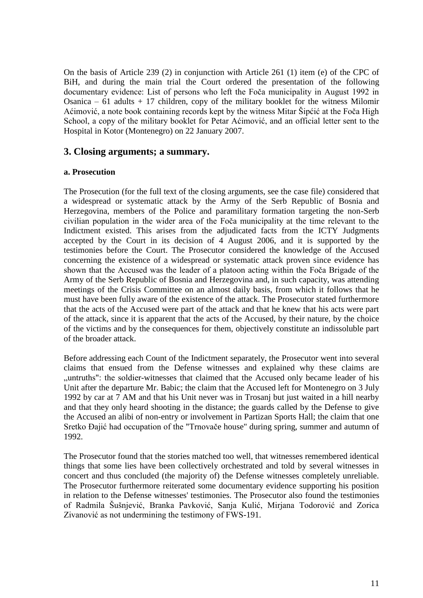On the basis of Article 239 (2) in conjunction with Article 261 (1) item (e) of the CPC of BiH, and during the main trial the Court ordered the presentation of the following documentary evidence: List of persons who left the Foča municipality in August 1992 in Osanica –  $61$  adults + 17 children, copy of the military booklet for the witness Milomir Aćimović, a note book containing records kept by the witness Mitar Šipćić at the Foča High School, a copy of the military booklet for Petar Aćimović, and an official letter sent to the Hospital in Kotor (Montenegro) on 22 January 2007.

# **3. Closing arguments; a summary.**

## **a. Prosecution**

The Prosecution (for the full text of the closing arguments, see the case file) considered that a widespread or systematic attack by the Army of the Serb Republic of Bosnia and Herzegovina, members of the Police and paramilitary formation targeting the non-Serb civilian population in the wider area of the Foča municipality at the time relevant to the Indictment existed. This arises from the adjudicated facts from the ICTY Judgments accepted by the Court in its decision of 4 August 2006, and it is supported by the testimonies before the Court. The Prosecutor considered the knowledge of the Accused concerning the existence of a widespread or systematic attack proven since evidence has shown that the Accused was the leader of a platoon acting within the Foča Brigade of the Army of the Serb Republic of Bosnia and Herzegovina and, in such capacity, was attending meetings of the Crisis Committee on an almost daily basis, from which it follows that he must have been fully aware of the existence of the attack. The Prosecutor stated furthermore that the acts of the Accused were part of the attack and that he knew that his acts were part of the attack, since it is apparent that the acts of the Accused, by their nature, by the choice of the victims and by the consequences for them, objectively constitute an indissoluble part of the broader attack.

Before addressing each Count of the Indictment separately, the Prosecutor went into several claims that ensued from the Defense witnesses and explained why these claims are ", untruths": the soldier-witnesses that claimed that the Accused only became leader of his Unit after the departure Mr. Babic; the claim that the Accused left for Montenegro on 3 July 1992 by car at 7 AM and that his Unit never was in Trosanj but just waited in a hill nearby and that they only heard shooting in the distance; the guards called by the Defense to give the Accused an alibi of non-entry or involvement in Partizan Sports Hall; the claim that one Sretko Đajić had occupation of the "Trnovače house" during spring, summer and autumn of 1992.

The Prosecutor found that the stories matched too well, that witnesses remembered identical things that some lies have been collectively orchestrated and told by several witnesses in concert and thus concluded (the majority of) the Defense witnesses completely unreliable. The Prosecutor furthermore reiterated some documentary evidence supporting his position in relation to the Defense witnesses' testimonies. The Prosecutor also found the testimonies of Radmila Šušnjević, Branka Pavković, Sanja Kulić, Mirjana Todorović and Zorica Zivanović as not undermining the testimony of FWS-191.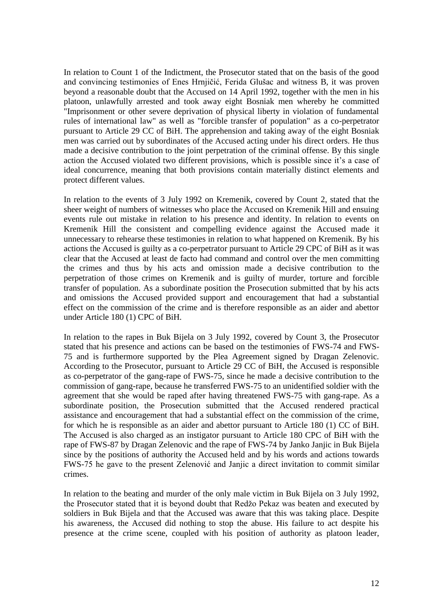In relation to Count 1 of the Indictment, the Prosecutor stated that on the basis of the good and convincing testimonies of Enes Hrnjičić, Ferida Glušac and witness B, it was proven beyond a reasonable doubt that the Accused on 14 April 1992, together with the men in his platoon, unlawfully arrested and took away eight Bosniak men whereby he committed "Imprisonment or other severe deprivation of physical liberty in violation of fundamental rules of international law" as well as "forcible transfer of population" as a co-perpetrator pursuant to Article 29 CC of BiH. The apprehension and taking away of the eight Bosniak men was carried out by subordinates of the Accused acting under his direct orders. He thus made a decisive contribution to the joint perpetration of the criminal offense. By this single action the Accused violated two different provisions, which is possible since it's a case of ideal concurrence, meaning that both provisions contain materially distinct elements and protect different values.

In relation to the events of 3 July 1992 on Kremenik, covered by Count 2, stated that the sheer weight of numbers of witnesses who place the Accused on Kremenik Hill and ensuing events rule out mistake in relation to his presence and identity. In relation to events on Kremenik Hill the consistent and compelling evidence against the Accused made it unnecessary to rehearse these testimonies in relation to what happened on Kremenik. By his actions the Accused is guilty as a co-perpetrator pursuant to Article 29 CPC of BiH as it was clear that the Accused at least de facto had command and control over the men committing the crimes and thus by his acts and omission made a decisive contribution to the perpetration of those crimes on Kremenik and is guilty of murder, torture and forcible transfer of population. As a subordinate position the Prosecution submitted that by his acts and omissions the Accused provided support and encouragement that had a substantial effect on the commission of the crime and is therefore responsible as an aider and abettor under Article 180 (1) CPC of BiH.

In relation to the rapes in Buk Bijela on 3 July 1992, covered by Count 3, the Prosecutor stated that his presence and actions can be based on the testimonies of FWS-74 and FWS-75 and is furthermore supported by the Plea Agreement signed by Dragan Zelenovic. According to the Prosecutor, pursuant to Article 29 CC of BiH, the Accused is responsible as co-perpetrator of the gang-rape of FWS-75, since he made a decisive contribution to the commission of gang-rape, because he transferred FWS-75 to an unidentified soldier with the agreement that she would be raped after having threatened FWS-75 with gang-rape. As a subordinate position, the Prosecution submitted that the Accused rendered practical assistance and encouragement that had a substantial effect on the commission of the crime, for which he is responsible as an aider and abettor pursuant to Article 180 (1) CC of BiH. The Accused is also charged as an instigator pursuant to Article 180 CPC of BiH with the rape of FWS-87 by Dragan Zelenovic and the rape of FWS-74 by Janko Janjic in Buk Bijela since by the positions of authority the Accused held and by his words and actions towards FWS-75 he gave to the present Zelenović and Janjic a direct invitation to commit similar crimes.

In relation to the beating and murder of the only male victim in Buk Bijela on 3 July 1992, the Prosecutor stated that it is beyond doubt that Redžo Pekaz was beaten and executed by soldiers in Buk Bijela and that the Accused was aware that this was taking place. Despite his awareness, the Accused did nothing to stop the abuse. His failure to act despite his presence at the crime scene, coupled with his position of authority as platoon leader,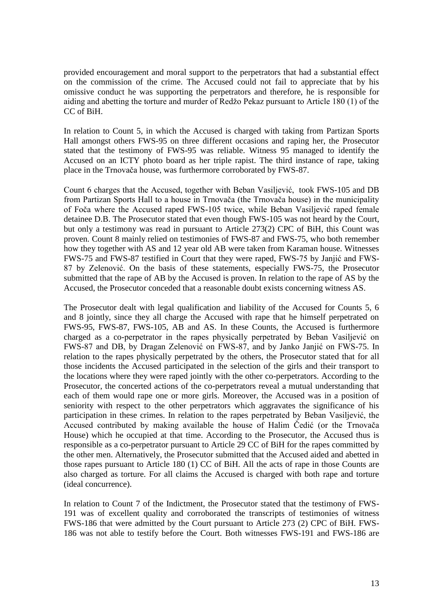provided encouragement and moral support to the perpetrators that had a substantial effect on the commission of the crime. The Accused could not fail to appreciate that by his omissive conduct he was supporting the perpetrators and therefore, he is responsible for aiding and abetting the torture and murder of Redžo Pekaz pursuant to Article 180 (1) of the CC of BiH.

In relation to Count 5, in which the Accused is charged with taking from Partizan Sports Hall amongst others FWS-95 on three different occasions and raping her, the Prosecutor stated that the testimony of FWS-95 was reliable. Witness 95 managed to identify the Accused on an ICTY photo board as her triple rapist. The third instance of rape, taking place in the Trnovača house, was furthermore corroborated by FWS-87.

Count 6 charges that the Accused, together with Beban Vasiljević, took FWS-105 and DB from Partizan Sports Hall to a house in Trnovača (the Trnovača house) in the municipality of Foča where the Accused raped FWS-105 twice, while Beban Vasiljević raped female detainee D.B. The Prosecutor stated that even though FWS-105 was not heard by the Court, but only a testimony was read in pursuant to Article 273(2) CPC of BiH, this Count was proven. Count 8 mainly relied on testimonies of FWS-87 and FWS-75, who both remember how they together with AS and 12 year old AB were taken from Karaman house. Witnesses FWS-75 and FWS-87 testified in Court that they were raped, FWS-75 by Janjić and FWS-87 by Zelenović. On the basis of these statements, especially FWS-75, the Prosecutor submitted that the rape of AB by the Accused is proven. In relation to the rape of AS by the Accused, the Prosecutor conceded that a reasonable doubt exists concerning witness AS.

The Prosecutor dealt with legal qualification and liability of the Accused for Counts 5, 6 and 8 jointly, since they all charge the Accused with rape that he himself perpetrated on FWS-95, FWS-87, FWS-105, AB and AS. In these Counts, the Accused is furthermore charged as a co-perpetrator in the rapes physically perpetrated by Beban Vasiljević on FWS-87 and DB, by Dragan Zelenović on FWS-87, and by Janko Janjić on FWS-75. In relation to the rapes physically perpetrated by the others, the Prosecutor stated that for all those incidents the Accused participated in the selection of the girls and their transport to the locations where they were raped jointly with the other co-perpetrators. According to the Prosecutor, the concerted actions of the co-perpetrators reveal a mutual understanding that each of them would rape one or more girls. Moreover, the Accused was in a position of seniority with respect to the other perpetrators which aggravates the significance of his participation in these crimes. In relation to the rapes perpetrated by Beban Vasiljević, the Accused contributed by making available the house of Halim Čedić (or the Trnovača House) which he occupied at that time. According to the Prosecutor, the Accused thus is responsible as a co-perpetrator pursuant to Article 29 CC of BiH for the rapes committed by the other men. Alternatively, the Prosecutor submitted that the Accused aided and abetted in those rapes pursuant to Article 180 (1) CC of BiH. All the acts of rape in those Counts are also charged as torture. For all claims the Accused is charged with both rape and torture (ideal concurrence).

In relation to Count 7 of the Indictment, the Prosecutor stated that the testimony of FWS-191 was of excellent quality and corroborated the transcripts of testimonies of witness FWS-186 that were admitted by the Court pursuant to Article 273 (2) CPC of BiH. FWS-186 was not able to testify before the Court. Both witnesses FWS-191 and FWS-186 are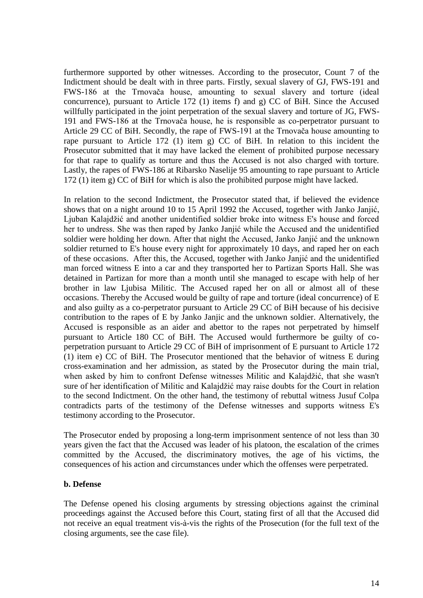furthermore supported by other witnesses. According to the prosecutor, Count 7 of the Indictment should be dealt with in three parts. Firstly, sexual slavery of GJ, FWS-191 and FWS-186 at the Trnovača house, amounting to sexual slavery and torture (ideal concurrence), pursuant to Article 172 (1) items f) and g) CC of BiH. Since the Accused willfully participated in the joint perpetration of the sexual slavery and torture of JG, FWS-191 and FWS-186 at the Trnovača house, he is responsible as co-perpetrator pursuant to Article 29 CC of BiH. Secondly, the rape of FWS-191 at the Trnovača house amounting to rape pursuant to Article 172 (1) item g) CC of BiH. In relation to this incident the Prosecutor submitted that it may have lacked the element of prohibited purpose necessary for that rape to qualify as torture and thus the Accused is not also charged with torture. Lastly, the rapes of FWS-186 at Ribarsko Naselije 95 amounting to rape pursuant to Article 172 (1) item g) CC of BiH for which is also the prohibited purpose might have lacked.

In relation to the second Indictment, the Prosecutor stated that, if believed the evidence shows that on a night around 10 to 15 April 1992 the Accused, together with Janko Janjić, Ljuban Kalajdžić and another unidentified soldier broke into witness E's house and forced her to undress. She was then raped by Janko Janjić while the Accused and the unidentified soldier were holding her down. After that night the Accused, Janko Janjić and the unknown soldier returned to E's house every night for approximately 10 days, and raped her on each of these occasions. After this, the Accused, together with Janko Janjić and the unidentified man forced witness E into a car and they transported her to Partizan Sports Hall. She was detained in Partizan for more than a month until she managed to escape with help of her brother in law Ljubisa Militic. The Accused raped her on all or almost all of these occasions. Thereby the Accused would be guilty of rape and torture (ideal concurrence) of E and also guilty as a co-perpetrator pursuant to Article 29 CC of BiH because of his decisive contribution to the rapes of E by Janko Janjic and the unknown soldier. Alternatively, the Accused is responsible as an aider and abettor to the rapes not perpetrated by himself pursuant to Article 180 CC of BiH. The Accused would furthermore be guilty of coperpetration pursuant to Article 29 CC of BiH of imprisonment of E pursuant to Article 172 (1) item e) CC of BiH. The Prosecutor mentioned that the behavior of witness E during cross-examination and her admission, as stated by the Prosecutor during the main trial, when asked by him to confront Defense witnesses Militic and Kalajdžić, that she wasn't sure of her identification of Militic and Kalajdžić may raise doubts for the Court in relation to the second Indictment. On the other hand, the testimony of rebuttal witness Jusuf Colpa contradicts parts of the testimony of the Defense witnesses and supports witness E's testimony according to the Prosecutor.

The Prosecutor ended by proposing a long-term imprisonment sentence of not less than 30 years given the fact that the Accused was leader of his platoon, the escalation of the crimes committed by the Accused, the discriminatory motives, the age of his victims, the consequences of his action and circumstances under which the offenses were perpetrated.

#### **b. Defense**

The Defense opened his closing arguments by stressing objections against the criminal proceedings against the Accused before this Court, stating first of all that the Accused did not receive an equal treatment vis-à-vis the rights of the Prosecution (for the full text of the closing arguments, see the case file).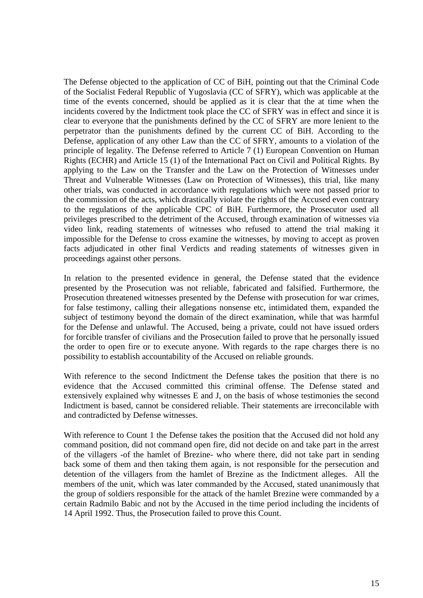The Defense objected to the application of CC of BiH, pointing out that the Criminal Code of the Socialist Federal Republic of Yugoslavia (CC of SFRY), which was applicable at the time of the events concerned, should be applied as it is clear that the at time when the incidents covered by the Indictment took place the CC of SFRY was in effect and since it is clear to everyone that the punishments defined by the CC of SFRY are more lenient to the perpetrator than the punishments defined by the current CC of BiH. According to the Defense, application of any other Law than the CC of SFRY, amounts to a violation of the principle of legality. The Defense referred to Article 7 (1) European Convention on Human Rights (ECHR) and Article 15 (1) of the International Pact on Civil and Political Rights. By applying to the Law on the Transfer and the Law on the Protection of Witnesses under Threat and Vulnerable Witnesses (Law on Protection of Witnesses), this trial, like many other trials, was conducted in accordance with regulations which were not passed prior to the commission of the acts, which drastically violate the rights of the Accused even contrary to the regulations of the applicable CPC of BiH. Furthermore, the Prosecutor used all privileges prescribed to the detriment of the Accused, through examination of witnesses via video link, reading statements of witnesses who refused to attend the trial making it impossible for the Defense to cross examine the witnesses, by moving to accept as proven facts adjudicated in other final Verdicts and reading statements of witnesses given in proceedings against other persons.

In relation to the presented evidence in general, the Defense stated that the evidence presented by the Prosecution was not reliable, fabricated and falsified. Furthermore, the Prosecution threatened witnesses presented by the Defense with prosecution for war crimes, for false testimony, calling their allegations nonsense etc, intimidated them, expanded the subject of testimony beyond the domain of the direct examination, while that was harmful for the Defense and unlawful. The Accused, being a private, could not have issued orders for forcible transfer of civilians and the Prosecution failed to prove that he personally issued the order to open fire or to execute anyone. With regards to the rape charges there is no possibility to establish accountability of the Accused on reliable grounds.

With reference to the second Indictment the Defense takes the position that there is no evidence that the Accused committed this criminal offense. The Defense stated and extensively explained why witnesses E and J, on the basis of whose testimonies the second Indictment is based, cannot be considered reliable. Their statements are irreconcilable with and contradicted by Defense witnesses.

With reference to Count 1 the Defense takes the position that the Accused did not hold any command position, did not command open fire, did not decide on and take part in the arrest of the villagers -of the hamlet of Brezine- who where there, did not take part in sending back some of them and then taking them again, is not responsible for the persecution and detention of the villagers from the hamlet of Brezine as the Indictment alleges. All the members of the unit, which was later commanded by the Accused, stated unanimously that the group of soldiers responsible for the attack of the hamlet Brezine were commanded by a certain Radmilo Babic and not by the Accused in the time period including the incidents of 14 April 1992. Thus, the Prosecution failed to prove this Count.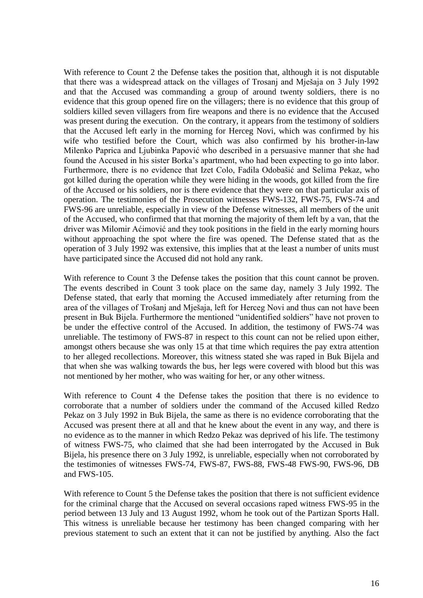With reference to Count 2 the Defense takes the position that, although it is not disputable that there was a widespread attack on the villages of Trosanj and Mješaja on 3 July 1992 and that the Accused was commanding a group of around twenty soldiers, there is no evidence that this group opened fire on the villagers; there is no evidence that this group of soldiers killed seven villagers from fire weapons and there is no evidence that the Accused was present during the execution. On the contrary, it appears from the testimony of soldiers that the Accused left early in the morning for Herceg Novi, which was confirmed by his wife who testified before the Court, which was also confirmed by his brother-in-law Milenko Paprica and Ljubinka Papović who described in a persuasive manner that she had found the Accused in his sister Borka's apartment, who had been expecting to go into labor. Furthermore, there is no evidence that Izet Colo, Fadila Odobašić and Selima Pekaz, who got killed during the operation while they were hiding in the woods, got killed from the fire of the Accused or his soldiers, nor is there evidence that they were on that particular axis of operation. The testimonies of the Prosecution witnesses FWS-132, FWS-75, FWS-74 and FWS-96 are unreliable, especially in view of the Defense witnesses, all members of the unit of the Accused, who confirmed that that morning the majority of them left by a van, that the driver was Milomir Aćimović and they took positions in the field in the early morning hours without approaching the spot where the fire was opened. The Defense stated that as the operation of 3 July 1992 was extensive, this implies that at the least a number of units must have participated since the Accused did not hold any rank.

With reference to Count 3 the Defense takes the position that this count cannot be proven. The events described in Count 3 took place on the same day, namely 3 July 1992. The Defense stated, that early that morning the Accused immediately after returning from the area of the villages of Trošanj and Mješaja, left for Herceg Novi and thus can not have been present in Buk Bijela. Furthermore the mentioned "unidentified soldiers" have not proven to be under the effective control of the Accused. In addition, the testimony of FWS-74 was unreliable. The testimony of FWS-87 in respect to this count can not be relied upon either, amongst others because she was only 15 at that time which requires the pay extra attention to her alleged recollections. Moreover, this witness stated she was raped in Buk Bijela and that when she was walking towards the bus, her legs were covered with blood but this was not mentioned by her mother, who was waiting for her, or any other witness.

With reference to Count 4 the Defense takes the position that there is no evidence to corroborate that a number of soldiers under the command of the Accused killed Redzo Pekaz on 3 July 1992 in Buk Bijela, the same as there is no evidence corroborating that the Accused was present there at all and that he knew about the event in any way, and there is no evidence as to the manner in which Redzo Pekaz was deprived of his life. The testimony of witness FWS-75, who claimed that she had been interrogated by the Accused in Buk Bijela, his presence there on 3 July 1992, is unreliable, especially when not corroborated by the testimonies of witnesses FWS-74, FWS-87, FWS-88, FWS-48 FWS-90, FWS-96, DB and FWS-105.

With reference to Count 5 the Defense takes the position that there is not sufficient evidence for the criminal charge that the Accused on several occasions raped witness FWS-95 in the period between 13 July and 13 August 1992, whom he took out of the Partizan Sports Hall. This witness is unreliable because her testimony has been changed comparing with her previous statement to such an extent that it can not be justified by anything. Also the fact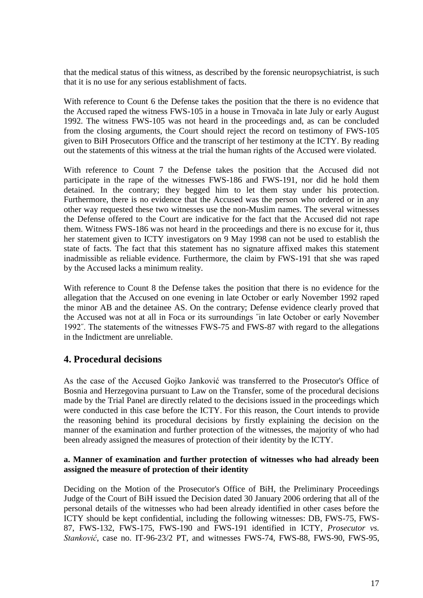that the medical status of this witness, as described by the forensic neuropsychiatrist, is such that it is no use for any serious establishment of facts.

With reference to Count 6 the Defense takes the position that the there is no evidence that the Accused raped the witness FWS-105 in a house in Trnovača in late July or early August 1992. The witness FWS-105 was not heard in the proceedings and, as can be concluded from the closing arguments, the Court should reject the record on testimony of FWS-105 given to BiH Prosecutors Office and the transcript of her testimony at the ICTY. By reading out the statements of this witness at the trial the human rights of the Accused were violated.

With reference to Count 7 the Defense takes the position that the Accused did not participate in the rape of the witnesses FWS-186 and FWS-191, nor did he hold them detained. In the contrary; they begged him to let them stay under his protection. Furthermore, there is no evidence that the Accused was the person who ordered or in any other way requested these two witnesses use the non-Muslim names. The several witnesses the Defense offered to the Court are indicative for the fact that the Accused did not rape them. Witness FWS-186 was not heard in the proceedings and there is no excuse for it, thus her statement given to ICTY investigators on 9 May 1998 can not be used to establish the state of facts. The fact that this statement has no signature affixed makes this statement inadmissible as reliable evidence. Furthermore, the claim by FWS-191 that she was raped by the Accused lacks a minimum reality.

With reference to Count 8 the Defense takes the position that there is no evidence for the allegation that the Accused on one evening in late October or early November 1992 raped the minor AB and the detainee AS. On the contrary; Defense evidence clearly proved that the Accused was not at all in Foca or its surroundings ˝in late October or early November 1992˝. The statements of the witnesses FWS-75 and FWS-87 with regard to the allegations in the Indictment are unreliable.

# **4. Procedural decisions**

As the case of the Accused Gojko Janković was transferred to the Prosecutor's Office of Bosnia and Herzegovina pursuant to Law on the Transfer, some of the procedural decisions made by the Trial Panel are directly related to the decisions issued in the proceedings which were conducted in this case before the ICTY. For this reason, the Court intends to provide the reasoning behind its procedural decisions by firstly explaining the decision on the manner of the examination and further protection of the witnesses, the majority of who had been already assigned the measures of protection of their identity by the ICTY.

# **a. Manner of examination and further protection of witnesses who had already been assigned the measure of protection of their identity**

Deciding on the Motion of the Prosecutor's Office of BiH, the Preliminary Proceedings Judge of the Court of BiH issued the Decision dated 30 January 2006 ordering that all of the personal details of the witnesses who had been already identified in other cases before the ICTY should be kept confidential, including the following witnesses: DB, FWS-75, FWS-87, FWS-132, FWS-175, FWS-190 and FWS-191 identified in ICTY, *Prosecutor vs. Stanković*, case no. IT-96-23/2 PT, and witnesses FWS-74, FWS-88, FWS-90, FWS-95,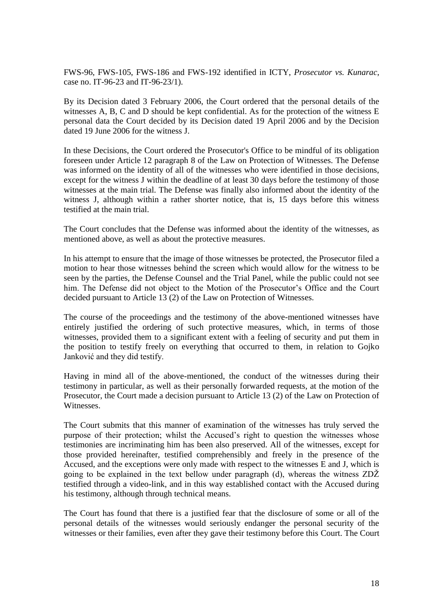FWS-96, FWS-105, FWS-186 and FWS-192 identified in ICTY, *Prosecutor vs. Kunarac*, case no. IT-96-23 and IT-96-23/1).

By its Decision dated 3 February 2006, the Court ordered that the personal details of the witnesses A, B, C and D should be kept confidential. As for the protection of the witness E personal data the Court decided by its Decision dated 19 April 2006 and by the Decision dated 19 June 2006 for the witness J.

In these Decisions, the Court ordered the Prosecutor's Office to be mindful of its obligation foreseen under Article 12 paragraph 8 of the Law on Protection of Witnesses. The Defense was informed on the identity of all of the witnesses who were identified in those decisions, except for the witness J within the deadline of at least 30 days before the testimony of those witnesses at the main trial. The Defense was finally also informed about the identity of the witness J, although within a rather shorter notice, that is, 15 days before this witness testified at the main trial.

The Court concludes that the Defense was informed about the identity of the witnesses, as mentioned above, as well as about the protective measures.

In his attempt to ensure that the image of those witnesses be protected, the Prosecutor filed a motion to hear those witnesses behind the screen which would allow for the witness to be seen by the parties, the Defense Counsel and the Trial Panel, while the public could not see him. The Defense did not object to the Motion of the Prosecutor's Office and the Court decided pursuant to Article 13 (2) of the Law on Protection of Witnesses.

The course of the proceedings and the testimony of the above-mentioned witnesses have entirely justified the ordering of such protective measures, which, in terms of those witnesses, provided them to a significant extent with a feeling of security and put them in the position to testify freely on everything that occurred to them, in relation to Gojko Janković and they did testify.

Having in mind all of the above-mentioned, the conduct of the witnesses during their testimony in particular, as well as their personally forwarded requests, at the motion of the Prosecutor, the Court made a decision pursuant to Article 13 (2) of the Law on Protection of Witnesses.

The Court submits that this manner of examination of the witnesses has truly served the purpose of their protection; whilst the Accused's right to question the witnesses whose testimonies are incriminating him has been also preserved. All of the witnesses, except for those provided hereinafter, testified comprehensibly and freely in the presence of the Accused, and the exceptions were only made with respect to the witnesses E and J, which is going to be explained in the text bellow under paragraph (d), whereas the witness ZDŽ testified through a video-link, and in this way established contact with the Accused during his testimony, although through technical means.

The Court has found that there is a justified fear that the disclosure of some or all of the personal details of the witnesses would seriously endanger the personal security of the witnesses or their families, even after they gave their testimony before this Court. The Court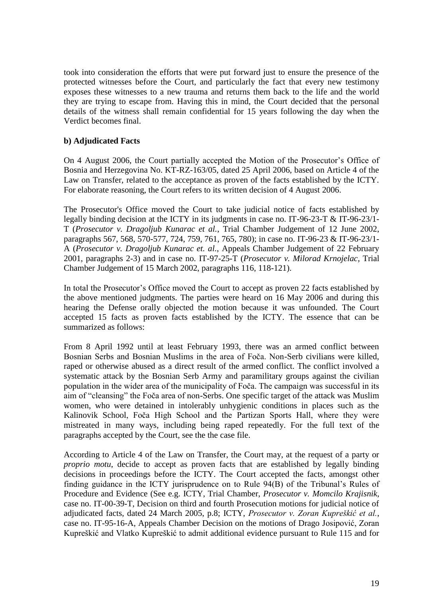took into consideration the efforts that were put forward just to ensure the presence of the protected witnesses before the Court, and particularly the fact that every new testimony exposes these witnesses to a new trauma and returns them back to the life and the world they are trying to escape from. Having this in mind, the Court decided that the personal details of the witness shall remain confidential for 15 years following the day when the Verdict becomes final.

# **b) Adjudicated Facts**

On 4 August 2006, the Court partially accepted the Motion of the Prosecutor's Office of Bosnia and Herzegovina No. KT-RZ-163/05, dated 25 April 2006, based on Article 4 of the Law on Transfer, related to the acceptance as proven of the facts established by the ICTY. For elaborate reasoning, the Court refers to its written decision of 4 August 2006.

The Prosecutor's Office moved the Court to take judicial notice of facts established by legally binding decision at the ICTY in its judgments in case no. IT-96-23-T & IT-96-23/1- T (*Prosecutor v. Dragoljub Kunarac et al.*, Trial Chamber Judgement of 12 June 2002, paragraphs 567, 568, 570-577, 724, 759, 761, 765, 780); in case no. IT-96-23 & IT-96-23/1- A (*Prosecutor v. Dragoljub Kunarac et. al.*, Appeals Chamber Judgement of 22 February 2001, paragraphs 2-3) and in case no. IT-97-25-T (*Prosecutor v. Milorad Krnojelac*, Trial Chamber Judgement of 15 March 2002, paragraphs 116, 118-121).

In total the Prosecutor's Office moved the Court to accept as proven 22 facts established by the above mentioned judgments. The parties were heard on 16 May 2006 and during this hearing the Defense orally objected the motion because it was unfounded. The Court accepted 15 facts as proven facts established by the ICTY. The essence that can be summarized as follows:

From 8 April 1992 until at least February 1993, there was an armed conflict between Bosnian Serbs and Bosnian Muslims in the area of Foča. Non-Serb civilians were killed, raped or otherwise abused as a direct result of the armed conflict. The conflict involved a systematic attack by the Bosnian Serb Army and paramilitary groups against the civilian population in the wider area of the municipality of Foča. The campaign was successful in its aim of "cleansing" the Foča area of non-Serbs. One specific target of the attack was Muslim women, who were detained in intolerably unhygienic conditions in places such as the Kalinovik School, Foča High School and the Partizan Sports Hall, where they were mistreated in many ways, including being raped repeatedly. For the full text of the paragraphs accepted by the Court, see the the case file.

According to Article 4 of the Law on Transfer, the Court may, at the request of a party or *proprio motu*, decide to accept as proven facts that are established by legally binding decisions in proceedings before the ICTY. The Court accepted the facts, amongst other finding guidance in the ICTY jurisprudence on to Rule 94(B) of the Tribunal's Rules of Procedure and Evidence (See e.g. ICTY, Trial Chamber, *Prosecutor v. Momcilo Krajisnik*, case no. IT-00-39-T, Decision on third and fourth Prosecution motions for judicial notice of adjudicated facts, dated 24 March 2005, p.8; ICTY, *Prosecutor v. Zoran Kupreškić et al.*, case no. IT-95-16-A, Appeals Chamber Decision on the motions of Drago Josipović, Zoran Kupreškić and Vlatko Kupreškić to admit additional evidence pursuant to Rule 115 and for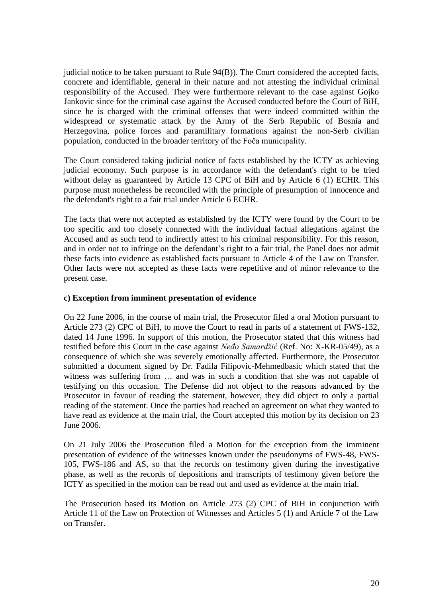judicial notice to be taken pursuant to Rule 94(B)). The Court considered the accepted facts, concrete and identifiable, general in their nature and not attesting the individual criminal responsibility of the Accused. They were furthermore relevant to the case against Gojko Jankovic since for the criminal case against the Accused conducted before the Court of BiH, since he is charged with the criminal offenses that were indeed committed within the widespread or systematic attack by the Army of the Serb Republic of Bosnia and Herzegovina, police forces and paramilitary formations against the non-Serb civilian population, conducted in the broader territory of the Foča municipality.

The Court considered taking judicial notice of facts established by the ICTY as achieving judicial economy. Such purpose is in accordance with the defendant's right to be tried without delay as guaranteed by Article 13 CPC of BiH and by Article 6 (1) ECHR. This purpose must nonetheless be reconciled with the principle of presumption of innocence and the defendant's right to a fair trial under Article 6 ECHR.

The facts that were not accepted as established by the ICTY were found by the Court to be too specific and too closely connected with the individual factual allegations against the Accused and as such tend to indirectly attest to his criminal responsibility. For this reason, and in order not to infringe on the defendant's right to a fair trial, the Panel does not admit these facts into evidence as established facts pursuant to Article 4 of the Law on Transfer. Other facts were not accepted as these facts were repetitive and of minor relevance to the present case.

## **c) Exception from imminent presentation of evidence**

On 22 June 2006, in the course of main trial, the Prosecutor filed a oral Motion pursuant to Article 273 (2) CPC of BiH, to move the Court to read in parts of a statement of FWS-132, dated 14 June 1996. In support of this motion, the Prosecutor stated that this witness had testified before this Court in the case against *Neđo Samardžić* (Ref. No: X-KR-05/49), as a consequence of which she was severely emotionally affected. Furthermore, the Prosecutor submitted a document signed by Dr. Fadila Filipovic-Mehmedbasic which stated that the witness was suffering from … and was in such a condition that she was not capable of testifying on this occasion. The Defense did not object to the reasons advanced by the Prosecutor in favour of reading the statement, however, they did object to only a partial reading of the statement. Once the parties had reached an agreement on what they wanted to have read as evidence at the main trial, the Court accepted this motion by its decision on 23 June 2006.

On 21 July 2006 the Prosecution filed a Motion for the exception from the imminent presentation of evidence of the witnesses known under the pseudonyms of FWS-48, FWS-105, FWS-186 and AS, so that the records on testimony given during the investigative phase, as well as the records of depositions and transcripts of testimony given before the ICTY as specified in the motion can be read out and used as evidence at the main trial.

The Prosecution based its Motion on Article 273 (2) CPC of BiH in conjunction with Article 11 of the Law on Protection of Witnesses and Articles 5 (1) and Article 7 of the Law on Transfer.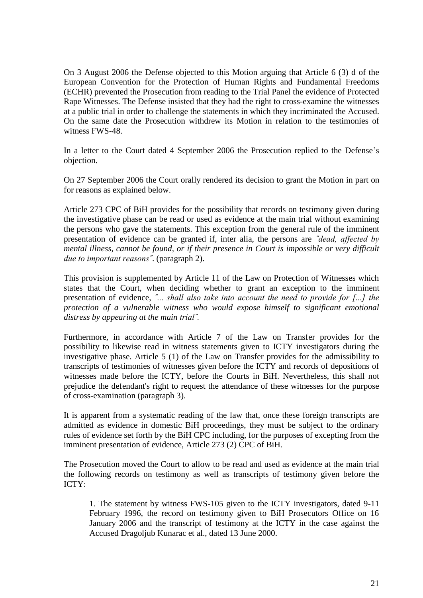On 3 August 2006 the Defense objected to this Motion arguing that Article 6 (3) d of the European Convention for the Protection of Human Rights and Fundamental Freedoms (ECHR) prevented the Prosecution from reading to the Trial Panel the evidence of Protected Rape Witnesses. The Defense insisted that they had the right to cross-examine the witnesses at a public trial in order to challenge the statements in which they incriminated the Accused. On the same date the Prosecution withdrew its Motion in relation to the testimonies of witness FWS-48.

In a letter to the Court dated 4 September 2006 the Prosecution replied to the Defense's objection.

On 27 September 2006 the Court orally rendered its decision to grant the Motion in part on for reasons as explained below.

Article 273 CPC of BiH provides for the possibility that records on testimony given during the investigative phase can be read or used as evidence at the main trial without examining the persons who gave the statements. This exception from the general rule of the imminent presentation of evidence can be granted if, inter alia, the persons are *˝dead, affected by mental illness, cannot be found, or if their presence in Court is impossible or very difficult due to important reasons˝*. (paragraph 2).

This provision is supplemented by Article 11 of the Law on Protection of Witnesses which states that the Court, when deciding whether to grant an exception to the imminent presentation of evidence, *˝... shall also take into account the need to provide for [...] the protection of a vulnerable witness who would expose himself to significant emotional distress by appearing at the main trial˝.*

Furthermore, in accordance with Article 7 of the Law on Transfer provides for the possibility to likewise read in witness statements given to ICTY investigators during the investigative phase. Article 5 (1) of the Law on Transfer provides for the admissibility to transcripts of testimonies of witnesses given before the ICTY and records of depositions of witnesses made before the ICTY, before the Courts in BiH. Nevertheless, this shall not prejudice the defendant's right to request the attendance of these witnesses for the purpose of cross-examination (paragraph 3).

It is apparent from a systematic reading of the law that, once these foreign transcripts are admitted as evidence in domestic BiH proceedings, they must be subject to the ordinary rules of evidence set forth by the BiH CPC including, for the purposes of excepting from the imminent presentation of evidence, Article 273 (2) CPC of BiH.

The Prosecution moved the Court to allow to be read and used as evidence at the main trial the following records on testimony as well as transcripts of testimony given before the ICTY:

1. The statement by witness FWS-105 given to the ICTY investigators, dated 9-11 February 1996, the record on testimony given to BiH Prosecutors Office on 16 January 2006 and the transcript of testimony at the ICTY in the case against the Accused Dragoljub Kunarac et al., dated 13 June 2000.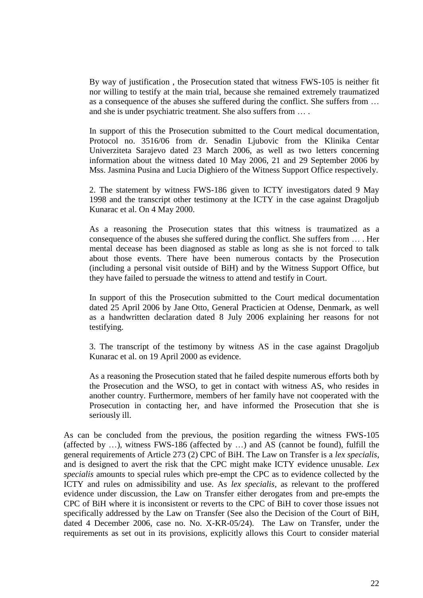By way of justification , the Prosecution stated that witness FWS-105 is neither fit nor willing to testify at the main trial, because she remained extremely traumatized as a consequence of the abuses she suffered during the conflict. She suffers from … and she is under psychiatric treatment. She also suffers from … .

In support of this the Prosecution submitted to the Court medical documentation, Protocol no. 3516/06 from dr. Senadin Ljubovic from the Klinika Centar Univerziteta Sarajevo dated 23 March 2006, as well as two letters concerning information about the witness dated 10 May 2006, 21 and 29 September 2006 by Mss. Jasmina Pusina and Lucia Dighiero of the Witness Support Office respectively.

2. The statement by witness FWS-186 given to ICTY investigators dated 9 May 1998 and the transcript other testimony at the ICTY in the case against Dragoljub Kunarac et al. On 4 May 2000.

As a reasoning the Prosecution states that this witness is traumatized as a consequence of the abuses she suffered during the conflict. She suffers from … . Her mental decease has been diagnosed as stable as long as she is not forced to talk about those events. There have been numerous contacts by the Prosecution (including a personal visit outside of BiH) and by the Witness Support Office, but they have failed to persuade the witness to attend and testify in Court.

In support of this the Prosecution submitted to the Court medical documentation dated 25 April 2006 by Jane Otto, General Practicien at Odense, Denmark, as well as a handwritten declaration dated 8 July 2006 explaining her reasons for not testifying.

3. The transcript of the testimony by witness AS in the case against Dragoljub Kunarac et al. on 19 April 2000 as evidence.

As a reasoning the Prosecution stated that he failed despite numerous efforts both by the Prosecution and the WSO, to get in contact with witness AS, who resides in another country. Furthermore, members of her family have not cooperated with the Prosecution in contacting her, and have informed the Prosecution that she is seriously ill.

As can be concluded from the previous, the position regarding the witness FWS-105 (affected by …), witness FWS-186 (affected by …) and AS (cannot be found), fulfill the general requirements of Article 273 (2) CPC of BiH. The Law on Transfer is a *lex specialis*, and is designed to avert the risk that the CPC might make ICTY evidence unusable. *Lex specialis* amounts to special rules which pre-empt the CPC as to evidence collected by the ICTY and rules on admissibility and use. As *lex specialis*, as relevant to the proffered evidence under discussion, the Law on Transfer either derogates from and pre-empts the CPC of BiH where it is inconsistent or reverts to the CPC of BiH to cover those issues not specifically addressed by the Law on Transfer (See also the Decision of the Court of BiH, dated 4 December 2006, case no. No. X-KR-05/24). The Law on Transfer, under the requirements as set out in its provisions, explicitly allows this Court to consider material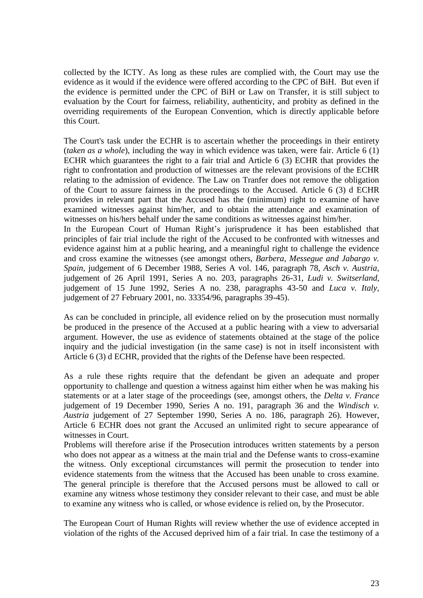collected by the ICTY. As long as these rules are complied with, the Court may use the evidence as it would if the evidence were offered according to the CPC of BiH. But even if the evidence is permitted under the CPC of BiH or Law on Transfer, it is still subject to evaluation by the Court for fairness, reliability, authenticity, and probity as defined in the overriding requirements of the European Convention, which is directly applicable before this Court.

The Court's task under the ECHR is to ascertain whether the proceedings in their entirety (*taken as a whole*), including the way in which evidence was taken, were fair. Article 6 (1) ECHR which guarantees the right to a fair trial and Article 6 (3) ECHR that provides the right to confrontation and production of witnesses are the relevant provisions of the ECHR relating to the admission of evidence. The Law on Tranfer does not remove the obligation of the Court to assure fairness in the proceedings to the Accused. Article 6 (3) d ECHR provides in relevant part that the Accused has the (minimum) right to examine of have examined witnesses against him/her, and to obtain the attendance and examination of witnesses on his/hers behalf under the same conditions as witnesses against him/her.

In the European Court of Human Right's jurisprudence it has been established that principles of fair trial include the right of the Accused to be confronted with witnesses and evidence against him at a public hearing, and a meaningful right to challenge the evidence and cross examine the witnesses (see amongst others, *Barbera, Messegue and Jabargo v. Spain*, judgement of 6 December 1988, Series A vol. 146, paragraph 78, *Asch v. Austria,* judgement of 26 April 1991, Series A no. 203, paragraphs 26-31, *Ludi v. Switserland*, judgement of 15 June 1992, Series A no. 238, paragraphs 43-50 and *Luca v. Italy*, judgement of 27 February 2001, no. 33354/96, paragraphs 39-45).

As can be concluded in principle, all evidence relied on by the prosecution must normally be produced in the presence of the Accused at a public hearing with a view to adversarial argument. However, the use as evidence of statements obtained at the stage of the police inquiry and the judicial investigation (in the same case) is not in itself inconsistent with Article 6 (3) d ECHR, provided that the rights of the Defense have been respected.

As a rule these rights require that the defendant be given an adequate and proper opportunity to challenge and question a witness against him either when he was making his statements or at a later stage of the proceedings (see, amongst others, the *Delta v. France* judgement of 19 December 1990, Series A no. 191, paragraph 36 and the *Windisch v. Austria* judgement of 27 September 1990, Series A no. 186, paragraph 26). However, Article 6 ECHR does not grant the Accused an unlimited right to secure appearance of witnesses in Court.

Problems will therefore arise if the Prosecution introduces written statements by a person who does not appear as a witness at the main trial and the Defense wants to cross-examine the witness. Only exceptional circumstances will permit the prosecution to tender into evidence statements from the witness that the Accused has been unable to cross examine. The general principle is therefore that the Accused persons must be allowed to call or examine any witness whose testimony they consider relevant to their case, and must be able to examine any witness who is called, or whose evidence is relied on, by the Prosecutor.

The European Court of Human Rights will review whether the use of evidence accepted in violation of the rights of the Accused deprived him of a fair trial. In case the testimony of a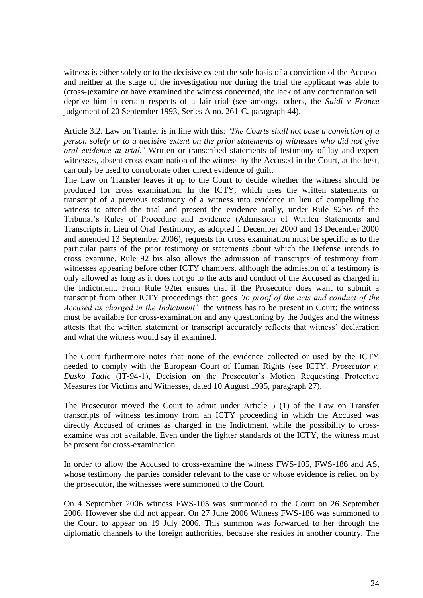witness is either solely or to the decisive extent the sole basis of a conviction of the Accused and neither at the stage of the investigation nor during the trial the applicant was able to (cross-)examine or have examined the witness concerned, the lack of any confrontation will deprive him in certain respects of a fair trial (see amongst others, the *Saidi v France* judgement of 20 September 1993, Series A no. 261-C, paragraph 44).

Article 3.2. Law on Tranfer is in line with this: *'The Courts shall not base a conviction of a person solely or to a decisive extent on the prior statements of witnesses who did not give oral evidence at trial.'* Written or transcribed statements of testimony of lay and expert witnesses, absent cross examination of the witness by the Accused in the Court, at the best, can only be used to corroborate other direct evidence of guilt.

The Law on Transfer leaves it up to the Court to decide whether the witness should be produced for cross examination. In the ICTY, which uses the written statements or transcript of a previous testimony of a witness into evidence in lieu of compelling the witness to attend the trial and present the evidence orally, under Rule 92bis of the Tribunal's Rules of Procedure and Evidence (Admission of Written Statements and Transcripts in Lieu of Oral Testimony, as adopted 1 December 2000 and 13 December 2000 and amended 13 September 2006), requests for cross examination must be specific as to the particular parts of the prior testimony or statements about which the Defense intends to cross examine. Rule 92 bis also allows the admission of transcripts of testimony from witnesses appearing before other ICTY chambers, although the admission of a testimony is only allowed as long as it does not go to the acts and conduct of the Accused as charged in the Indictment. From Rule 92ter ensues that if the Prosecutor does want to submit a transcript from other ICTY proceedings that goes *'to proof of the acts and conduct of the Accused as charged in the Indictment'* the witness has to be present in Court; the witness must be available for cross-examination and any questioning by the Judges and the witness attests that the written statement or transcript accurately reflects that witness' declaration and what the witness would say if examined.

The Court furthermore notes that none of the evidence collected or used by the ICTY needed to comply with the European Court of Human Rights (see ICTY, *Prosecutor v. Dusko Tadic* (IT-94-1), Decision on the Prosecutor's Motion Requesting Protective Measures for Victims and Witnesses, dated 10 August 1995, paragraph 27).

The Prosecutor moved the Court to admit under Article 5 (1) of the Law on Transfer transcripts of witness testimony from an ICTY proceeding in which the Accused was directly Accused of crimes as charged in the Indictment, while the possibility to crossexamine was not available. Even under the lighter standards of the ICTY, the witness must be present for cross-examination.

In order to allow the Accused to cross-examine the witness FWS-105, FWS-186 and AS, whose testimony the parties consider relevant to the case or whose evidence is relied on by the prosecutor, the witnesses were summoned to the Court.

On 4 September 2006 witness FWS-105 was summoned to the Court on 26 September 2006. However she did not appear. On 27 June 2006 Witness FWS-186 was summoned to the Court to appear on 19 July 2006. This summon was forwarded to her through the diplomatic channels to the foreign authorities, because she resides in another country. The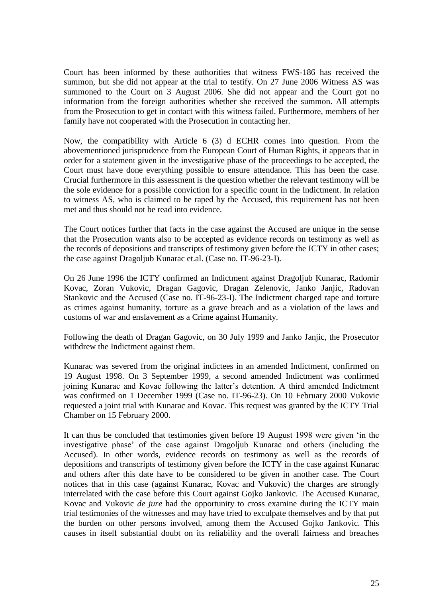Court has been informed by these authorities that witness FWS-186 has received the summon, but she did not appear at the trial to testify. On 27 June 2006 Witness AS was summoned to the Court on 3 August 2006. She did not appear and the Court got no information from the foreign authorities whether she received the summon. All attempts from the Prosecution to get in contact with this witness failed. Furthermore, members of her family have not cooperated with the Prosecution in contacting her.

Now, the compatibility with Article 6 (3) d ECHR comes into question. From the abovementioned jurisprudence from the European Court of Human Rights, it appears that in order for a statement given in the investigative phase of the proceedings to be accepted, the Court must have done everything possible to ensure attendance. This has been the case. Crucial furthermore in this assessment is the question whether the relevant testimony will be the sole evidence for a possible conviction for a specific count in the Indictment. In relation to witness AS, who is claimed to be raped by the Accused, this requirement has not been met and thus should not be read into evidence.

The Court notices further that facts in the case against the Accused are unique in the sense that the Prosecution wants also to be accepted as evidence records on testimony as well as the records of depositions and transcripts of testimony given before the ICTY in other cases; the case against Dragoljub Kunarac et.al. (Case no. IT-96-23-I).

On 26 June 1996 the ICTY confirmed an Indictment against Dragoljub Kunarac, Radomir Kovac, Zoran Vukovic, Dragan Gagovic, Dragan Zelenovic, Janko Janjic, Radovan Stankovic and the Accused (Case no. IT-96-23-I). The Indictment charged rape and torture as crimes against humanity, torture as a grave breach and as a violation of the laws and customs of war and enslavement as a Crime against Humanity.

Following the death of Dragan Gagovic, on 30 July 1999 and Janko Janjic, the Prosecutor withdrew the Indictment against them.

Kunarac was severed from the original indictees in an amended Indictment, confirmed on 19 August 1998. On 3 September 1999, a second amended Indictment was confirmed joining Kunarac and Kovac following the latter's detention. A third amended Indictment was confirmed on 1 December 1999 (Case no. IT-96-23). On 10 February 2000 Vukovic requested a joint trial with Kunarac and Kovac. This request was granted by the ICTY Trial Chamber on 15 February 2000.

It can thus be concluded that testimonies given before 19 August 1998 were given 'in the investigative phase' of the case against Dragoljub Kunarac and others (including the Accused). In other words, evidence records on testimony as well as the records of depositions and transcripts of testimony given before the ICTY in the case against Kunarac and others after this date have to be considered to be given in another case. The Court notices that in this case (against Kunarac, Kovac and Vukovic) the charges are strongly interrelated with the case before this Court against Gojko Jankovic. The Accused Kunarac, Kovac and Vukovic *de jure* had the opportunity to cross examine during the ICTY main trial testimonies of the witnesses and may have tried to exculpate themselves and by that put the burden on other persons involved, among them the Accused Gojko Jankovic. This causes in itself substantial doubt on its reliability and the overall fairness and breaches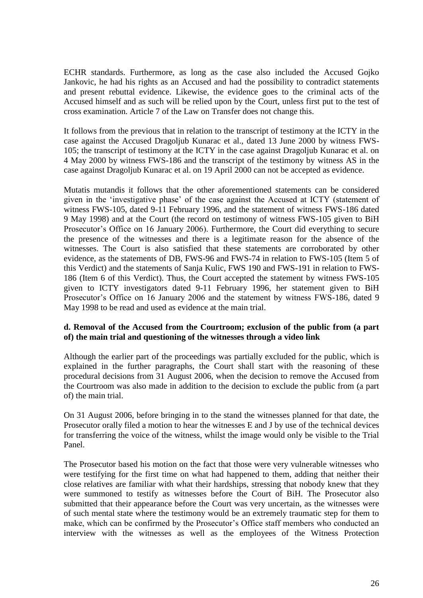ECHR standards. Furthermore, as long as the case also included the Accused Gojko Jankovic, he had his rights as an Accused and had the possibility to contradict statements and present rebuttal evidence. Likewise, the evidence goes to the criminal acts of the Accused himself and as such will be relied upon by the Court, unless first put to the test of cross examination. Article 7 of the Law on Transfer does not change this.

It follows from the previous that in relation to the transcript of testimony at the ICTY in the case against the Accused Dragoljub Kunarac et al., dated 13 June 2000 by witness FWS-105; the transcript of testimony at the ICTY in the case against Dragoljub Kunarac et al. on 4 May 2000 by witness FWS-186 and the transcript of the testimony by witness AS in the case against Dragoljub Kunarac et al. on 19 April 2000 can not be accepted as evidence.

Mutatis mutandis it follows that the other aforementioned statements can be considered given in the 'investigative phase' of the case against the Accused at ICTY (statement of witness FWS-105, dated 9-11 February 1996, and the statement of witness FWS-186 dated 9 May 1998) and at the Court (the record on testimony of witness FWS-105 given to BiH Prosecutor's Office on 16 January 2006). Furthermore, the Court did everything to secure the presence of the witnesses and there is a legitimate reason for the absence of the witnesses. The Court is also satisfied that these statements are corroborated by other evidence, as the statements of DB, FWS-96 and FWS-74 in relation to FWS-105 (Item 5 of this Verdict) and the statements of Sanja Kulic, FWS 190 and FWS-191 in relation to FWS-186 (Item 6 of this Verdict). Thus, the Court accepted the statement by witness FWS-105 given to ICTY investigators dated 9-11 February 1996, her statement given to BiH Prosecutor's Office on 16 January 2006 and the statement by witness FWS-186, dated 9 May 1998 to be read and used as evidence at the main trial.

## **d. Removal of the Accused from the Courtroom; exclusion of the public from (a part of) the main trial and questioning of the witnesses through a video link**

Although the earlier part of the proceedings was partially excluded for the public, which is explained in the further paragraphs, the Court shall start with the reasoning of these procedural decisions from 31 August 2006, when the decision to remove the Accused from the Courtroom was also made in addition to the decision to exclude the public from (a part of) the main trial.

On 31 August 2006, before bringing in to the stand the witnesses planned for that date, the Prosecutor orally filed a motion to hear the witnesses E and J by use of the technical devices for transferring the voice of the witness, whilst the image would only be visible to the Trial Panel.

The Prosecutor based his motion on the fact that those were very vulnerable witnesses who were testifying for the first time on what had happened to them, adding that neither their close relatives are familiar with what their hardships, stressing that nobody knew that they were summoned to testify as witnesses before the Court of BiH. The Prosecutor also submitted that their appearance before the Court was very uncertain, as the witnesses were of such mental state where the testimony would be an extremely traumatic step for them to make, which can be confirmed by the Prosecutor's Office staff members who conducted an interview with the witnesses as well as the employees of the Witness Protection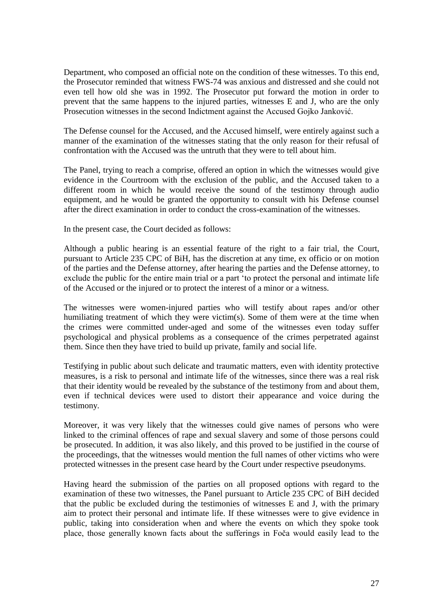Department, who composed an official note on the condition of these witnesses. To this end, the Prosecutor reminded that witness FWS-74 was anxious and distressed and she could not even tell how old she was in 1992. The Prosecutor put forward the motion in order to prevent that the same happens to the injured parties, witnesses E and J, who are the only Prosecution witnesses in the second Indictment against the Accused Gojko Janković.

The Defense counsel for the Accused, and the Accused himself, were entirely against such a manner of the examination of the witnesses stating that the only reason for their refusal of confrontation with the Accused was the untruth that they were to tell about him.

The Panel, trying to reach a comprise, offered an option in which the witnesses would give evidence in the Courtroom with the exclusion of the public, and the Accused taken to a different room in which he would receive the sound of the testimony through audio equipment, and he would be granted the opportunity to consult with his Defense counsel after the direct examination in order to conduct the cross-examination of the witnesses.

In the present case, the Court decided as follows:

Although a public hearing is an essential feature of the right to a fair trial, the Court, pursuant to Article 235 CPC of BiH, has the discretion at any time, ex officio or on motion of the parties and the Defense attorney, after hearing the parties and the Defense attorney, to exclude the public for the entire main trial or a part 'to protect the personal and intimate life of the Accused or the injured or to protect the interest of a minor or a witness.

The witnesses were women-injured parties who will testify about rapes and/or other humiliating treatment of which they were victim(s). Some of them were at the time when the crimes were committed under-aged and some of the witnesses even today suffer psychological and physical problems as a consequence of the crimes perpetrated against them. Since then they have tried to build up private, family and social life.

Testifying in public about such delicate and traumatic matters, even with identity protective measures, is a risk to personal and intimate life of the witnesses, since there was a real risk that their identity would be revealed by the substance of the testimony from and about them, even if technical devices were used to distort their appearance and voice during the testimony.

Moreover, it was very likely that the witnesses could give names of persons who were linked to the criminal offences of rape and sexual slavery and some of those persons could be prosecuted. In addition, it was also likely, and this proved to be justified in the course of the proceedings, that the witnesses would mention the full names of other victims who were protected witnesses in the present case heard by the Court under respective pseudonyms.

Having heard the submission of the parties on all proposed options with regard to the examination of these two witnesses, the Panel pursuant to Article 235 CPC of BiH decided that the public be excluded during the testimonies of witnesses E and J, with the primary aim to protect their personal and intimate life. If these witnesses were to give evidence in public, taking into consideration when and where the events on which they spoke took place, those generally known facts about the sufferings in Foča would easily lead to the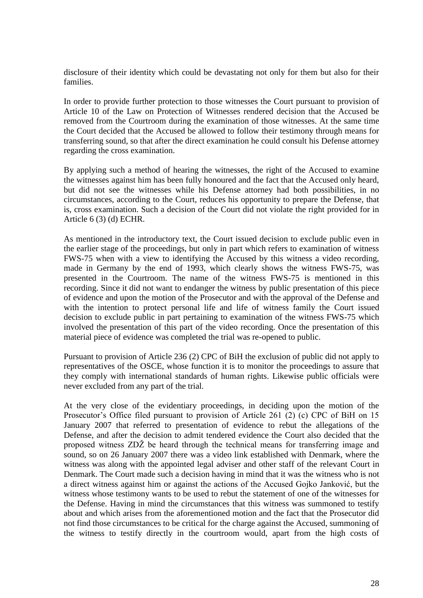disclosure of their identity which could be devastating not only for them but also for their families.

In order to provide further protection to those witnesses the Court pursuant to provision of Article 10 of the Law on Protection of Witnesses rendered decision that the Accused be removed from the Courtroom during the examination of those witnesses. At the same time the Court decided that the Accused be allowed to follow their testimony through means for transferring sound, so that after the direct examination he could consult his Defense attorney regarding the cross examination.

By applying such a method of hearing the witnesses, the right of the Accused to examine the witnesses against him has been fully honoured and the fact that the Accused only heard, but did not see the witnesses while his Defense attorney had both possibilities, in no circumstances, according to the Court, reduces his opportunity to prepare the Defense, that is, cross examination. Such a decision of the Court did not violate the right provided for in Article 6 (3) (d) ECHR.

As mentioned in the introductory text, the Court issued decision to exclude public even in the earlier stage of the proceedings, but only in part which refers to examination of witness FWS-75 when with a view to identifying the Accused by this witness a video recording, made in Germany by the end of 1993, which clearly shows the witness FWS-75, was presented in the Courtroom. The name of the witness FWS-75 is mentioned in this recording. Since it did not want to endanger the witness by public presentation of this piece of evidence and upon the motion of the Prosecutor and with the approval of the Defense and with the intention to protect personal life and life of witness family the Court issued decision to exclude public in part pertaining to examination of the witness FWS-75 which involved the presentation of this part of the video recording. Once the presentation of this material piece of evidence was completed the trial was re-opened to public.

Pursuant to provision of Article 236 (2) CPC of BiH the exclusion of public did not apply to representatives of the OSCE, whose function it is to monitor the proceedings to assure that they comply with international standards of human rights. Likewise public officials were never excluded from any part of the trial.

At the very close of the evidentiary proceedings, in deciding upon the motion of the Prosecutor's Office filed pursuant to provision of Article 261 (2) (c) CPC of BiH on 15 January 2007 that referred to presentation of evidence to rebut the allegations of the Defense, and after the decision to admit tendered evidence the Court also decided that the proposed witness ZDŽ be heard through the technical means for transferring image and sound, so on 26 January 2007 there was a video link established with Denmark, where the witness was along with the appointed legal adviser and other staff of the relevant Court in Denmark. The Court made such a decision having in mind that it was the witness who is not a direct witness against him or against the actions of the Accused Gojko Janković, but the witness whose testimony wants to be used to rebut the statement of one of the witnesses for the Defense. Having in mind the circumstances that this witness was summoned to testify about and which arises from the aforementioned motion and the fact that the Prosecutor did not find those circumstances to be critical for the charge against the Accused, summoning of the witness to testify directly in the courtroom would, apart from the high costs of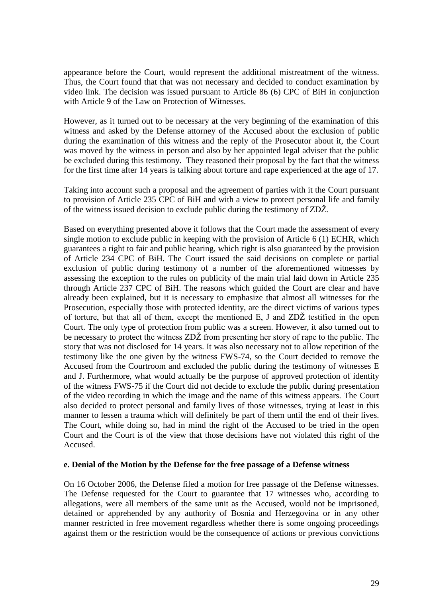appearance before the Court, would represent the additional mistreatment of the witness. Thus, the Court found that that was not necessary and decided to conduct examination by video link. The decision was issued pursuant to Article 86 (6) CPC of BiH in conjunction with Article 9 of the Law on Protection of Witnesses.

However, as it turned out to be necessary at the very beginning of the examination of this witness and asked by the Defense attorney of the Accused about the exclusion of public during the examination of this witness and the reply of the Prosecutor about it, the Court was moved by the witness in person and also by her appointed legal adviser that the public be excluded during this testimony. They reasoned their proposal by the fact that the witness for the first time after 14 years is talking about torture and rape experienced at the age of 17.

Taking into account such a proposal and the agreement of parties with it the Court pursuant to provision of Article 235 CPC of BiH and with a view to protect personal life and family of the witness issued decision to exclude public during the testimony of ZDŽ.

Based on everything presented above it follows that the Court made the assessment of every single motion to exclude public in keeping with the provision of Article 6 (1) ECHR, which guarantees a right to fair and public hearing, which right is also guaranteed by the provision of Article 234 CPC of BiH. The Court issued the said decisions on complete or partial exclusion of public during testimony of a number of the aforementioned witnesses by assessing the exception to the rules on publicity of the main trial laid down in Article 235 through Article 237 CPC of BiH. The reasons which guided the Court are clear and have already been explained, but it is necessary to emphasize that almost all witnesses for the Prosecution, especially those with protected identity, are the direct victims of various types of torture, but that all of them, except the mentioned E, J and ZDŽ testified in the open Court. The only type of protection from public was a screen. However, it also turned out to be necessary to protect the witness ZDŽ from presenting her story of rape to the public. The story that was not disclosed for 14 years. It was also necessary not to allow repetition of the testimony like the one given by the witness FWS-74, so the Court decided to remove the Accused from the Courtroom and excluded the public during the testimony of witnesses E and J. Furthermore, what would actually be the purpose of approved protection of identity of the witness FWS-75 if the Court did not decide to exclude the public during presentation of the video recording in which the image and the name of this witness appears. The Court also decided to protect personal and family lives of those witnesses, trying at least in this manner to lessen a trauma which will definitely be part of them until the end of their lives. The Court, while doing so, had in mind the right of the Accused to be tried in the open Court and the Court is of the view that those decisions have not violated this right of the Accused.

#### **e. Denial of the Motion by the Defense for the free passage of a Defense witness**

On 16 October 2006, the Defense filed a motion for free passage of the Defense witnesses. The Defense requested for the Court to guarantee that 17 witnesses who, according to allegations, were all members of the same unit as the Accused, would not be imprisoned, detained or apprehended by any authority of Bosnia and Herzegovina or in any other manner restricted in free movement regardless whether there is some ongoing proceedings against them or the restriction would be the consequence of actions or previous convictions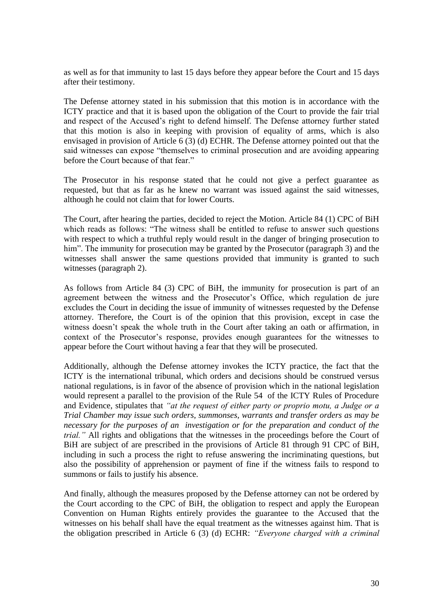as well as for that immunity to last 15 days before they appear before the Court and 15 days after their testimony.

The Defense attorney stated in his submission that this motion is in accordance with the ICTY practice and that it is based upon the obligation of the Court to provide the fair trial and respect of the Accused's right to defend himself. The Defense attorney further stated that this motion is also in keeping with provision of equality of arms, which is also envisaged in provision of Article 6 (3) (d) ECHR. The Defense attorney pointed out that the said witnesses can expose "themselves to criminal prosecution and are avoiding appearing before the Court because of that fear."

The Prosecutor in his response stated that he could not give a perfect guarantee as requested, but that as far as he knew no warrant was issued against the said witnesses, although he could not claim that for lower Courts.

The Court, after hearing the parties, decided to reject the Motion. Article 84 (1) CPC of BiH which reads as follows: "The witness shall be entitled to refuse to answer such questions with respect to which a truthful reply would result in the danger of bringing prosecution to him". The immunity for prosecution may be granted by the Prosecutor (paragraph 3) and the witnesses shall answer the same questions provided that immunity is granted to such witnesses (paragraph 2).

As follows from Article 84 (3) CPC of BiH, the immunity for prosecution is part of an agreement between the witness and the Prosecutor's Office, which regulation de jure excludes the Court in deciding the issue of immunity of witnesses requested by the Defense attorney. Therefore, the Court is of the opinion that this provision, except in case the witness doesn't speak the whole truth in the Court after taking an oath or affirmation, in context of the Prosecutor's response, provides enough guarantees for the witnesses to appear before the Court without having a fear that they will be prosecuted.

Additionally, although the Defense attorney invokes the ICTY practice, the fact that the ICTY is the international tribunal, which orders and decisions should be construed versus national regulations, is in favor of the absence of provision which in the national legislation would represent a parallel to the provision of the Rule 54 of the ICTY Rules of Procedure and Evidence, stipulates that *"at the request of either party or proprio motu, a Judge or a Trial Chamber may issue such orders, summonses, warrants and transfer orders as may be necessary for the purposes of an investigation or for the preparation and conduct of the trial."* All rights and obligations that the witnesses in the proceedings before the Court of BiH are subject of are prescribed in the provisions of Article 81 through 91 CPC of BiH, including in such a process the right to refuse answering the incriminating questions, but also the possibility of apprehension or payment of fine if the witness fails to respond to summons or fails to justify his absence.

And finally, although the measures proposed by the Defense attorney can not be ordered by the Court according to the CPC of BiH, the obligation to respect and apply the European Convention on Human Rights entirely provides the guarantee to the Accused that the witnesses on his behalf shall have the equal treatment as the witnesses against him. That is the obligation prescribed in Article 6 (3) (d) ECHR: *"Everyone charged with a criminal*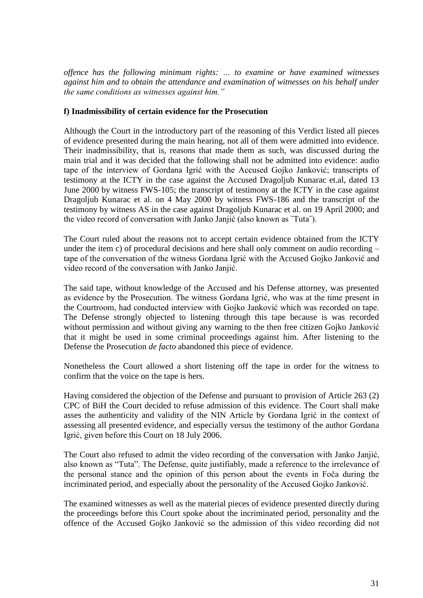*offence has the following minimum rights: … to examine or have examined witnesses against him and to obtain the attendance and examination of witnesses on his behalf under the same conditions as witnesses against him."*

## **f) Inadmissibility of certain evidence for the Prosecution**

Although the Court in the introductory part of the reasoning of this Verdict listed all pieces of evidence presented during the main hearing, not all of them were admitted into evidence. Their inadmissibility, that is, reasons that made them as such, was discussed during the main trial and it was decided that the following shall not be admitted into evidence: audio tape of the interview of Gordana Igrić with the Accused Gojko Janković; transcripts of testimony at the ICTY in the case against the Accused Dragoljub Kunarac et.al, dated 13 June 2000 by witness FWS-105; the transcript of testimony at the ICTY in the case against Dragoljub Kunarac et al. on 4 May 2000 by witness FWS-186 and the transcript of the testimony by witness AS in the case against Dragoljub Kunarac et al. on 19 April 2000; and the video record of conversation with Janko Janjić (also known as ˝Tuta˝).

The Court ruled about the reasons not to accept certain evidence obtained from the ICTY under the item c) of procedural decisions and here shall only comment on audio recording – tape of the conversation of the witness Gordana Igrić with the Accused Gojko Janković and video record of the conversation with Janko Janjić.

The said tape, without knowledge of the Accused and his Defense attorney, was presented as evidence by the Prosecution. The witness Gordana Igrić, who was at the time present in the Courtroom, had conducted interview with Gojko Janković which was recorded on tape. The Defense strongly objected to listening through this tape because is was recorded without permission and without giving any warning to the then free citizen Gojko Janković that it might be used in some criminal proceedings against him. After listening to the Defense the Prosecution *de facto* abandoned this piece of evidence.

Nonetheless the Court allowed a short listening off the tape in order for the witness to confirm that the voice on the tape is hers.

Having considered the objection of the Defense and pursuant to provision of Article 263 (2) CPC of BiH the Court decided to refuse admission of this evidence. The Court shall make asses the authenticity and validity of the NIN Article by Gordana Igrić in the context of assessing all presented evidence, and especially versus the testimony of the author Gordana Igrić, given before this Court on 18 July 2006.

The Court also refused to admit the video recording of the conversation with Janko Janjić, also known as "Tuta". The Defense, quite justifiably, made a reference to the irrelevance of the personal stance and the opinion of this person about the events in Foča during the incriminated period, and especially about the personality of the Accused Gojko Janković.

The examined witnesses as well as the material pieces of evidence presented directly during the proceedings before this Court spoke about the incriminated period, personality and the offence of the Accused Gojko Janković so the admission of this video recording did not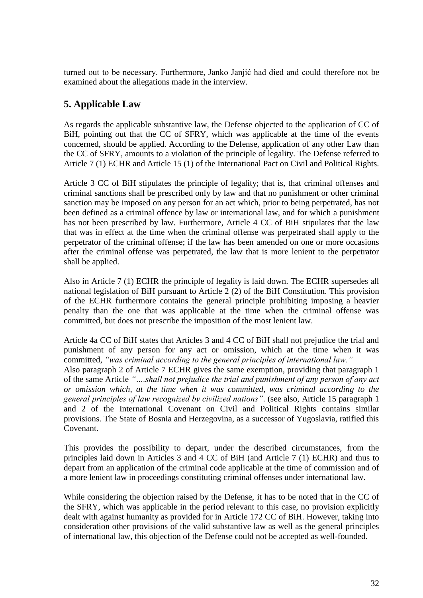turned out to be necessary. Furthermore, Janko Janjić had died and could therefore not be examined about the allegations made in the interview.

# **5. Applicable Law**

As regards the applicable substantive law, the Defense objected to the application of CC of BiH, pointing out that the CC of SFRY, which was applicable at the time of the events concerned, should be applied. According to the Defense, application of any other Law than the CC of SFRY, amounts to a violation of the principle of legality. The Defense referred to Article 7 (1) ECHR and Article 15 (1) of the International Pact on Civil and Political Rights.

Article 3 CC of BiH stipulates the principle of legality; that is, that criminal offenses and criminal sanctions shall be prescribed only by law and that no punishment or other criminal sanction may be imposed on any person for an act which, prior to being perpetrated, has not been defined as a criminal offence by law or international law, and for which a punishment has not been prescribed by law. Furthermore, Article 4 CC of BiH stipulates that the law that was in effect at the time when the criminal offense was perpetrated shall apply to the perpetrator of the criminal offense; if the law has been amended on one or more occasions after the criminal offense was perpetrated, the law that is more lenient to the perpetrator shall be applied.

Also in Article 7 (1) ECHR the principle of legality is laid down. The ECHR supersedes all national legislation of BiH pursuant to Article 2 (2) of the BiH Constitution. This provision of the ECHR furthermore contains the general principle prohibiting imposing a heavier penalty than the one that was applicable at the time when the criminal offense was committed, but does not prescribe the imposition of the most lenient law.

Article 4a CC of BiH states that Articles 3 and 4 CC of BiH shall not prejudice the trial and punishment of any person for any act or omission, which at the time when it was committed, *"was criminal according to the general principles of international law."*  Also paragraph 2 of Article 7 ECHR gives the same exemption, providing that paragraph 1 of the same Article *"….shall not prejudice the trial and punishment of any person of any act or omission which, at the time when it was committed, was criminal according to the general principles of law recognized by civilized nations"*. (see also, Article 15 paragraph 1 and 2 of the International Covenant on Civil and Political Rights contains similar provisions. The State of Bosnia and Herzegovina, as a successor of Yugoslavia, ratified this Covenant.

This provides the possibility to depart, under the described circumstances, from the principles laid down in Articles 3 and 4 CC of BiH (and Article 7 (1) ECHR) and thus to depart from an application of the criminal code applicable at the time of commission and of a more lenient law in proceedings constituting criminal offenses under international law.

While considering the objection raised by the Defense, it has to be noted that in the CC of the SFRY, which was applicable in the period relevant to this case, no provision explicitly dealt with against humanity as provided for in Article 172 CC of BiH. However, taking into consideration other provisions of the valid substantive law as well as the general principles of international law, this objection of the Defense could not be accepted as well-founded.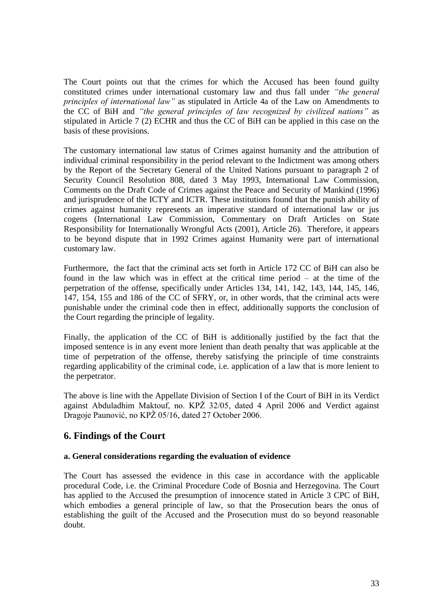The Court points out that the crimes for which the Accused has been found guilty constituted crimes under international customary law and thus fall under *"the general principles of international law"* as stipulated in Article 4a of the Law on Amendments to the CC of BiH and *"the general principles of law recognized by civilized nations"* as stipulated in Article 7 (2) ECHR and thus the CC of BiH can be applied in this case on the basis of these provisions.

The customary international law status of Crimes against humanity and the attribution of individual criminal responsibility in the period relevant to the Indictment was among others by the Report of the Secretary General of the United Nations pursuant to paragraph 2 of Security Council Resolution 808, dated 3 May 1993, International Law Commission, Comments on the Draft Code of Crimes against the Peace and Security of Mankind (1996) and jurisprudence of the ICTY and ICTR. These institutions found that the punish ability of crimes against humanity represents an imperative standard of international law or jus cogens (International Law Commission, Commentary on Draft Articles on State Responsibility for Internationally Wrongful Acts (2001), Article 26). Therefore, it appears to be beyond dispute that in 1992 Crimes against Humanity were part of international customary law.

Furthermore, the fact that the criminal acts set forth in Article 172 CC of BiH can also be found in the law which was in effect at the critical time period – at the time of the perpetration of the offense, specifically under Articles 134, 141, 142, 143, 144, 145, 146, 147, 154, 155 and 186 of the CC of SFRY, or, in other words, that the criminal acts were punishable under the criminal code then in effect, additionally supports the conclusion of the Court regarding the principle of legality.

Finally, the application of the CC of BiH is additionally justified by the fact that the imposed sentence is in any event more lenient than death penalty that was applicable at the time of perpetration of the offense, thereby satisfying the principle of time constraints regarding applicability of the criminal code, i.e. application of a law that is more lenient to the perpetrator.

The above is line with the Appellate Division of Section I of the Court of BiH in its Verdict against Abduladhim Maktouf, no. KPŽ 32/05, dated 4 April 2006 and Verdict against Dragoje Paunović, no KPŽ 05/16, dated 27 October 2006.

# **6. Findings of the Court**

# **a. General considerations regarding the evaluation of evidence**

The Court has assessed the evidence in this case in accordance with the applicable procedural Code, i.e. the Criminal Procedure Code of Bosnia and Herzegovina. The Court has applied to the Accused the presumption of innocence stated in Article 3 CPC of BiH, which embodies a general principle of law, so that the Prosecution bears the onus of establishing the guilt of the Accused and the Prosecution must do so beyond reasonable doubt.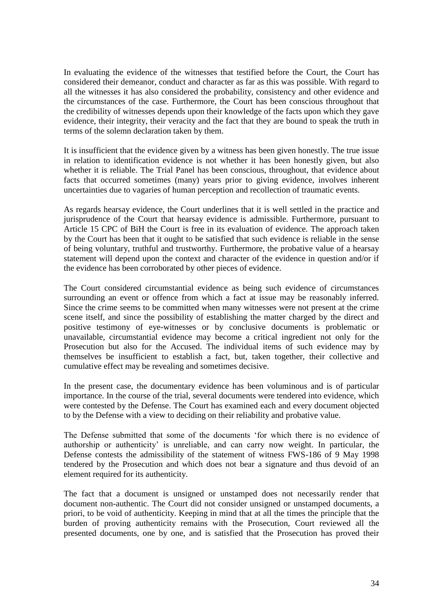In evaluating the evidence of the witnesses that testified before the Court, the Court has considered their demeanor, conduct and character as far as this was possible. With regard to all the witnesses it has also considered the probability, consistency and other evidence and the circumstances of the case. Furthermore, the Court has been conscious throughout that the credibility of witnesses depends upon their knowledge of the facts upon which they gave evidence, their integrity, their veracity and the fact that they are bound to speak the truth in terms of the solemn declaration taken by them.

It is insufficient that the evidence given by a witness has been given honestly. The true issue in relation to identification evidence is not whether it has been honestly given, but also whether it is reliable. The Trial Panel has been conscious, throughout, that evidence about facts that occurred sometimes (many) years prior to giving evidence, involves inherent uncertainties due to vagaries of human perception and recollection of traumatic events.

As regards hearsay evidence, the Court underlines that it is well settled in the practice and jurisprudence of the Court that hearsay evidence is admissible. Furthermore, pursuant to Article 15 CPC of BiH the Court is free in its evaluation of evidence. The approach taken by the Court has been that it ought to be satisfied that such evidence is reliable in the sense of being voluntary, truthful and trustworthy. Furthermore, the probative value of a hearsay statement will depend upon the context and character of the evidence in question and/or if the evidence has been corroborated by other pieces of evidence.

The Court considered circumstantial evidence as being such evidence of circumstances surrounding an event or offence from which a fact at issue may be reasonably inferred. Since the crime seems to be committed when many witnesses were not present at the crime scene itself, and since the possibility of establishing the matter charged by the direct and positive testimony of eye-witnesses or by conclusive documents is problematic or unavailable, circumstantial evidence may become a critical ingredient not only for the Prosecution but also for the Accused. The individual items of such evidence may by themselves be insufficient to establish a fact, but, taken together, their collective and cumulative effect may be revealing and sometimes decisive.

In the present case, the documentary evidence has been voluminous and is of particular importance. In the course of the trial, several documents were tendered into evidence, which were contested by the Defense. The Court has examined each and every document objected to by the Defense with a view to deciding on their reliability and probative value.

The Defense submitted that some of the documents 'for which there is no evidence of authorship or authenticity' is unreliable, and can carry now weight. In particular, the Defense contests the admissibility of the statement of witness FWS-186 of 9 May 1998 tendered by the Prosecution and which does not bear a signature and thus devoid of an element required for its authenticity.

The fact that a document is unsigned or unstamped does not necessarily render that document non-authentic. The Court did not consider unsigned or unstamped documents, a priori, to be void of authenticity. Keeping in mind that at all the times the principle that the burden of proving authenticity remains with the Prosecution, Court reviewed all the presented documents, one by one, and is satisfied that the Prosecution has proved their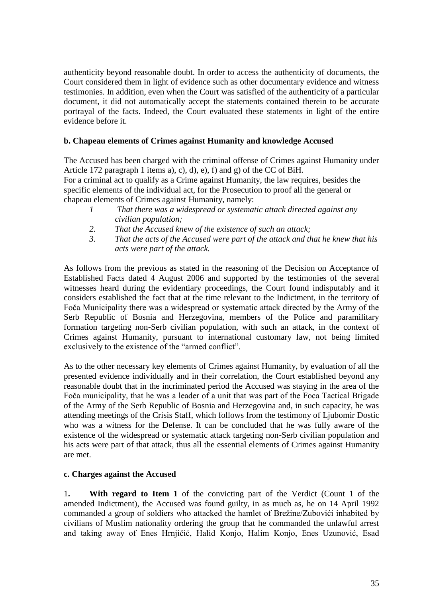authenticity beyond reasonable doubt. In order to access the authenticity of documents, the Court considered them in light of evidence such as other documentary evidence and witness testimonies. In addition, even when the Court was satisfied of the authenticity of a particular document, it did not automatically accept the statements contained therein to be accurate portrayal of the facts. Indeed, the Court evaluated these statements in light of the entire evidence before it.

# **b. Chapeau elements of Crimes against Humanity and knowledge Accused**

The Accused has been charged with the criminal offense of Crimes against Humanity under Article 172 paragraph 1 items a), c), d), e), f) and g) of the CC of BiH. For a criminal act to qualify as a Crime against Humanity, the law requires, besides the

specific elements of the individual act, for the Prosecution to proof all the general or chapeau elements of Crimes against Humanity, namely:

- *1 That there was a widespread or systematic attack directed against any civilian population;*
- *2. That the Accused knew of the existence of such an attack;*
- *3. That the acts of the Accused were part of the attack and that he knew that his acts were part of the attack.*

As follows from the previous as stated in the reasoning of the Decision on Acceptance of Established Facts dated 4 August 2006 and supported by the testimonies of the several witnesses heard during the evidentiary proceedings, the Court found indisputably and it considers established the fact that at the time relevant to the Indictment, in the territory of Foča Municipality there was a widespread or systematic attack directed by the Army of the Serb Republic of Bosnia and Herzegovina, members of the Police and paramilitary formation targeting non-Serb civilian population, with such an attack, in the context of Crimes against Humanity, pursuant to international customary law, not being limited exclusively to the existence of the "armed conflict".

As to the other necessary key elements of Crimes against Humanity, by evaluation of all the presented evidence individually and in their correlation, the Court established beyond any reasonable doubt that in the incriminated period the Accused was staying in the area of the Foča municipality, that he was a leader of a unit that was part of the Foca Tactical Brigade of the Army of the Serb Republic of Bosnia and Herzegovina and, in such capacity, he was attending meetings of the Crisis Staff, which follows from the testimony of Ljubomir Dostic who was a witness for the Defense. It can be concluded that he was fully aware of the existence of the widespread or systematic attack targeting non-Serb civilian population and his acts were part of that attack, thus all the essential elements of Crimes against Humanity are met.

# **c. Charges against the Accused**

1**. With regard to Item 1** of the convicting part of the Verdict (Count 1 of the amended Indictment), the Accused was found guilty, in as much as, he on 14 April 1992 commanded a group of soldiers who attacked the hamlet of Brežine/Zubovići inhabited by civilians of Muslim nationality ordering the group that he commanded the unlawful arrest and taking away of Enes Hrnjičić, Halid Konjo, Halim Konjo, Enes Uzunović, Esad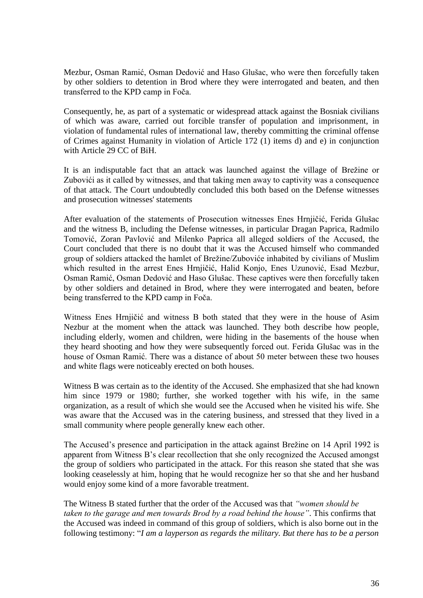Mezbur, Osman Ramić, Osman Dedović and Haso Glušac, who were then forcefully taken by other soldiers to detention in Brod where they were interrogated and beaten, and then transferred to the KPD camp in Foča.

Consequently, he, as part of a systematic or widespread attack against the Bosniak civilians of which was aware, carried out forcible transfer of population and imprisonment, in violation of fundamental rules of international law, thereby committing the criminal offense of Crimes against Humanity in violation of Article 172 (1) items d) and e) in conjunction with Article 29 CC of BiH.

It is an indisputable fact that an attack was launched against the village of Brežine or Zubovići as it called by witnesses, and that taking men away to captivity was a consequence of that attack. The Court undoubtedly concluded this both based on the Defense witnesses and prosecution witnesses' statements

After evaluation of the statements of Prosecution witnesses Enes Hrnjičić, Ferida Glušac and the witness B, including the Defense witnesses, in particular Dragan Paprica, Radmilo Tomović, Zoran Pavlović and Milenko Paprica all alleged soldiers of the Accused, the Court concluded that there is no doubt that it was the Accused himself who commanded group of soldiers attacked the hamlet of Brežine/Zuboviće inhabited by civilians of Muslim which resulted in the arrest Enes Hrnjičić, Halid Konjo, Enes Uzunović, Esad Mezbur, Osman Ramić, Osman Dedović and Haso Glušac. These captives were then forcefully taken by other soldiers and detained in Brod, where they were interrogated and beaten, before being transferred to the KPD camp in Foča.

Witness Enes Hrnjičić and witness B both stated that they were in the house of Asim Nezbur at the moment when the attack was launched. They both describe how people, including elderly, women and children, were hiding in the basements of the house when they heard shooting and how they were subsequently forced out. Ferida Glušac was in the house of Osman Ramić. There was a distance of about 50 meter between these two houses and white flags were noticeably erected on both houses.

Witness B was certain as to the identity of the Accused. She emphasized that she had known him since 1979 or 1980; further, she worked together with his wife, in the same organization, as a result of which she would see the Accused when he visited his wife. She was aware that the Accused was in the catering business, and stressed that they lived in a small community where people generally knew each other.

The Accused's presence and participation in the attack against Brežine on 14 April 1992 is apparent from Witness B's clear recollection that she only recognized the Accused amongst the group of soldiers who participated in the attack. For this reason she stated that she was looking ceaselessly at him, hoping that he would recognize her so that she and her husband would enjoy some kind of a more favorable treatment.

The Witness B stated further that the order of the Accused was that *"women should be taken to the garage and men towards Brod by a road behind the house"*. This confirms that the Accused was indeed in command of this group of soldiers, which is also borne out in the following testimony: "*I am a layperson as regards the military. But there has to be a person*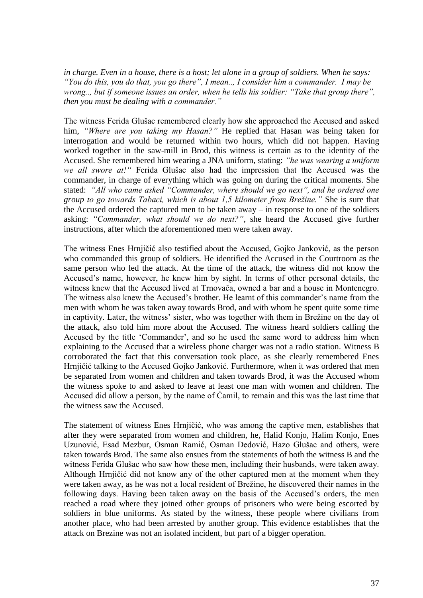*in charge. Even in a house, there is a host; let alone in a group of soldiers. When he says: "You do this, you do that, you go there", I mean.., I consider him a commander. I may be wrong.., but if someone issues an order, when he tells his soldier: "Take that group there", then you must be dealing with a commander."* 

The witness Ferida Glušac remembered clearly how she approached the Accused and asked him, *"Where are you taking my Hasan?"* He replied that Hasan was being taken for interrogation and would be returned within two hours, which did not happen. Having worked together in the saw-mill in Brod, this witness is certain as to the identity of the Accused. She remembered him wearing a JNA uniform, stating: *"he was wearing a uniform we all swore at!"* Ferida Glušac also had the impression that the Accused was the commander, in charge of everything which was going on during the critical moments. She stated: *"All who came asked "Commander, where should we go next", and he ordered one group to go towards Tabaci, which is about 1,5 kilometer from Brežine."* She is sure that the Accused ordered the captured men to be taken away – in response to one of the soldiers asking: *"Commander, what should we do next?"*, she heard the Accused give further instructions, after which the aforementioned men were taken away.

The witness Enes Hrnjičić also testified about the Accused, Gojko Janković, as the person who commanded this group of soldiers. He identified the Accused in the Courtroom as the same person who led the attack. At the time of the attack, the witness did not know the Accused's name, however, he knew him by sight. In terms of other personal details, the witness knew that the Accused lived at Trnovača, owned a bar and a house in Montenegro. The witness also knew the Accused's brother. He learnt of this commander's name from the men with whom he was taken away towards Brod, and with whom he spent quite some time in captivity. Later, the witness' sister, who was together with them in Brežine on the day of the attack, also told him more about the Accused. The witness heard soldiers calling the Accused by the title 'Commander', and so he used the same word to address him when explaining to the Accused that a wireless phone charger was not a radio station. Witness B corroborated the fact that this conversation took place, as she clearly remembered Enes Hrnjičić talking to the Accused Gojko Janković. Furthermore, when it was ordered that men be separated from women and children and taken towards Brod, it was the Accused whom the witness spoke to and asked to leave at least one man with women and children. The Accused did allow a person, by the name of Ćamil, to remain and this was the last time that the witness saw the Accused.

The statement of witness Enes Hrnjičić, who was among the captive men, establishes that after they were separated from women and children, he, Halid Konjo, Halim Konjo, Enes Uzunović, Esad Mezbur, Osman Ramić, Osman Dedović, Hazo Glušac and others, were taken towards Brod. The same also ensues from the statements of both the witness B and the witness Ferida Glušac who saw how these men, including their husbands, were taken away. Although Hrnjičić did not know any of the other captured men at the moment when they were taken away, as he was not a local resident of Brežine, he discovered their names in the following days. Having been taken away on the basis of the Accused's orders, the men reached a road where they joined other groups of prisoners who were being escorted by soldiers in blue uniforms. As stated by the witness, these people where civilians from another place, who had been arrested by another group. This evidence establishes that the attack on Brezine was not an isolated incident, but part of a bigger operation.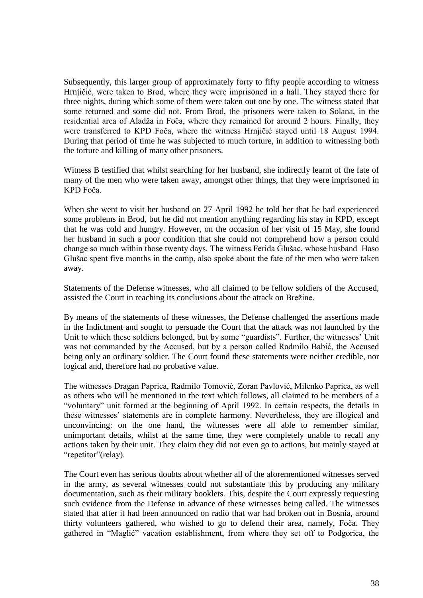Subsequently, this larger group of approximately forty to fifty people according to witness Hrnjičić, were taken to Brod, where they were imprisoned in a hall. They stayed there for three nights, during which some of them were taken out one by one. The witness stated that some returned and some did not. From Brod, the prisoners were taken to Solana, in the residential area of Aladža in Foča, where they remained for around 2 hours. Finally, they were transferred to KPD Foča, where the witness Hrnjičić stayed until 18 August 1994. During that period of time he was subjected to much torture, in addition to witnessing both the torture and killing of many other prisoners.

Witness B testified that whilst searching for her husband, she indirectly learnt of the fate of many of the men who were taken away, amongst other things, that they were imprisoned in KPD Foča.

When she went to visit her husband on 27 April 1992 he told her that he had experienced some problems in Brod, but he did not mention anything regarding his stay in KPD, except that he was cold and hungry. However, on the occasion of her visit of 15 May, she found her husband in such a poor condition that she could not comprehend how a person could change so much within those twenty days. The witness Ferida Glušac, whose husband Haso Glušac spent five months in the camp, also spoke about the fate of the men who were taken away.

Statements of the Defense witnesses, who all claimed to be fellow soldiers of the Accused, assisted the Court in reaching its conclusions about the attack on Brežine.

By means of the statements of these witnesses, the Defense challenged the assertions made in the Indictment and sought to persuade the Court that the attack was not launched by the Unit to which these soldiers belonged, but by some "guardists". Further, the witnesses' Unit was not commanded by the Accused, but by a person called Radmilo Babić, the Accused being only an ordinary soldier. The Court found these statements were neither credible, nor logical and, therefore had no probative value.

The witnesses Dragan Paprica, Radmilo Tomović, Zoran Pavlović, Milenko Paprica, as well as others who will be mentioned in the text which follows, all claimed to be members of a "voluntary" unit formed at the beginning of April 1992. In certain respects, the details in these witnesses' statements are in complete harmony. Nevertheless, they are illogical and unconvincing: on the one hand, the witnesses were all able to remember similar, unimportant details, whilst at the same time, they were completely unable to recall any actions taken by their unit. They claim they did not even go to actions, but mainly stayed at "repetitor"(relay).

The Court even has serious doubts about whether all of the aforementioned witnesses served in the army, as several witnesses could not substantiate this by producing any military documentation, such as their military booklets. This, despite the Court expressly requesting such evidence from the Defense in advance of these witnesses being called. The witnesses stated that after it had been announced on radio that war had broken out in Bosnia, around thirty volunteers gathered, who wished to go to defend their area, namely, Foča. They gathered in "Maglić" vacation establishment, from where they set off to Podgorica, the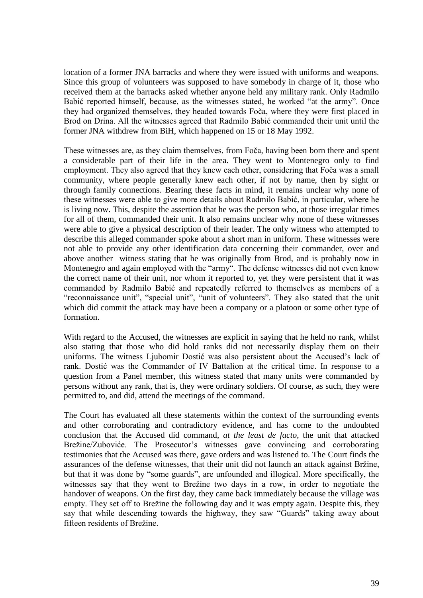location of a former JNA barracks and where they were issued with uniforms and weapons. Since this group of volunteers was supposed to have somebody in charge of it, those who received them at the barracks asked whether anyone held any military rank. Only Radmilo Babić reported himself, because, as the witnesses stated, he worked "at the army". Once they had organized themselves, they headed towards Foča, where they were first placed in Brod on Drina. All the witnesses agreed that Radmilo Babić commanded their unit until the former JNA withdrew from BiH, which happened on 15 or 18 May 1992.

These witnesses are, as they claim themselves, from Foča, having been born there and spent a considerable part of their life in the area. They went to Montenegro only to find employment. They also agreed that they knew each other, considering that Foča was a small community, where people generally knew each other, if not by name, then by sight or through family connections. Bearing these facts in mind, it remains unclear why none of these witnesses were able to give more details about Radmilo Babić, in particular, where he is living now. This, despite the assertion that he was the person who, at those irregular times for all of them, commanded their unit. It also remains unclear why none of these witnesses were able to give a physical description of their leader. The only witness who attempted to describe this alleged commander spoke about a short man in uniform. These witnesses were not able to provide any other identification data concerning their commander, over and above another witness stating that he was originally from Brod, and is probably now in Montenegro and again employed with the "army". The defense witnesses did not even know the correct name of their unit, nor whom it reported to, yet they were persistent that it was commanded by Radmilo Babić and repeatedly referred to themselves as members of a "reconnaissance unit", "special unit", "unit of volunteers". They also stated that the unit which did commit the attack may have been a company or a platoon or some other type of formation.

With regard to the Accused, the witnesses are explicit in saying that he held no rank, whilst also stating that those who did hold ranks did not necessarily display them on their uniforms. The witness Ljubomir Dostić was also persistent about the Accused's lack of rank. Dostić was the Commander of IV Battalion at the critical time. In response to a question from a Panel member, this witness stated that many units were commanded by persons without any rank, that is, they were ordinary soldiers. Of course, as such, they were permitted to, and did, attend the meetings of the command.

The Court has evaluated all these statements within the context of the surrounding events and other corroborating and contradictory evidence, and has come to the undoubted conclusion that the Accused did command, *at the least de facto*, the unit that attacked Brežine/Zuboviće. The Prosecutor's witnesses gave convincing and corroborating testimonies that the Accused was there, gave orders and was listened to. The Court finds the assurances of the defense witnesses, that their unit did not launch an attack against Bržine, but that it was done by "some guards", are unfounded and illogical. More specifically, the witnesses say that they went to Brežine two days in a row, in order to negotiate the handover of weapons. On the first day, they came back immediately because the village was empty. They set off to Brežine the following day and it was empty again. Despite this, they say that while descending towards the highway, they saw "Guards" taking away about fifteen residents of Brežine.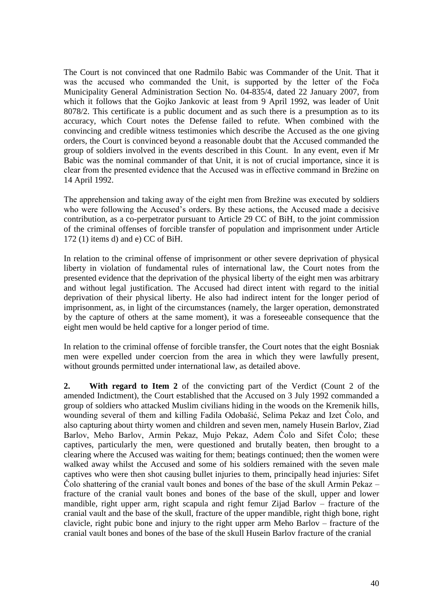The Court is not convinced that one Radmilo Babic was Commander of the Unit. That it was the accused who commanded the Unit, is supported by the letter of the Foča Municipality General Administration Section No. 04-835/4, dated 22 January 2007, from which it follows that the Gojko Jankovic at least from 9 April 1992, was leader of Unit 8078/2. This certificate is a public document and as such there is a presumption as to its accuracy, which Court notes the Defense failed to refute. When combined with the convincing and credible witness testimonies which describe the Accused as the one giving orders, the Court is convinced beyond a reasonable doubt that the Accused commanded the group of soldiers involved in the events described in this Count. In any event, even if Mr Babic was the nominal commander of that Unit, it is not of crucial importance, since it is clear from the presented evidence that the Accused was in effective command in Brežine on 14 April 1992.

The apprehension and taking away of the eight men from Brežine was executed by soldiers who were following the Accused's orders. By these actions, the Accused made a decisive contribution, as a co-perpetrator pursuant to Article 29 CC of BiH, to the joint commission of the criminal offenses of forcible transfer of population and imprisonment under Article 172 (1) items d) and e) CC of BiH.

In relation to the criminal offense of imprisonment or other severe deprivation of physical liberty in violation of fundamental rules of international law, the Court notes from the presented evidence that the deprivation of the physical liberty of the eight men was arbitrary and without legal justification. The Accused had direct intent with regard to the initial deprivation of their physical liberty. He also had indirect intent for the longer period of imprisonment, as, in light of the circumstances (namely, the larger operation, demonstrated by the capture of others at the same moment), it was a foreseeable consequence that the eight men would be held captive for a longer period of time.

In relation to the criminal offense of forcible transfer, the Court notes that the eight Bosniak men were expelled under coercion from the area in which they were lawfully present, without grounds permitted under international law, as detailed above.

**2. With regard to Item 2** of the convicting part of the Verdict (Count 2 of the amended Indictment), the Court established that the Accused on 3 July 1992 commanded a group of soldiers who attacked Muslim civilians hiding in the woods on the Kremenik hills, wounding several of them and killing Fadila Odobašić, Selima Pekaz and Izet Čolo, and also capturing about thirty women and children and seven men, namely Husein Barlov, Ziad Barlov, Meho Barlov, Armin Pekaz, Mujo Pekaz, Adem Čolo and Sifet Čolo; these captives, particularly the men, were questioned and brutally beaten, then brought to a clearing where the Accused was waiting for them; beatings continued; then the women were walked away whilst the Accused and some of his soldiers remained with the seven male captives who were then shot causing bullet injuries to them, principally head injuries: Sifet Čolo shattering of the cranial vault bones and bones of the base of the skull Armin Pekaz – fracture of the cranial vault bones and bones of the base of the skull, upper and lower mandible, right upper arm, right scapula and right femur Zijad Barlov – fracture of the cranial vault and the base of the skull, fracture of the upper mandible, right thigh bone, right clavicle, right pubic bone and injury to the right upper arm Meho Barlov – fracture of the cranial vault bones and bones of the base of the skull Husein Barlov fracture of the cranial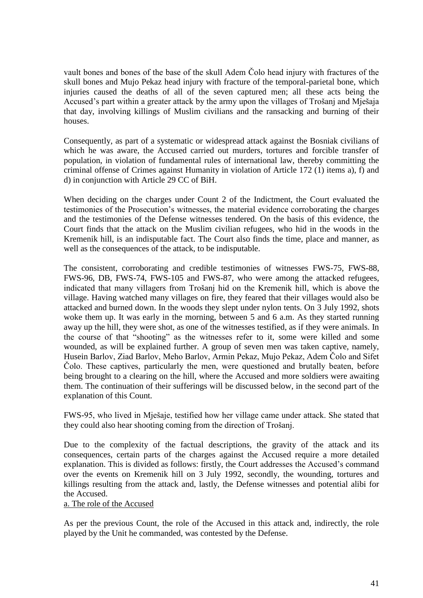vault bones and bones of the base of the skull Adem Čolo head injury with fractures of the skull bones and Mujo Pekaz head injury with fracture of the temporal-parietal bone, which injuries caused the deaths of all of the seven captured men; all these acts being the Accused's part within a greater attack by the army upon the villages of Trošanj and Mješaja that day, involving killings of Muslim civilians and the ransacking and burning of their houses.

Consequently, as part of a systematic or widespread attack against the Bosniak civilians of which he was aware, the Accused carried out murders, tortures and forcible transfer of population, in violation of fundamental rules of international law, thereby committing the criminal offense of Crimes against Humanity in violation of Article 172 (1) items a), f) and d) in conjunction with Article 29 CC of BiH.

When deciding on the charges under Count 2 of the Indictment, the Court evaluated the testimonies of the Prosecution's witnesses, the material evidence corroborating the charges and the testimonies of the Defense witnesses tendered. On the basis of this evidence, the Court finds that the attack on the Muslim civilian refugees, who hid in the woods in the Kremenik hill, is an indisputable fact. The Court also finds the time, place and manner, as well as the consequences of the attack, to be indisputable.

The consistent, corroborating and credible testimonies of witnesses FWS-75, FWS-88, FWS-96, DB, FWS-74, FWS-105 and FWS-87, who were among the attacked refugees, indicated that many villagers from Trošanj hid on the Kremenik hill, which is above the village. Having watched many villages on fire, they feared that their villages would also be attacked and burned down. In the woods they slept under nylon tents. On 3 July 1992, shots woke them up. It was early in the morning, between 5 and 6 a.m. As they started running away up the hill, they were shot, as one of the witnesses testified, as if they were animals. In the course of that "shooting" as the witnesses refer to it, some were killed and some wounded, as will be explained further. A group of seven men was taken captive, namely, Husein Barlov, Ziad Barlov, Meho Barlov, Armin Pekaz, Mujo Pekaz, Adem Čolo and Sifet Čolo. These captives, particularly the men, were questioned and brutally beaten, before being brought to a clearing on the hill, where the Accused and more soldiers were awaiting them. The continuation of their sufferings will be discussed below, in the second part of the explanation of this Count.

FWS-95, who lived in Mješaje, testified how her village came under attack. She stated that they could also hear shooting coming from the direction of Trošanj.

Due to the complexity of the factual descriptions, the gravity of the attack and its consequences, certain parts of the charges against the Accused require a more detailed explanation. This is divided as follows: firstly, the Court addresses the Accused's command over the events on Kremenik hill on 3 July 1992, secondly, the wounding, tortures and killings resulting from the attack and, lastly, the Defense witnesses and potential alibi for the Accused.

a. The role of the Accused

As per the previous Count, the role of the Accused in this attack and, indirectly, the role played by the Unit he commanded, was contested by the Defense.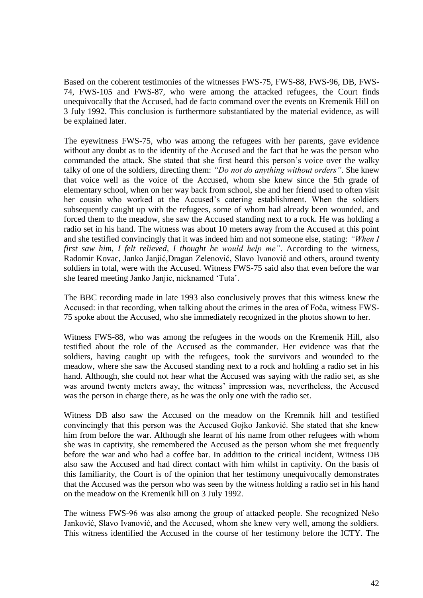Based on the coherent testimonies of the witnesses FWS-75, FWS-88, FWS-96, DB, FWS-74, FWS-105 and FWS-87, who were among the attacked refugees, the Court finds unequivocally that the Accused, had de facto command over the events on Kremenik Hill on 3 July 1992. This conclusion is furthermore substantiated by the material evidence, as will be explained later.

The eyewitness FWS-75, who was among the refugees with her parents, gave evidence without any doubt as to the identity of the Accused and the fact that he was the person who commanded the attack. She stated that she first heard this person's voice over the walky talky of one of the soldiers, directing them: *"Do not do anything without orders"*. She knew that voice well as the voice of the Accused, whom she knew since the 5th grade of elementary school, when on her way back from school, she and her friend used to often visit her cousin who worked at the Accused's catering establishment. When the soldiers subsequently caught up with the refugees, some of whom had already been wounded, and forced them to the meadow, she saw the Accused standing next to a rock. He was holding a radio set in his hand. The witness was about 10 meters away from the Accused at this point and she testified convincingly that it was indeed him and not someone else, stating: *"When I first saw him, I felt relieved, I thought he would help me"*. According to the witness, Radomir Kovac, Janko Janjić,Dragan Zelenović, Slavo Ivanović and others, around twenty soldiers in total, were with the Accused. Witness FWS-75 said also that even before the war she feared meeting Janko Janjic, nicknamed 'Tuta'.

The BBC recording made in late 1993 also conclusively proves that this witness knew the Accused: in that recording, when talking about the crimes in the area of Foča, witness FWS-75 spoke about the Accused, who she immediately recognized in the photos shown to her.

Witness FWS-88, who was among the refugees in the woods on the Kremenik Hill, also testified about the role of the Accused as the commander. Her evidence was that the soldiers, having caught up with the refugees, took the survivors and wounded to the meadow, where she saw the Accused standing next to a rock and holding a radio set in his hand. Although, she could not hear what the Accused was saying with the radio set, as she was around twenty meters away, the witness' impression was, nevertheless, the Accused was the person in charge there, as he was the only one with the radio set.

Witness DB also saw the Accused on the meadow on the Kremnik hill and testified convincingly that this person was the Accused Gojko Janković. She stated that she knew him from before the war. Although she learnt of his name from other refugees with whom she was in captivity, she remembered the Accused as the person whom she met frequently before the war and who had a coffee bar. In addition to the critical incident, Witness DB also saw the Accused and had direct contact with him whilst in captivity. On the basis of this familiarity, the Court is of the opinion that her testimony unequivocally demonstrates that the Accused was the person who was seen by the witness holding a radio set in his hand on the meadow on the Kremenik hill on 3 July 1992.

The witness FWS-96 was also among the group of attacked people. She recognized Nešo Janković, Slavo Ivanović, and the Accused, whom she knew very well, among the soldiers. This witness identified the Accused in the course of her testimony before the ICTY. The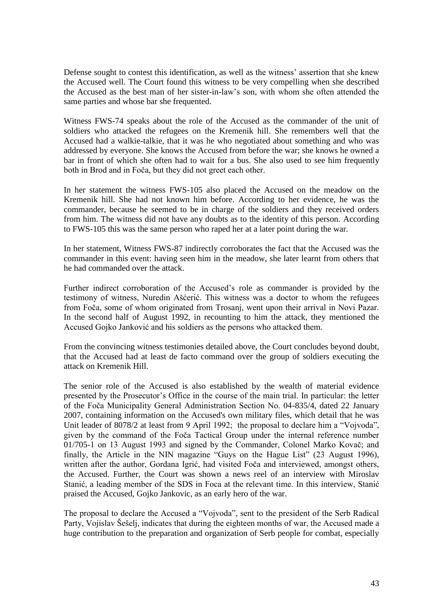Defense sought to contest this identification, as well as the witness' assertion that she knew the Accused well. The Court found this witness to be very compelling when she described the Accused as the best man of her sister-in-law's son, with whom she often attended the same parties and whose bar she frequented.

Witness FWS-74 speaks about the role of the Accused as the commander of the unit of soldiers who attacked the refugees on the Kremenik hill. She remembers well that the Accused had a walkie-talkie, that it was he who negotiated about something and who was addressed by everyone. She knows the Accused from before the war; she knows he owned a bar in front of which she often had to wait for a bus. She also used to see him frequently both in Brod and in Foča, but they did not greet each other.

In her statement the witness FWS-105 also placed the Accused on the meadow on the Kremenik hill. She had not known him before. According to her evidence, he was the commander, because he seemed to be in charge of the soldiers and they received orders from him. The witness did not have any doubts as to the identity of this person. According to FWS-105 this was the same person who raped her at a later point during the war.

In her statement, Witness FWS-87 indirectly corroborates the fact that the Accused was the commander in this event: having seen him in the meadow, she later learnt from others that he had commanded over the attack.

Further indirect corroboration of the Accused's role as commander is provided by the testimony of witness, Nuredin Ašćerić. This witness was a doctor to whom the refugees from Foča, some of whom originated from Trosanj, went upon their arrival in Novi Pazar. In the second half of August 1992, in recounting to him the attack, they mentioned the Accused Gojko Janković and his soldiers as the persons who attacked them.

From the convincing witness testimonies detailed above, the Court concludes beyond doubt, that the Accused had at least de facto command over the group of soldiers executing the attack on Kremenik Hill.

The senior role of the Accused is also established by the wealth of material evidence presented by the Prosecutor's Office in the course of the main trial. In particular: the letter of the Foča Municipality General Administration Section No. 04-835/4, dated 22 January 2007, containing information on the Accused's own military files, which detail that he was Unit leader of 8078/2 at least from 9 April 1992; the proposal to declare him a "Vojvoda", given by the command of the Foča Tactical Group under the internal reference number 01/705-1 on 13 August 1993 and signed by the Commander, Colonel Marko Kovač; and finally, the Article in the NIN magazine "Guys on the Hague List" (23 August 1996), written after the author, Gordana Igrić, had visited Foča and interviewed, amongst others, the Accused. Further, the Court was shown a news reel of an interview with Miroslav Stanić, a leading member of the SDS in Foca at the relevant time. In this interview, Stanić praised the Accused, Gojko Jankovic, as an early hero of the war.

The proposal to declare the Accused a "Vojvoda", sent to the president of the Serb Radical Party, Vojislav Šešelj, indicates that during the eighteen months of war, the Accused made a huge contribution to the preparation and organization of Serb people for combat, especially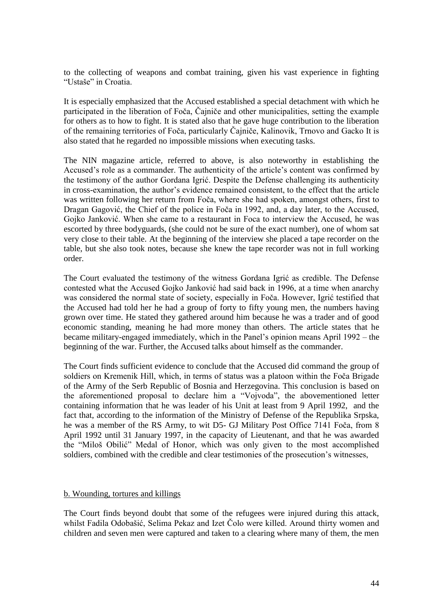to the collecting of weapons and combat training, given his vast experience in fighting "Ustaše" in Croatia.

It is especially emphasized that the Accused established a special detachment with which he participated in the liberation of Foča, Čajniče and other municipalities, setting the example for others as to how to fight. It is stated also that he gave huge contribution to the liberation of the remaining territories of Foča, particularly Čajniče, Kalinovik, Trnovo and Gacko It is also stated that he regarded no impossible missions when executing tasks.

The NIN magazine article, referred to above, is also noteworthy in establishing the Accused's role as a commander. The authenticity of the article's content was confirmed by the testimony of the author Gordana Igrić. Despite the Defense challenging its authenticity in cross-examination, the author's evidence remained consistent, to the effect that the article was written following her return from Foča, where she had spoken, amongst others, first to Dragan Gagović, the Chief of the police in Foča in 1992, and, a day later, to the Accused, Gojko Janković. When she came to a restaurant in Foca to interview the Accused, he was escorted by three bodyguards, (she could not be sure of the exact number), one of whom sat very close to their table. At the beginning of the interview she placed a tape recorder on the table, but she also took notes, because she knew the tape recorder was not in full working order.

The Court evaluated the testimony of the witness Gordana Igrić as credible. The Defense contested what the Accused Gojko Janković had said back in 1996, at a time when anarchy was considered the normal state of society, especially in Foča. However, Igrić testified that the Accused had told her he had a group of forty to fifty young men, the numbers having grown over time. He stated they gathered around him because he was a trader and of good economic standing, meaning he had more money than others. The article states that he became military-engaged immediately, which in the Panel's opinion means April 1992 – the beginning of the war. Further, the Accused talks about himself as the commander.

The Court finds sufficient evidence to conclude that the Accused did command the group of soldiers on Kremenik Hill, which, in terms of status was a platoon within the Foča Brigade of the Army of the Serb Republic of Bosnia and Herzegovina. This conclusion is based on the aforementioned proposal to declare him a "Vojvoda", the abovementioned letter containing information that he was leader of his Unit at least from 9 April 1992, and the fact that, according to the information of the Ministry of Defense of the Republika Srpska, he was a member of the RS Army, to wit D5- GJ Military Post Office 7141 Foča, from 8 April 1992 until 31 January 1997, in the capacity of Lieutenant, and that he was awarded the "Miloš Obilić" Medal of Honor, which was only given to the most accomplished soldiers, combined with the credible and clear testimonies of the prosecution's witnesses,

## b. Wounding, tortures and killings

The Court finds beyond doubt that some of the refugees were injured during this attack, whilst Fadila Odobašić, Selima Pekaz and Izet Čolo were killed. Around thirty women and children and seven men were captured and taken to a clearing where many of them, the men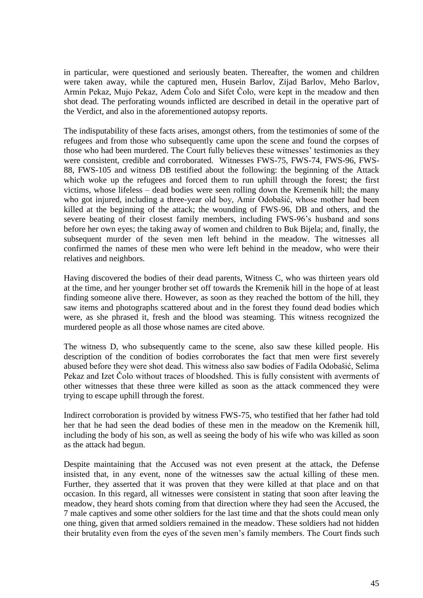in particular, were questioned and seriously beaten. Thereafter, the women and children were taken away, while the captured men, Husein Barlov, Zijad Barlov, Meho Barlov, Armin Pekaz, Mujo Pekaz, Adem Čolo and Sifet Čolo, were kept in the meadow and then shot dead. The perforating wounds inflicted are described in detail in the operative part of the Verdict, and also in the aforementioned autopsy reports.

The indisputability of these facts arises, amongst others, from the testimonies of some of the refugees and from those who subsequently came upon the scene and found the corpses of those who had been murdered. The Court fully believes these witnesses' testimonies as they were consistent, credible and corroborated. Witnesses FWS-75, FWS-74, FWS-96, FWS-88, FWS-105 and witness DB testified about the following: the beginning of the Attack which woke up the refugees and forced them to run uphill through the forest; the first victims, whose lifeless – dead bodies were seen rolling down the Kremenik hill; the many who got injured, including a three-year old boy, Amir Odobašić, whose mother had been killed at the beginning of the attack; the wounding of FWS-96, DB and others, and the severe beating of their closest family members, including FWS-96's husband and sons before her own eyes; the taking away of women and children to Buk Bijela; and, finally, the subsequent murder of the seven men left behind in the meadow. The witnesses all confirmed the names of these men who were left behind in the meadow, who were their relatives and neighbors.

Having discovered the bodies of their dead parents, Witness C, who was thirteen years old at the time, and her younger brother set off towards the Kremenik hill in the hope of at least finding someone alive there. However, as soon as they reached the bottom of the hill, they saw items and photographs scattered about and in the forest they found dead bodies which were, as she phrased it, fresh and the blood was steaming. This witness recognized the murdered people as all those whose names are cited above.

The witness D, who subsequently came to the scene, also saw these killed people. His description of the condition of bodies corroborates the fact that men were first severely abused before they were shot dead. This witness also saw bodies of Fadila Odobašić, Selima Pekaz and Izet Čolo without traces of bloodshed. This is fully consistent with averments of other witnesses that these three were killed as soon as the attack commenced they were trying to escape uphill through the forest.

Indirect corroboration is provided by witness FWS-75, who testified that her father had told her that he had seen the dead bodies of these men in the meadow on the Kremenik hill, including the body of his son, as well as seeing the body of his wife who was killed as soon as the attack had begun.

Despite maintaining that the Accused was not even present at the attack, the Defense insisted that, in any event, none of the witnesses saw the actual killing of these men. Further, they asserted that it was proven that they were killed at that place and on that occasion. In this regard, all witnesses were consistent in stating that soon after leaving the meadow, they heard shots coming from that direction where they had seen the Accused, the 7 male captives and some other soldiers for the last time and that the shots could mean only one thing, given that armed soldiers remained in the meadow. These soldiers had not hidden their brutality even from the eyes of the seven men's family members. The Court finds such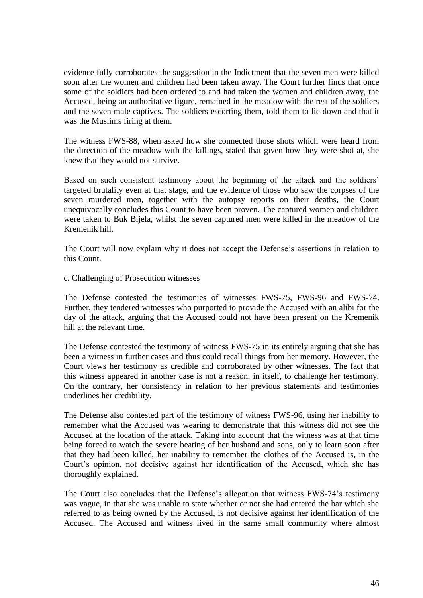evidence fully corroborates the suggestion in the Indictment that the seven men were killed soon after the women and children had been taken away. The Court further finds that once some of the soldiers had been ordered to and had taken the women and children away, the Accused, being an authoritative figure, remained in the meadow with the rest of the soldiers and the seven male captives. The soldiers escorting them, told them to lie down and that it was the Muslims firing at them.

The witness FWS-88, when asked how she connected those shots which were heard from the direction of the meadow with the killings, stated that given how they were shot at, she knew that they would not survive.

Based on such consistent testimony about the beginning of the attack and the soldiers' targeted brutality even at that stage, and the evidence of those who saw the corpses of the seven murdered men, together with the autopsy reports on their deaths, the Court unequivocally concludes this Count to have been proven. The captured women and children were taken to Buk Bijela, whilst the seven captured men were killed in the meadow of the Kremenik hill.

The Court will now explain why it does not accept the Defense's assertions in relation to this Count.

## c. Challenging of Prosecution witnesses

The Defense contested the testimonies of witnesses FWS-75, FWS-96 and FWS-74. Further, they tendered witnesses who purported to provide the Accused with an alibi for the day of the attack, arguing that the Accused could not have been present on the Kremenik hill at the relevant time.

The Defense contested the testimony of witness FWS-75 in its entirely arguing that she has been a witness in further cases and thus could recall things from her memory. However, the Court views her testimony as credible and corroborated by other witnesses. The fact that this witness appeared in another case is not a reason, in itself, to challenge her testimony. On the contrary, her consistency in relation to her previous statements and testimonies underlines her credibility.

The Defense also contested part of the testimony of witness FWS-96, using her inability to remember what the Accused was wearing to demonstrate that this witness did not see the Accused at the location of the attack. Taking into account that the witness was at that time being forced to watch the severe beating of her husband and sons, only to learn soon after that they had been killed, her inability to remember the clothes of the Accused is, in the Court's opinion, not decisive against her identification of the Accused, which she has thoroughly explained.

The Court also concludes that the Defense's allegation that witness FWS-74's testimony was vague, in that she was unable to state whether or not she had entered the bar which she referred to as being owned by the Accused, is not decisive against her identification of the Accused. The Accused and witness lived in the same small community where almost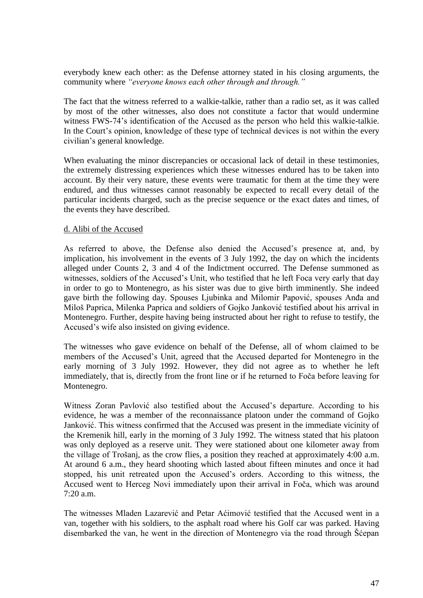everybody knew each other: as the Defense attorney stated in his closing arguments, the community where *"everyone knows each other through and through."*

The fact that the witness referred to a walkie-talkie, rather than a radio set, as it was called by most of the other witnesses, also does not constitute a factor that would undermine witness FWS-74's identification of the Accused as the person who held this walkie-talkie. In the Court's opinion, knowledge of these type of technical devices is not within the every civilian's general knowledge.

When evaluating the minor discrepancies or occasional lack of detail in these testimonies, the extremely distressing experiences which these witnesses endured has to be taken into account. By their very nature, these events were traumatic for them at the time they were endured, and thus witnesses cannot reasonably be expected to recall every detail of the particular incidents charged, such as the precise sequence or the exact dates and times, of the events they have described.

## d. Alibi of the Accused

As referred to above, the Defense also denied the Accused's presence at, and, by implication, his involvement in the events of 3 July 1992, the day on which the incidents alleged under Counts 2, 3 and 4 of the Indictment occurred. The Defense summoned as witnesses, soldiers of the Accused's Unit, who testified that he left Foca very early that day in order to go to Montenegro, as his sister was due to give birth imminently. She indeed gave birth the following day. Spouses Ljubinka and Milomir Papović, spouses Anđa and Miloš Paprica, Milenka Paprica and soldiers of Gojko Janković testified about his arrival in Montenegro. Further, despite having being instructed about her right to refuse to testify, the Accused's wife also insisted on giving evidence.

The witnesses who gave evidence on behalf of the Defense, all of whom claimed to be members of the Accused's Unit, agreed that the Accused departed for Montenegro in the early morning of 3 July 1992. However, they did not agree as to whether he left immediately, that is, directly from the front line or if he returned to Foča before leaving for Montenegro.

Witness Zoran Pavlović also testified about the Accused's departure. According to his evidence, he was a member of the reconnaissance platoon under the command of Gojko Janković. This witness confirmed that the Accused was present in the immediate vicinity of the Kremenik hill, early in the morning of 3 July 1992. The witness stated that his platoon was only deployed as a reserve unit. They were stationed about one kilometer away from the village of Trošanj, as the crow flies, a position they reached at approximately 4:00 a.m. At around 6 a.m., they heard shooting which lasted about fifteen minutes and once it had stopped, his unit retreated upon the Accused's orders. According to this witness, the Accused went to Herceg Novi immediately upon their arrival in Foča, which was around 7:20 a.m.

The witnesses Mladen Lazarević and Petar Aćimović testified that the Accused went in a van, together with his soldiers, to the asphalt road where his Golf car was parked. Having disembarked the van, he went in the direction of Montenegro via the road through Šćepan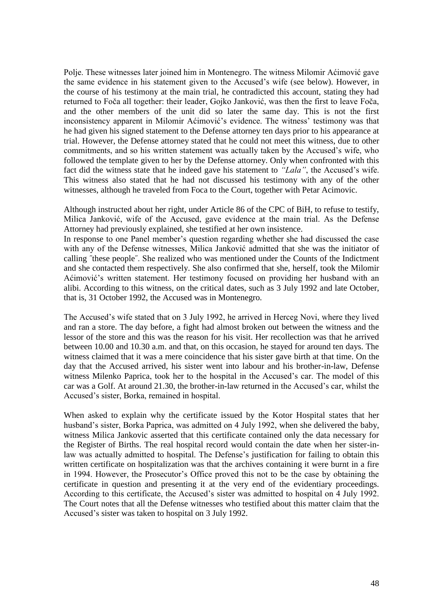Polje. These witnesses later joined him in Montenegro. The witness Milomir Aćimović gave the same evidence in his statement given to the Accused's wife (see below). However, in the course of his testimony at the main trial, he contradicted this account, stating they had returned to Foča all together: their leader, Gojko Janković, was then the first to leave Foča, and the other members of the unit did so later the same day. This is not the first inconsistency apparent in Milomir Aćimović's evidence. The witness' testimony was that he had given his signed statement to the Defense attorney ten days prior to his appearance at trial. However, the Defense attorney stated that he could not meet this witness, due to other commitments, and so his written statement was actually taken by the Accused's wife, who followed the template given to her by the Defense attorney. Only when confronted with this fact did the witness state that he indeed gave his statement to *"Lala"*, the Accused's wife. This witness also stated that he had not discussed his testimony with any of the other witnesses, although he traveled from Foca to the Court, together with Petar Acimovic.

Although instructed about her right, under Article 86 of the CPC of BiH, to refuse to testify, Milica Janković, wife of the Accused, gave evidence at the main trial. As the Defense Attorney had previously explained, she testified at her own insistence.

In response to one Panel member's question regarding whether she had discussed the case with any of the Defense witnesses, Milica Janković admitted that she was the initiator of calling ˝these people˝. She realized who was mentioned under the Counts of the Indictment and she contacted them respectively. She also confirmed that she, herself, took the Milomir Aćimović's written statement. Her testimony focused on providing her husband with an alibi. According to this witness, on the critical dates, such as 3 July 1992 and late October, that is, 31 October 1992, the Accused was in Montenegro.

The Accused's wife stated that on 3 July 1992, he arrived in Herceg Novi, where they lived and ran a store. The day before, a fight had almost broken out between the witness and the lessor of the store and this was the reason for his visit. Her recollection was that he arrived between 10.00 and 10.30 a.m. and that, on this occasion, he stayed for around ten days. The witness claimed that it was a mere coincidence that his sister gave birth at that time. On the day that the Accused arrived, his sister went into labour and his brother-in-law, Defense witness Milenko Paprica, took her to the hospital in the Accused's car. The model of this car was a Golf. At around 21.30, the brother-in-law returned in the Accused's car, whilst the Accused's sister, Borka, remained in hospital.

When asked to explain why the certificate issued by the Kotor Hospital states that her husband's sister, Borka Paprica, was admitted on 4 July 1992, when she delivered the baby, witness Milica Jankovic asserted that this certificate contained only the data necessary for the Register of Births. The real hospital record would contain the date when her sister-inlaw was actually admitted to hospital. The Defense's justification for failing to obtain this written certificate on hospitalization was that the archives containing it were burnt in a fire in 1994. However, the Prosecutor's Office proved this not to be the case by obtaining the certificate in question and presenting it at the very end of the evidentiary proceedings. According to this certificate, the Accused's sister was admitted to hospital on 4 July 1992. The Court notes that all the Defense witnesses who testified about this matter claim that the Accused's sister was taken to hospital on 3 July 1992.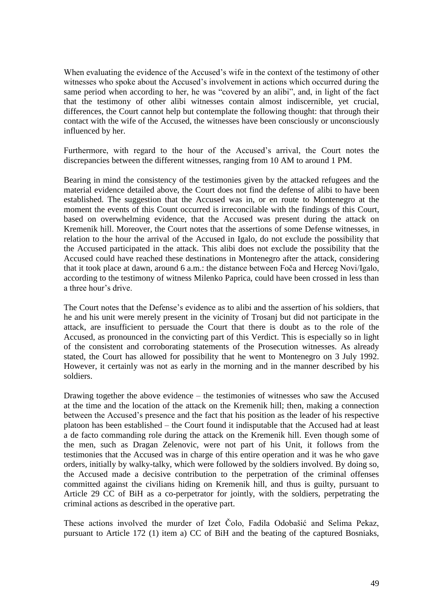When evaluating the evidence of the Accused's wife in the context of the testimony of other witnesses who spoke about the Accused's involvement in actions which occurred during the same period when according to her, he was "covered by an alibi", and, in light of the fact that the testimony of other alibi witnesses contain almost indiscernible, yet crucial, differences, the Court cannot help but contemplate the following thought: that through their contact with the wife of the Accused, the witnesses have been consciously or unconsciously influenced by her.

Furthermore, with regard to the hour of the Accused's arrival, the Court notes the discrepancies between the different witnesses, ranging from 10 AM to around 1 PM.

Bearing in mind the consistency of the testimonies given by the attacked refugees and the material evidence detailed above, the Court does not find the defense of alibi to have been established. The suggestion that the Accused was in, or en route to Montenegro at the moment the events of this Count occurred is irreconcilable with the findings of this Court, based on overwhelming evidence, that the Accused was present during the attack on Kremenik hill. Moreover, the Court notes that the assertions of some Defense witnesses, in relation to the hour the arrival of the Accused in Igalo, do not exclude the possibility that the Accused participated in the attack. This alibi does not exclude the possibility that the Accused could have reached these destinations in Montenegro after the attack, considering that it took place at dawn, around 6 a.m.: the distance between Foča and Herceg Novi/Igalo, according to the testimony of witness Milenko Paprica, could have been crossed in less than a three hour's drive.

The Court notes that the Defense's evidence as to alibi and the assertion of his soldiers, that he and his unit were merely present in the vicinity of Trosanj but did not participate in the attack, are insufficient to persuade the Court that there is doubt as to the role of the Accused, as pronounced in the convicting part of this Verdict. This is especially so in light of the consistent and corroborating statements of the Prosecution witnesses. As already stated, the Court has allowed for possibility that he went to Montenegro on 3 July 1992. However, it certainly was not as early in the morning and in the manner described by his soldiers.

Drawing together the above evidence – the testimonies of witnesses who saw the Accused at the time and the location of the attack on the Kremenik hill; then, making a connection between the Accused's presence and the fact that his position as the leader of his respective platoon has been established – the Court found it indisputable that the Accused had at least a de facto commanding role during the attack on the Kremenik hill. Even though some of the men, such as Dragan Zelenovic, were not part of his Unit, it follows from the testimonies that the Accused was in charge of this entire operation and it was he who gave orders, initially by walky-talky, which were followed by the soldiers involved. By doing so, the Accused made a decisive contribution to the perpetration of the criminal offenses committed against the civilians hiding on Kremenik hill, and thus is guilty, pursuant to Article 29 CC of BiH as a co-perpetrator for jointly, with the soldiers, perpetrating the criminal actions as described in the operative part.

These actions involved the murder of Izet Čolo, Fadila Odobašić and Selima Pekaz, pursuant to Article 172 (1) item a) CC of BiH and the beating of the captured Bosniaks,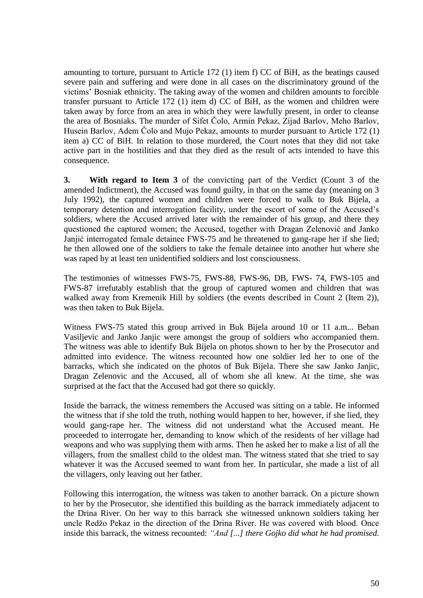amounting to torture, pursuant to Article 172 (1) item f) CC of BiH, as the beatings caused severe pain and suffering and were done in all cases on the discriminatory ground of the victims' Bosniak ethnicity. The taking away of the women and children amounts to forcible transfer pursuant to Article 172 (1) item d) CC of BiH, as the women and children were taken away by force from an area in which they were lawfully present, in order to cleanse the area of Bosniaks. The murder of Sifet Čolo, Armin Pekaz, Zijad Barlov, Meho Barlov, Husein Barlov, Adem Čolo and Mujo Pekaz, amounts to murder pursuant to Article 172 (1) item a) CC of BiH. In relation to those murdered, the Court notes that they did not take active part in the hostilities and that they died as the result of acts intended to have this consequence.

**3. With regard to Item 3** of the convicting part of the Verdict (Count 3 of the amended Indictment), the Accused was found guilty, in that on the same day (meaning on 3 July 1992), the captured women and children were forced to walk to Buk Bijela, a temporary detention and interrogation facility, under the escort of some of the Accused's soldiers, where the Accused arrived later with the remainder of his group, and there they questioned the captured women; the Accused, together with Dragan Zelenović and Janko Janjić interrogated female detainee FWS-75 and he threatened to gang-rape her if she lied; he then allowed one of the soldiers to take the female detainee into another hut where she was raped by at least ten unidentified soldiers and lost consciousness.

The testimonies of witnesses FWS-75, FWS-88, FWS-96, DB, FWS- 74, FWS-105 and FWS-87 irrefutably establish that the group of captured women and children that was walked away from Kremenik Hill by soldiers (the events described in Count 2 (Item 2)), was then taken to Buk Bijela.

Witness FWS-75 stated this group arrived in Buk Bijela around 10 or 11 a.m... Beban Vasiljevic and Janko Janjic were amongst the group of soldiers who accompanied them. The witness was able to identify Buk Bijela on photos shown to her by the Prosecutor and admitted into evidence. The witness recounted how one soldier led her to one of the barracks, which she indicated on the photos of Buk Bijela. There she saw Janko Janjic, Dragan Zelenovic and the Accused, all of whom she all knew. At the time, she was surprised at the fact that the Accused had got there so quickly.

Inside the barrack, the witness remembers the Accused was sitting on a table. He informed the witness that if she told the truth, nothing would happen to her, however, if she lied, they would gang-rape her. The witness did not understand what the Accused meant. He proceeded to interrogate her, demanding to know which of the residents of her village had weapons and who was supplying them with arms. Then he asked her to make a list of all the villagers, from the smallest child to the oldest man. The witness stated that she tried to say whatever it was the Accused seemed to want from her. In particular, she made a list of all the villagers, only leaving out her father.

Following this interrogation, the witness was taken to another barrack. On a picture shown to her by the Prosecutor, she identified this building as the barrack immediately adjacent to the Drina River. On her way to this barrack she witnessed unknown soldiers taking her uncle Redžo Pekaz in the direction of the Drina River. He was covered with blood. Once inside this barrack, the witness recounted: *"And [...] there Gojko did what he had promised.*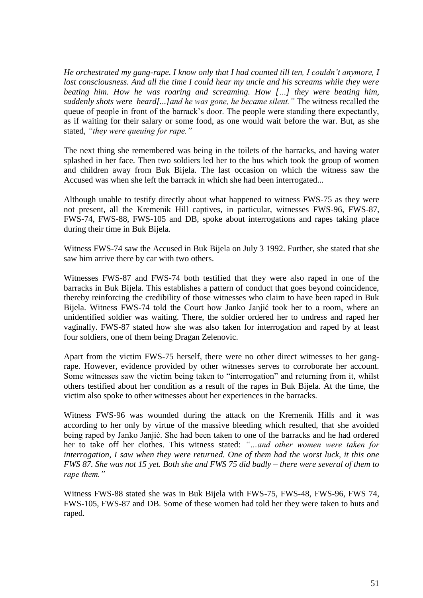*He orchestrated my gang-rape. I know only that I had counted till ten, I couldn't anymore, I*  lost consciousness. And all the time I could hear my uncle and his screams while they were *beating him. How he was roaring and screaming. How […] they were beating him, suddenly shots were heard[...]and he was gone, he became silent."* The witness recalled the queue of people in front of the barrack's door. The people were standing there expectantly, as if waiting for their salary or some food, as one would wait before the war. But, as she stated, *"they were queuing for rape."* 

The next thing she remembered was being in the toilets of the barracks, and having water splashed in her face. Then two soldiers led her to the bus which took the group of women and children away from Buk Bijela. The last occasion on which the witness saw the Accused was when she left the barrack in which she had been interrogated...

Although unable to testify directly about what happened to witness FWS-75 as they were not present, all the Kremenik Hill captives, in particular, witnesses FWS-96, FWS-87, FWS-74, FWS-88, FWS-105 and DB, spoke about interrogations and rapes taking place during their time in Buk Bijela.

Witness FWS-74 saw the Accused in Buk Bijela on July 3 1992. Further, she stated that she saw him arrive there by car with two others.

Witnesses FWS-87 and FWS-74 both testified that they were also raped in one of the barracks in Buk Bijela. This establishes a pattern of conduct that goes beyond coincidence, thereby reinforcing the credibility of those witnesses who claim to have been raped in Buk Bijela. Witness FWS-74 told the Court how Janko Janjić took her to a room, where an unidentified soldier was waiting. There, the soldier ordered her to undress and raped her vaginally. FWS-87 stated how she was also taken for interrogation and raped by at least four soldiers, one of them being Dragan Zelenovic.

Apart from the victim FWS-75 herself, there were no other direct witnesses to her gangrape. However, evidence provided by other witnesses serves to corroborate her account. Some witnesses saw the victim being taken to "interrogation" and returning from it, whilst others testified about her condition as a result of the rapes in Buk Bijela. At the time, the victim also spoke to other witnesses about her experiences in the barracks.

Witness FWS-96 was wounded during the attack on the Kremenik Hills and it was according to her only by virtue of the massive bleeding which resulted, that she avoided being raped by Janko Janjić. She had been taken to one of the barracks and he had ordered her to take off her clothes. This witness stated: *"…and other women were taken for interrogation, I saw when they were returned. One of them had the worst luck, it this one FWS 87. She was not 15 yet. Both she and FWS 75 did badly – there were several of them to rape them."* 

Witness FWS-88 stated she was in Buk Bijela with FWS-75, FWS-48, FWS-96, FWS 74, FWS-105, FWS-87 and DB. Some of these women had told her they were taken to huts and raped.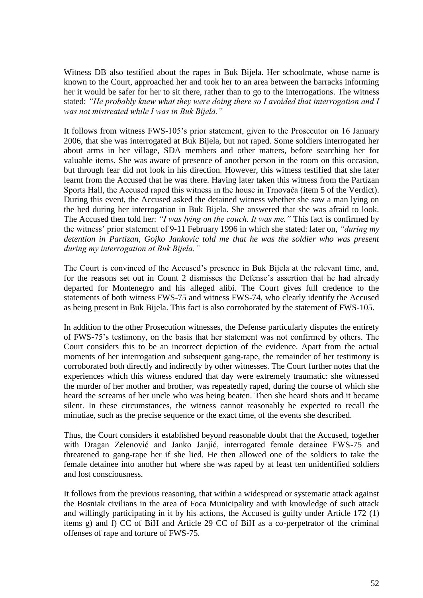Witness DB also testified about the rapes in Buk Bijela. Her schoolmate, whose name is known to the Court, approached her and took her to an area between the barracks informing her it would be safer for her to sit there, rather than to go to the interrogations. The witness stated: *"He probably knew what they were doing there so I avoided that interrogation and I was not mistreated while I was in Buk Bijela."*

It follows from witness FWS-105's prior statement, given to the Prosecutor on 16 January 2006, that she was interrogated at Buk Bijela, but not raped. Some soldiers interrogated her about arms in her village, SDA members and other matters, before searching her for valuable items. She was aware of presence of another person in the room on this occasion, but through fear did not look in his direction. However, this witness testified that she later learnt from the Accused that he was there. Having later taken this witness from the Partizan Sports Hall, the Accused raped this witness in the house in Trnovača (item 5 of the Verdict). During this event, the Accused asked the detained witness whether she saw a man lying on the bed during her interrogation in Buk Bijela. She answered that she was afraid to look. The Accused then told her: *"I was lying on the couch. It was me."* This fact is confirmed by the witness' prior statement of 9-11 February 1996 in which she stated: later on, *"during my detention in Partizan, Gojko Jankovic told me that he was the soldier who was present during my interrogation at Buk Bijela."*

The Court is convinced of the Accused's presence in Buk Bijela at the relevant time, and, for the reasons set out in Count 2 dismisses the Defense's assertion that he had already departed for Montenegro and his alleged alibi. The Court gives full credence to the statements of both witness FWS-75 and witness FWS-74, who clearly identify the Accused as being present in Buk Bijela. This fact is also corroborated by the statement of FWS-105.

In addition to the other Prosecution witnesses, the Defense particularly disputes the entirety of FWS-75's testimony, on the basis that her statement was not confirmed by others. The Court considers this to be an incorrect depiction of the evidence. Apart from the actual moments of her interrogation and subsequent gang-rape, the remainder of her testimony is corroborated both directly and indirectly by other witnesses. The Court further notes that the experiences which this witness endured that day were extremely traumatic: she witnessed the murder of her mother and brother, was repeatedly raped, during the course of which she heard the screams of her uncle who was being beaten. Then she heard shots and it became silent. In these circumstances, the witness cannot reasonably be expected to recall the minutiae, such as the precise sequence or the exact time, of the events she described.

Thus, the Court considers it established beyond reasonable doubt that the Accused, together with Dragan Zelenović and Janko Janjić, interrogated female detainee FWS-75 and threatened to gang-rape her if she lied. He then allowed one of the soldiers to take the female detainee into another hut where she was raped by at least ten unidentified soldiers and lost consciousness.

It follows from the previous reasoning, that within a widespread or systematic attack against the Bosniak civilians in the area of Foca Municipality and with knowledge of such attack and willingly participating in it by his actions, the Accused is guilty under Article 172 (1) items g) and f) CC of BiH and Article 29 CC of BiH as a co-perpetrator of the criminal offenses of rape and torture of FWS-75.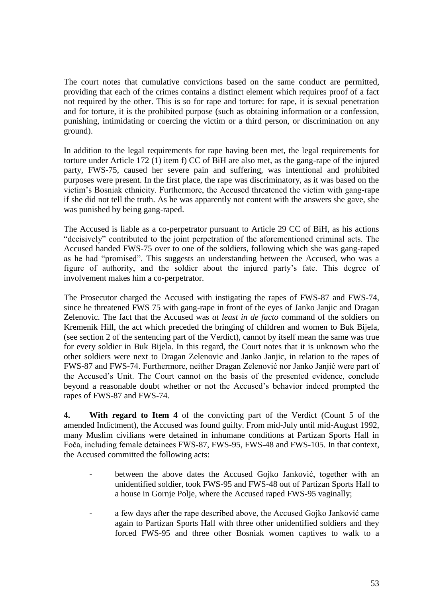The court notes that cumulative convictions based on the same conduct are permitted, providing that each of the crimes contains a distinct element which requires proof of a fact not required by the other. This is so for rape and torture: for rape, it is sexual penetration and for torture, it is the prohibited purpose (such as obtaining information or a confession, punishing, intimidating or coercing the victim or a third person, or discrimination on any ground).

In addition to the legal requirements for rape having been met, the legal requirements for torture under Article 172 (1) item f) CC of BiH are also met, as the gang-rape of the injured party, FWS-75, caused her severe pain and suffering, was intentional and prohibited purposes were present. In the first place, the rape was discriminatory, as it was based on the victim's Bosniak ethnicity. Furthermore, the Accused threatened the victim with gang-rape if she did not tell the truth. As he was apparently not content with the answers she gave, she was punished by being gang-raped.

The Accused is liable as a co-perpetrator pursuant to Article 29 CC of BiH, as his actions "decisively" contributed to the joint perpetration of the aforementioned criminal acts. The Accused handed FWS-75 over to one of the soldiers, following which she was gang-raped as he had "promised". This suggests an understanding between the Accused, who was a figure of authority, and the soldier about the injured party's fate. This degree of involvement makes him a co-perpetrator.

The Prosecutor charged the Accused with instigating the rapes of FWS-87 and FWS-74, since he threatened FWS 75 with gang-rape in front of the eyes of Janko Janjic and Dragan Zelenovic. The fact that the Accused was *at least in de facto* command of the soldiers on Kremenik Hill, the act which preceded the bringing of children and women to Buk Bijela, (see section 2 of the sentencing part of the Verdict), cannot by itself mean the same was true for every soldier in Buk Bijela. In this regard, the Court notes that it is unknown who the other soldiers were next to Dragan Zelenovic and Janko Janjic, in relation to the rapes of FWS-87 and FWS-74. Furthermore, neither Dragan Zelenović nor Janko Janjić were part of the Accused's Unit. The Court cannot on the basis of the presented evidence, conclude beyond a reasonable doubt whether or not the Accused's behavior indeed prompted the rapes of FWS-87 and FWS-74.

**4. With regard to Item 4** of the convicting part of the Verdict (Count 5 of the amended Indictment), the Accused was found guilty. From mid-July until mid-August 1992, many Muslim civilians were detained in inhumane conditions at Partizan Sports Hall in Foča, including female detainees FWS-87, FWS-95, FWS-48 and FWS-105. In that context, the Accused committed the following acts:

- between the above dates the Accused Gojko Janković, together with an unidentified soldier, took FWS-95 and FWS-48 out of Partizan Sports Hall to a house in Gornje Polje, where the Accused raped FWS-95 vaginally;
- a few days after the rape described above, the Accused Gojko Janković came again to Partizan Sports Hall with three other unidentified soldiers and they forced FWS-95 and three other Bosniak women captives to walk to a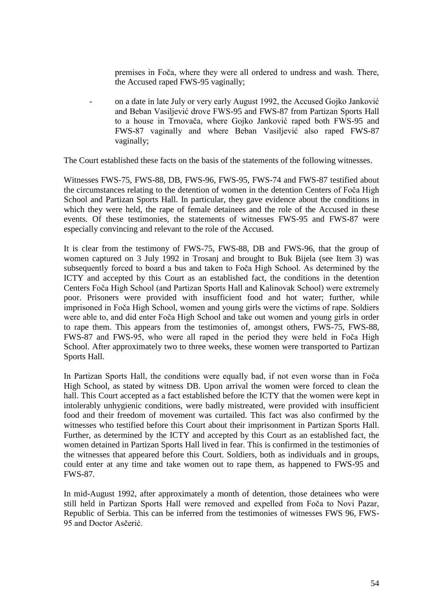premises in Foča, where they were all ordered to undress and wash. There, the Accused raped FWS-95 vaginally;

- on a date in late July or very early August 1992, the Accused Gojko Janković and Beban Vasiljević drove FWS-95 and FWS-87 from Partizan Sports Hall to a house in Trnovača, where Gojko Janković raped both FWS-95 and FWS-87 vaginally and where Beban Vasiljević also raped FWS-87 vaginally;

The Court established these facts on the basis of the statements of the following witnesses.

Witnesses FWS-75, FWS-88, DB, FWS-96, FWS-95, FWS-74 and FWS-87 testified about the circumstances relating to the detention of women in the detention Centers of Foča High School and Partizan Sports Hall. In particular, they gave evidence about the conditions in which they were held, the rape of female detainees and the role of the Accused in these events. Of these testimonies, the statements of witnesses FWS-95 and FWS-87 were especially convincing and relevant to the role of the Accused.

It is clear from the testimony of FWS-75, FWS-88, DB and FWS-96, that the group of women captured on 3 July 1992 in Trosanj and brought to Buk Bijela (see Item 3) was subsequently forced to board a bus and taken to Foča High School. As determined by the ICTY and accepted by this Court as an established fact, the conditions in the detention Centers Foča High School (and Partizan Sports Hall and Kalinovak School) were extremely poor. Prisoners were provided with insufficient food and hot water; further, while imprisoned in Foča High School, women and young girls were the victims of rape. Soldiers were able to, and did enter Foča High School and take out women and young girls in order to rape them. This appears from the testimonies of, amongst others, FWS-75, FWS-88, FWS-87 and FWS-95, who were all raped in the period they were held in Foča High School. After approximately two to three weeks, these women were transported to Partizan Sports Hall.

In Partizan Sports Hall, the conditions were equally bad, if not even worse than in Foča High School, as stated by witness DB. Upon arrival the women were forced to clean the hall. This Court accepted as a fact established before the ICTY that the women were kept in intolerably unhygienic conditions, were badly mistreated, were provided with insufficient food and their freedom of movement was curtailed. This fact was also confirmed by the witnesses who testified before this Court about their imprisonment in Partizan Sports Hall. Further, as determined by the ICTY and accepted by this Court as an established fact, the women detained in Partizan Sports Hall lived in fear. This is confirmed in the testimonies of the witnesses that appeared before this Court. Soldiers, both as individuals and in groups, could enter at any time and take women out to rape them, as happened to FWS-95 and FWS-87.

In mid-August 1992, after approximately a month of detention, those detainees who were still held in Partizan Sports Hall were removed and expelled from Foča to Novi Pazar, Republic of Serbia. This can be inferred from the testimonies of witnesses FWS 96, FWS-95 and Doctor Asčerić.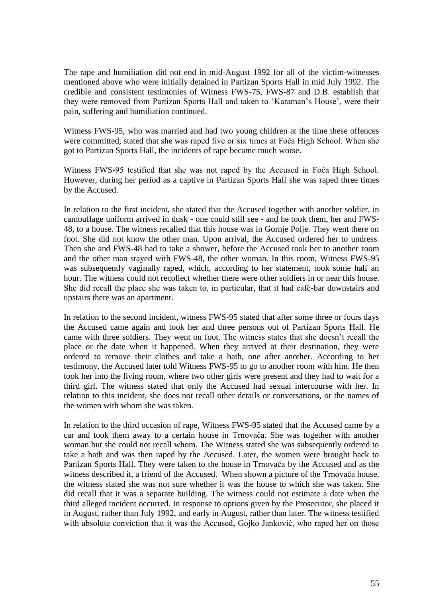The rape and humiliation did not end in mid-August 1992 for all of the victim-witnesses mentioned above who were initially detained in Partizan Sports Hall in mid July 1992. The credible and consistent testimonies of Witness FWS-75, FWS-87 and D.B. establish that they were removed from Partizan Sports Hall and taken to 'Karaman's House', were their pain, suffering and humiliation continued.

Witness FWS-95, who was married and had two young children at the time these offences were committed, stated that she was raped five or six times at Foča High School. When she got to Partizan Sports Hall, the incidents of rape became much worse.

Witness FWS-95 testified that she was not raped by the Accused in Foča High School. However, during her period as a captive in Partizan Sports Hall she was raped three times by the Accused.

In relation to the first incident, she stated that the Accused together with another soldier, in camouflage uniform arrived in dusk - one could still see - and he took them, her and FWS-48, to a house. The witness recalled that this house was in Gornje Polje. They went there on foot. She did not know the other man. Upon arrival, the Accused ordered her to undress. Then she and FWS-48 had to take a shower, before the Accused took her to another room and the other man stayed with FWS-48, the other woman. In this room, Witness FWS-95 was subsequently vaginally raped, which, according to her statement, took some half an hour. The witness could not recollect whether there were other soldiers in or near this house. She did recall the place she was taken to, in particular, that it had café-bar downstairs and upstairs there was an apartment.

In relation to the second incident, witness FWS-95 stated that after some three or fours days the Accused came again and took her and three persons out of Partizan Sports Hall. He came with three soldiers. They went on foot. The witness states that she doesn't recall the place or the date when it happened. When they arrived at their destination, they were ordered to remove their clothes and take a bath, one after another. According to her testimony, the Accused later told Witness FWS-95 to go to another room with him. He then took her into the living room, where two other girls were present and they had to wait for a third girl. The witness stated that only the Accused had sexual intercourse with her. In relation to this incident, she does not recall other details or conversations, or the names of the women with whom she was taken.

In relation to the third occasion of rape, Witness FWS-95 stated that the Accused came by a car and took them away to a certain house in Trnovača. She was together with another woman but she could not recall whom. The Witness stated she was subsequently ordered to take a bath and was then raped by the Accused. Later, the women were brought back to Partizan Sports Hall. They were taken to the house in Trnovača by the Accused and as the witness described it, a friend of the Accused. When shown a picture of the Trnovača house, the witness stated she was not sure whether it was the house to which she was taken. She did recall that it was a separate building. The witness could not estimate a date when the third alleged incident occurred. In response to options given by the Prosecutor, she placed it in August, rather than July 1992, and early in August, rather than later. The witness testified with absolute conviction that it was the Accused, Gojko Janković, who raped her on those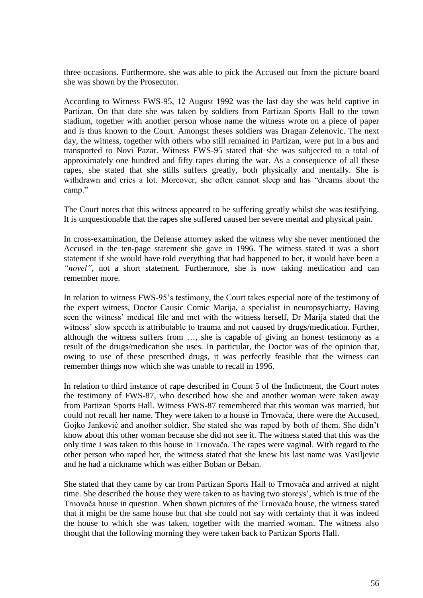three occasions. Furthermore, she was able to pick the Accused out from the picture board she was shown by the Prosecutor.

According to Witness FWS-95, 12 August 1992 was the last day she was held captive in Partizan. On that date she was taken by soldiers from Partizan Sports Hall to the town stadium, together with another person whose name the witness wrote on a piece of paper and is thus known to the Court. Amongst theses soldiers was Dragan Zelenovic. The next day, the witness, together with others who still remained in Partizan, were put in a bus and transported to Novi Pazar. Witness FWS-95 stated that she was subjected to a total of approximately one hundred and fifty rapes during the war. As a consequence of all these rapes, she stated that she stills suffers greatly, both physically and mentally. She is withdrawn and cries a lot. Moreover, she often cannot sleep and has "dreams about the camp."

The Court notes that this witness appeared to be suffering greatly whilst she was testifying. It is unquestionable that the rapes she suffered caused her severe mental and physical pain.

In cross-examination, the Defense attorney asked the witness why she never mentioned the Accused in the ten-page statement she gave in 1996. The witness stated it was a short statement if she would have told everything that had happened to her, it would have been a *"novel"*, not a short statement. Furthermore, she is now taking medication and can remember more.

In relation to witness FWS-95's testimony, the Court takes especial note of the testimony of the expert witness, Doctor Causic Comic Marija, a specialist in neuropsychiatry. Having seen the witness' medical file and met with the witness herself, Dr Marija stated that the witness' slow speech is attributable to trauma and not caused by drugs/medication. Further, although the witness suffers from …, she is capable of giving an honest testimony as a result of the drugs/medication she uses. In particular, the Doctor was of the opinion that, owing to use of these prescribed drugs, it was perfectly feasible that the witness can remember things now which she was unable to recall in 1996.

In relation to third instance of rape described in Count 5 of the Indictment, the Court notes the testimony of FWS-87, who described how she and another woman were taken away from Partizan Sports Hall. Witness FWS-87 remembered that this woman was married, but could not recall her name. They were taken to a house in Trnovača, there were the Accused, Gojko Janković and another soldier. She stated she was raped by both of them. She didn't know about this other woman because she did not see it. The witness stated that this was the only time I was taken to this house in Trnovača. The rapes were vaginal. With regard to the other person who raped her, the witness stated that she knew his last name was Vasiljevic and he had a nickname which was either Boban or Beban.

She stated that they came by car from Partizan Sports Hall to Trnovača and arrived at night time. She described the house they were taken to as having two storeys', which is true of the Trnovača house in question. When shown pictures of the Trnovača house, the witness stated that it might be the same house but that she could not say with certainty that it was indeed the house to which she was taken, together with the married woman. The witness also thought that the following morning they were taken back to Partizan Sports Hall.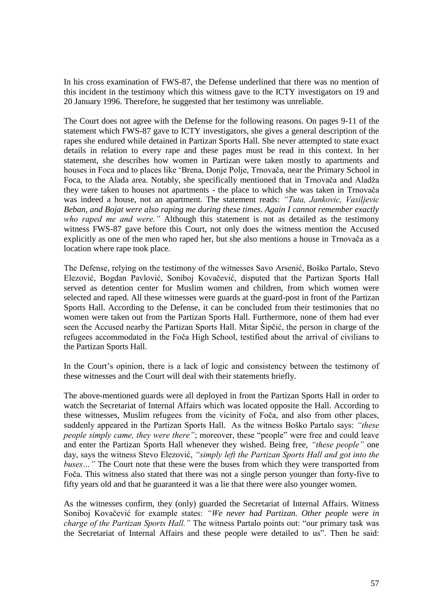In his cross examination of FWS-87, the Defense underlined that there was no mention of this incident in the testimony which this witness gave to the ICTY investigators on 19 and 20 January 1996. Therefore, he suggested that her testimony was unreliable.

The Court does not agree with the Defense for the following reasons. On pages 9-11 of the statement which FWS-87 gave to ICTY investigators, she gives a general description of the rapes she endured while detained in Partizan Sports Hall. She never attempted to state exact details in relation to every rape and these pages must be read in this context. In her statement, she describes how women in Partizan were taken mostly to apartments and houses in Foca and to places like 'Brena, Donje Polje, Trnovača, near the Primary School in Foca, to the Alada area. Notably, she specifically mentioned that in Trnovača and Aladža they were taken to houses not apartments - the place to which she was taken in Trnovača was indeed a house, not an apartment. The statement reads: *"Tuta, Jankovic, Vasiljevic Beban, and Bojat were also raping me during these times. Again I cannot remember exactly who raped me and were."* Although this statement is not as detailed as the testimony witness FWS-87 gave before this Court, not only does the witness mention the Accused explicitly as one of the men who raped her, but she also mentions a house in Trnovača as a location where rape took place.

The Defense, relying on the testimony of the witnesses Savo Arsenić, Boško Partalo, Stevo Elezović, Bogdan Pavlović, Soniboj Kovačević, disputed that the Partizan Sports Hall served as detention center for Muslim women and children, from which women were selected and raped. All these witnesses were guards at the guard-post in front of the Partizan Sports Hall. According to the Defense, it can be concluded from their testimonies that no women were taken out from the Partizan Sports Hall. Furthermore, none of them had ever seen the Accused nearby the Partizan Sports Hall. Mitar Šipčić, the person in charge of the refugees accommodated in the Foča High School, testified about the arrival of civilians to the Partizan Sports Hall.

In the Court's opinion, there is a lack of logic and consistency between the testimony of these witnesses and the Court will deal with their statements briefly.

The above-mentioned guards were all deployed in front the Partizan Sports Hall in order to watch the Secretariat of Internal Affairs which was located opposite the Hall. According to these witnesses, Muslim refugees from the vicinity of Foča, and also from other places, suddenly appeared in the Partizan Sports Hall. As the witness Boško Partalo says: *"these people simply came, they were there"*; moreover, these "people" were free and could leave and enter the Partizan Sports Hall whenever they wished. Being free, *"these people"* one day, says the witness Stevo Elezović, *"simply left the Partizan Sports Hall and got into the buses…"* The Court note that these were the buses from which they were transported from Foča. This witness also stated that there was not a single person younger than forty-five to fifty years old and that he guaranteed it was a lie that there were also younger women.

As the witnesses confirm, they (only) guarded the Secretariat of Internal Affairs. Witness Soniboj Kovačević for example states: *"We never had Partizan. Other people were in charge of the Partizan Sports Hall."* The witness Partalo points out: "our primary task was the Secretariat of Internal Affairs and these people were detailed to us". Then he said: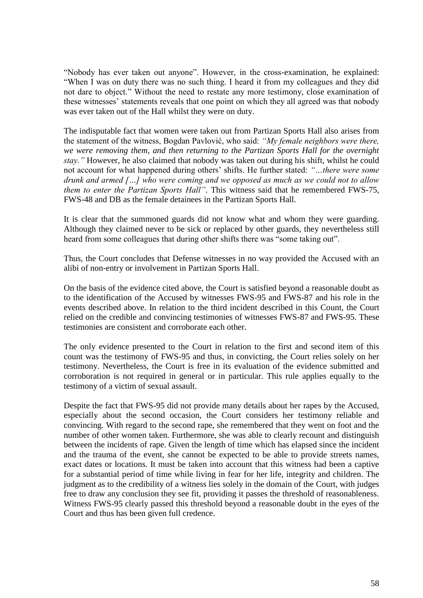"Nobody has ever taken out anyone". However, in the cross-examination, he explained: "When I was on duty there was no such thing. I heard it from my colleagues and they did not dare to object." Without the need to restate any more testimony, close examination of these witnesses' statements reveals that one point on which they all agreed was that nobody was ever taken out of the Hall whilst they were on duty.

The indisputable fact that women were taken out from Partizan Sports Hall also arises from the statement of the witness, Bogdan Pavlović, who said: *"My female neighbors were there, we were removing them, and then returning to the Partizan Sports Hall for the overnight stay."* However, he also claimed that nobody was taken out during his shift, whilst he could not account for what happened during others' shifts. He further stated: *"…there were some drunk and armed […] who were coming and we opposed as much as we could not to allow them to enter the Partizan Sports Hall"*. This witness said that he remembered FWS-75, FWS-48 and DB as the female detainees in the Partizan Sports Hall.

It is clear that the summoned guards did not know what and whom they were guarding. Although they claimed never to be sick or replaced by other guards, they nevertheless still heard from some colleagues that during other shifts there was "some taking out".

Thus, the Court concludes that Defense witnesses in no way provided the Accused with an alibi of non-entry or involvement in Partizan Sports Hall.

On the basis of the evidence cited above, the Court is satisfied beyond a reasonable doubt as to the identification of the Accused by witnesses FWS-95 and FWS-87 and his role in the events described above. In relation to the third incident described in this Count, the Court relied on the credible and convincing testimonies of witnesses FWS-87 and FWS-95. These testimonies are consistent and corroborate each other.

The only evidence presented to the Court in relation to the first and second item of this count was the testimony of FWS-95 and thus, in convicting, the Court relies solely on her testimony. Nevertheless, the Court is free in its evaluation of the evidence submitted and corroboration is not required in general or in particular. This rule applies equally to the testimony of a victim of sexual assault.

Despite the fact that FWS-95 did not provide many details about her rapes by the Accused, especially about the second occasion, the Court considers her testimony reliable and convincing. With regard to the second rape, she remembered that they went on foot and the number of other women taken. Furthermore, she was able to clearly recount and distinguish between the incidents of rape. Given the length of time which has elapsed since the incident and the trauma of the event, she cannot be expected to be able to provide streets names, exact dates or locations. It must be taken into account that this witness had been a captive for a substantial period of time while living in fear for her life, integrity and children. The judgment as to the credibility of a witness lies solely in the domain of the Court, with judges free to draw any conclusion they see fit, providing it passes the threshold of reasonableness. Witness FWS-95 clearly passed this threshold beyond a reasonable doubt in the eyes of the Court and thus has been given full credence.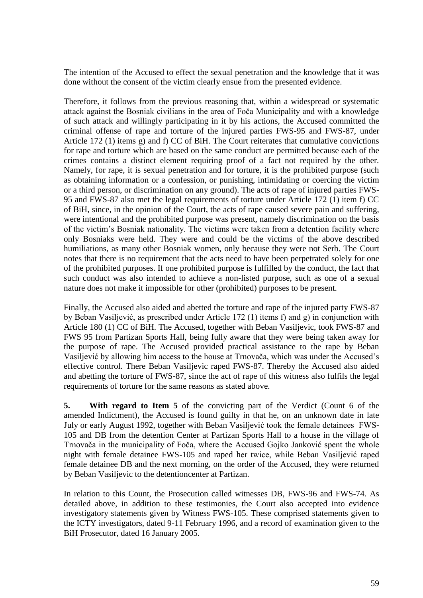The intention of the Accused to effect the sexual penetration and the knowledge that it was done without the consent of the victim clearly ensue from the presented evidence.

Therefore, it follows from the previous reasoning that, within a widespread or systematic attack against the Bosniak civilians in the area of Foča Municipality and with a knowledge of such attack and willingly participating in it by his actions, the Accused committed the criminal offense of rape and torture of the injured parties FWS-95 and FWS-87, under Article 172 (1) items g) and f) CC of BiH. The Court reiterates that cumulative convictions for rape and torture which are based on the same conduct are permitted because each of the crimes contains a distinct element requiring proof of a fact not required by the other. Namely, for rape, it is sexual penetration and for torture, it is the prohibited purpose (such as obtaining information or a confession, or punishing, intimidating or coercing the victim or a third person, or discrimination on any ground). The acts of rape of injured parties FWS-95 and FWS-87 also met the legal requirements of torture under Article 172 (1) item f) CC of BiH, since, in the opinion of the Court, the acts of rape caused severe pain and suffering, were intentional and the prohibited purpose was present, namely discrimination on the basis of the victim's Bosniak nationality. The victims were taken from a detention facility where only Bosniaks were held. They were and could be the victims of the above described humiliations, as many other Bosniak women, only because they were not Serb. The Court notes that there is no requirement that the acts need to have been perpetrated solely for one of the prohibited purposes. If one prohibited purpose is fulfilled by the conduct, the fact that such conduct was also intended to achieve a non-listed purpose, such as one of a sexual nature does not make it impossible for other (prohibited) purposes to be present.

Finally, the Accused also aided and abetted the torture and rape of the injured party FWS-87 by Beban Vasiljević, as prescribed under Article 172 (1) items f) and g) in conjunction with Article 180 (1) CC of BiH. The Accused, together with Beban Vasiljevic, took FWS-87 and FWS 95 from Partizan Sports Hall, being fully aware that they were being taken away for the purpose of rape. The Accused provided practical assistance to the rape by Beban Vasiljević by allowing him access to the house at Trnovača, which was under the Accused's effective control. There Beban Vasiljevic raped FWS-87. Thereby the Accused also aided and abetting the torture of FWS-87, since the act of rape of this witness also fulfils the legal requirements of torture for the same reasons as stated above.

**5. With regard to Item 5** of the convicting part of the Verdict (Count 6 of the amended Indictment), the Accused is found guilty in that he, on an unknown date in late July or early August 1992, together with Beban Vasiljević took the female detainees FWS-105 and DB from the detention Center at Partizan Sports Hall to a house in the village of Trnovača in the municipality of Foča, where the Accused Gojko Janković spent the whole night with female detainee FWS-105 and raped her twice, while Beban Vasiljević raped female detainee DB and the next morning, on the order of the Accused, they were returned by Beban Vasiljevic to the detentioncenter at Partizan.

In relation to this Count, the Prosecution called witnesses DB, FWS-96 and FWS-74. As detailed above, in addition to these testimonies, the Court also accepted into evidence investigatory statements given by Witness FWS-105. These comprised statements given to the ICTY investigators, dated 9-11 February 1996, and a record of examination given to the BiH Prosecutor, dated 16 January 2005.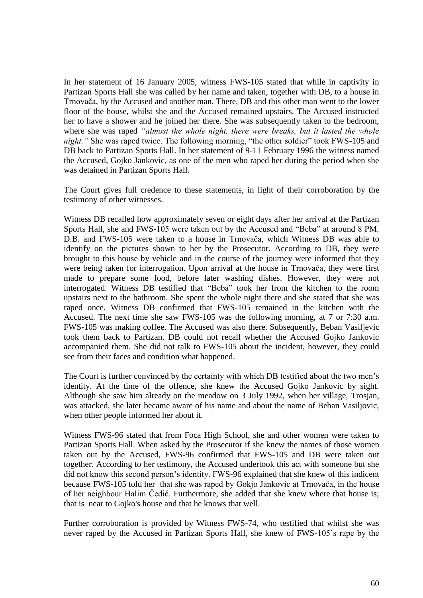In her statement of 16 January 2005, witness FWS-105 stated that while in captivity in Partizan Sports Hall she was called by her name and taken, together with DB, to a house in Trnovača, by the Accused and another man. There, DB and this other man went to the lower floor of the house, whilst she and the Accused remained upstairs. The Accused instructed her to have a shower and he joined her there. She was subsequently taken to the bedroom, where she was raped *"almost the whole night, there were breaks, but it lasted the whole night.*" She was raped twice. The following morning, "the other soldier" took FWS-105 and DB back to Partizan Sports Hall. In her statement of 9-11 February 1996 the witness named the Accused, Gojko Jankovic, as one of the men who raped her during the period when she was detained in Partizan Sports Hall.

The Court gives full credence to these statements, in light of their corroboration by the testimony of other witnesses.

Witness DB recalled how approximately seven or eight days after her arrival at the Partizan Sports Hall, she and FWS-105 were taken out by the Accused and "Beba" at around 8 PM. D.B. and FWS-105 were taken to a house in Trnovača, which Witness DB was able to identify on the pictures shown to her by the Prosecutor. According to DB, they were brought to this house by vehicle and in the course of the journey were informed that they were being taken for interrogation. Upon arrival at the house in Trnovača, they were first made to prepare some food, before later washing dishes. However, they were not interrogated. Witness DB testified that "Beba" took her from the kitchen to the room upstairs next to the bathroom. She spent the whole night there and she stated that she was raped once. Witness DB confirmed that FWS-105 remained in the kitchen with the Accused. The next time she saw FWS-105 was the following morning, at 7 or 7:30 a.m. FWS-105 was making coffee. The Accused was also there. Subsequently, Beban Vasiljevic took them back to Partizan. DB could not recall whether the Accused Gojko Jankovic accompanied them. She did not talk to FWS-105 about the incident, however, they could see from their faces and condition what happened.

The Court is further convinced by the certainty with which DB testified about the two men's identity. At the time of the offence, she knew the Accused Gojko Jankovic by sight. Although she saw him already on the meadow on 3 July 1992, when her village, Trosjan, was attacked, she later became aware of his name and about the name of Beban Vasiljovic, when other people informed her about it.

Witness FWS-96 stated that from Foca High School, she and other women were taken to Partizan Sports Hall. When asked by the Prosecutor if she knew the names of those women taken out by the Accused, FWS-96 confirmed that FWS-105 and DB were taken out together. According to her testimony, the Accused undertook this act with someone but she did not know this second person's identity. FWS-96 explained that she knew of this indicent because FWS-105 told her that she was raped by Gokjo Jankovic at Trnovača, in the house of her neighbour Halim Čedić. Furthermore, she added that she knew where that house is; that is near to Gojko's house and that he knows that well.

Further corroboration is provided by Witness FWS-74, who testified that whilst she was never raped by the Accused in Partizan Sports Hall, she knew of FWS-105's rape by the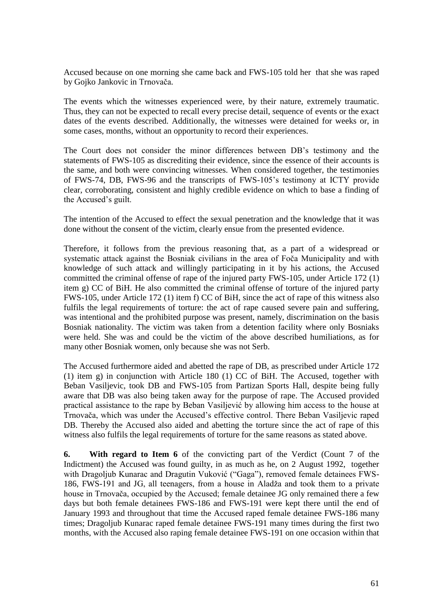Accused because on one morning she came back and FWS-105 told her that she was raped by Gojko Jankovic in Trnovača.

The events which the witnesses experienced were, by their nature, extremely traumatic. Thus, they can not be expected to recall every precise detail, sequence of events or the exact dates of the events described. Additionally, the witnesses were detained for weeks or, in some cases, months, without an opportunity to record their experiences.

The Court does not consider the minor differences between DB's testimony and the statements of FWS-105 as discrediting their evidence, since the essence of their accounts is the same, and both were convincing witnesses. When considered together, the testimonies of FWS-74, DB, FWS-96 and the transcripts of FWS-105's testimony at ICTY provide clear, corroborating, consistent and highly credible evidence on which to base a finding of the Accused's guilt.

The intention of the Accused to effect the sexual penetration and the knowledge that it was done without the consent of the victim, clearly ensue from the presented evidence.

Therefore, it follows from the previous reasoning that, as a part of a widespread or systematic attack against the Bosniak civilians in the area of Foča Municipality and with knowledge of such attack and willingly participating in it by his actions, the Accused committed the criminal offense of rape of the injured party FWS-105, under Article 172 (1) item g) CC of BiH. He also committed the criminal offense of torture of the injured party FWS-105, under Article 172 (1) item f) CC of BiH, since the act of rape of this witness also fulfils the legal requirements of torture: the act of rape caused severe pain and suffering, was intentional and the prohibited purpose was present, namely, discrimination on the basis Bosniak nationality. The victim was taken from a detention facility where only Bosniaks were held. She was and could be the victim of the above described humiliations, as for many other Bosniak women, only because she was not Serb.

The Accused furthermore aided and abetted the rape of DB, as prescribed under Article 172 (1) item g) in conjunction with Article 180 (1) CC of BiH. The Accused, together with Beban Vasiljevic, took DB and FWS-105 from Partizan Sports Hall, despite being fully aware that DB was also being taken away for the purpose of rape. The Accused provided practical assistance to the rape by Beban Vasiljević by allowing him access to the house at Trnovača, which was under the Accused's effective control. There Beban Vasiljevic raped DB. Thereby the Accused also aided and abetting the torture since the act of rape of this witness also fulfils the legal requirements of torture for the same reasons as stated above.

**6. With regard to Item 6** of the convicting part of the Verdict (Count 7 of the Indictment) the Accused was found guilty, in as much as he, on 2 August 1992, together with Dragoljub Kunarac and Dragutin Vuković ("Gaga"), removed female detainees FWS-186, FWS-191 and JG, all teenagers, from a house in Aladža and took them to a private house in Trnovača, occupied by the Accused; female detainee JG only remained there a few days but both female detainees FWS-186 and FWS-191 were kept there until the end of January 1993 and throughout that time the Accused raped female detainee FWS-186 many times; Dragoljub Kunarac raped female detainee FWS-191 many times during the first two months, with the Accused also raping female detainee FWS-191 on one occasion within that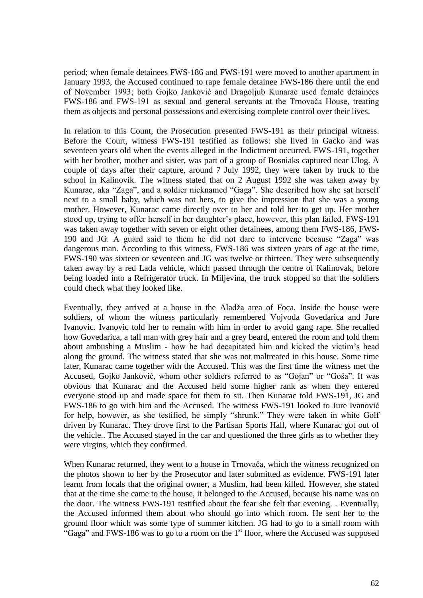period; when female detainees FWS-186 and FWS-191 were moved to another apartment in January 1993, the Accused continued to rape female detainee FWS-186 there until the end of November 1993; both Gojko Janković and Dragoljub Kunarac used female detainees FWS-186 and FWS-191 as sexual and general servants at the Trnovača House, treating them as objects and personal possessions and exercising complete control over their lives.

In relation to this Count, the Prosecution presented FWS-191 as their principal witness. Before the Court, witness FWS-191 testified as follows: she lived in Gacko and was seventeen years old when the events alleged in the Indictment occurred. FWS-191, together with her brother, mother and sister, was part of a group of Bosniaks captured near Ulog. A couple of days after their capture, around 7 July 1992, they were taken by truck to the school in Kalinovik. The witness stated that on 2 August 1992 she was taken away by Kunarac, aka "Zaga", and a soldier nicknamed "Gaga". She described how she sat herself next to a small baby, which was not hers, to give the impression that she was a young mother. However, Kunarac came directly over to her and told her to get up. Her mother stood up, trying to offer herself in her daughter's place, however, this plan failed. FWS-191 was taken away together with seven or eight other detainees, among them FWS-186, FWS-190 and JG. A guard said to them he did not dare to intervene because "Zaga" was dangerous man. According to this witness, FWS-186 was sixteen years of age at the time, FWS-190 was sixteen or seventeen and JG was twelve or thirteen. They were subsequently taken away by a red Lada vehicle, which passed through the centre of Kalinovak, before being loaded into a Refrigerator truck. In Miljevina, the truck stopped so that the soldiers could check what they looked like.

Eventually, they arrived at a house in the Aladža area of Foca. Inside the house were soldiers, of whom the witness particularly remembered Vojvoda Govedarica and Jure Ivanovic. Ivanovic told her to remain with him in order to avoid gang rape. She recalled how Govedarica, a tall man with grey hair and a grey beard, entered the room and told them about ambushing a Muslim - how he had decapitated him and kicked the victim's head along the ground. The witness stated that she was not maltreated in this house. Some time later, Kunarac came together with the Accused. This was the first time the witness met the Accused, Gojko Janković, whom other soldiers referred to as "Gojan" or "Goša". It was obvious that Kunarac and the Accused held some higher rank as when they entered everyone stood up and made space for them to sit. Then Kunarac told FWS-191, JG and FWS-186 to go with him and the Accused. The witness FWS-191 looked to Jure Ivanović for help, however, as she testified, he simply "shrunk." They were taken in white Golf driven by Kunarac. They drove first to the Partisan Sports Hall, where Kunarac got out of the vehicle.. The Accused stayed in the car and questioned the three girls as to whether they were virgins, which they confirmed.

When Kunarac returned, they went to a house in Trnovača, which the witness recognized on the photos shown to her by the Prosecutor and later submitted as evidence. FWS-191 later learnt from locals that the original owner, a Muslim, had been killed. However, she stated that at the time she came to the house, it belonged to the Accused, because his name was on the door. The witness FWS-191 testified about the fear she felt that evening. . Eventually, the Accused informed them about who should go into which room. He sent her to the ground floor which was some type of summer kitchen. JG had to go to a small room with "Gaga" and FWS-186 was to go to a room on the  $1<sup>st</sup>$  floor, where the Accused was supposed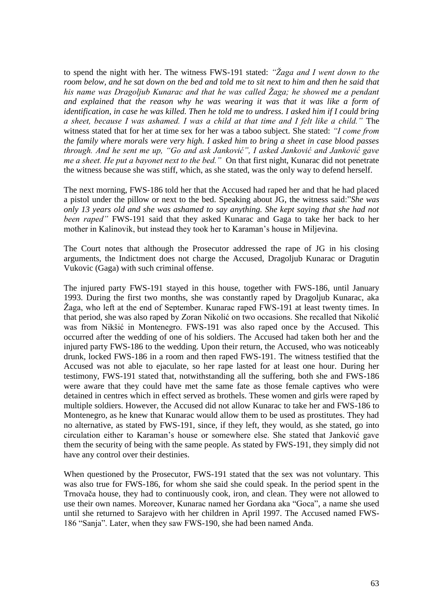to spend the night with her. The witness FWS-191 stated: *"Žaga and I went down to the room below, and he sat down on the bed and told me to sit next to him and then he said that his name was Dragoljub Kunarac and that he was called Žaga; he showed me a pendant and explained that the reason why he was wearing it was that it was like a form of identification, in case he was killed. Then he told me to undress. I asked him if I could bring a sheet, because I was ashamed. I was a child at that time and I felt like a child."* The witness stated that for her at time sex for her was a taboo subject*.* She stated: *"I come from the family where morals were very high. I asked him to bring a sheet in case blood passes through. And he sent me up, "Go and ask Janković", I asked Janković and Janković gave me a sheet. He put a bayonet next to the bed."* On that first night, Kunarac did not penetrate the witness because she was stiff, which, as she stated, was the only way to defend herself.

The next morning, FWS-186 told her that the Accused had raped her and that he had placed a pistol under the pillow or next to the bed. Speaking about JG, the witness said:"*She was only 13 years old and she was ashamed to say anything. She kept saying that she had not been raped"* FWS-191 said that they asked Kunarac and Gaga to take her back to her mother in Kalinovik, but instead they took her to Karaman's house in Miljevina.

The Court notes that although the Prosecutor addressed the rape of JG in his closing arguments, the Indictment does not charge the Accused, Dragoljub Kunarac or Dragutin Vukovic (Gaga) with such criminal offense.

The injured party FWS-191 stayed in this house, together with FWS-186, until January 1993. During the first two months, she was constantly raped by Dragoljub Kunarac, aka Žaga, who left at the end of September. Kunarac raped FWS-191 at least twenty times. In that period, she was also raped by Zoran Nikolić on two occasions. She recalled that Nikolić was from Nikšić in Montenegro. FWS-191 was also raped once by the Accused. This occurred after the wedding of one of his soldiers. The Accused had taken both her and the injured party FWS-186 to the wedding. Upon their return, the Accused, who was noticeably drunk, locked FWS-186 in a room and then raped FWS-191. The witness testified that the Accused was not able to ejaculate, so her rape lasted for at least one hour. During her testimony, FWS-191 stated that, notwithstanding all the suffering, both she and FWS-186 were aware that they could have met the same fate as those female captives who were detained in centres which in effect served as brothels. These women and girls were raped by multiple soldiers. However, the Accused did not allow Kunarac to take her and FWS-186 to Montenegro, as he knew that Kunarac would allow them to be used as prostitutes. They had no alternative, as stated by FWS-191, since, if they left, they would, as she stated, go into circulation either to Karaman's house or somewhere else. She stated that Janković gave them the security of being with the same people. As stated by FWS-191, they simply did not have any control over their destinies.

When questioned by the Prosecutor, FWS-191 stated that the sex was not voluntary. This was also true for FWS-186, for whom she said she could speak. In the period spent in the Trnovača house, they had to continuously cook, iron, and clean. They were not allowed to use their own names. Moreover, Kunarac named her Gordana aka "Goca", a name she used until she returned to Sarajevo with her children in April 1997. The Accused named FWS-186 "Sanja". Later, when they saw FWS-190, she had been named Anđa.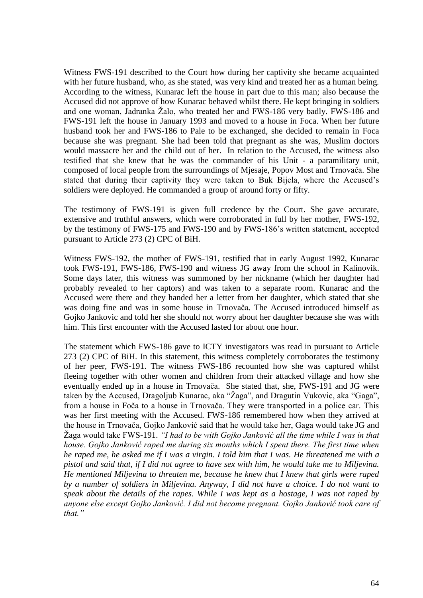Witness FWS-191 described to the Court how during her captivity she became acquainted with her future husband, who, as she stated, was very kind and treated her as a human being*.* According to the witness, Kunarac left the house in part due to this man; also because the Accused did not approve of how Kunarac behaved whilst there. He kept bringing in soldiers and one woman, Jadranka Žalo, who treated her and FWS-186 very badly. FWS-186 and FWS-191 left the house in January 1993 and moved to a house in Foca. When her future husband took her and FWS-186 to Pale to be exchanged, she decided to remain in Foca because she was pregnant. She had been told that pregnant as she was, Muslim doctors would massacre her and the child out of her. In relation to the Accused, the witness also testified that she knew that he was the commander of his Unit - a paramilitary unit, composed of local people from the surroundings of Mjesaje, Popov Most and Trnovača. She stated that during their captivity they were taken to Buk Bijela, where the Accused's soldiers were deployed. He commanded a group of around forty or fifty.

The testimony of FWS-191 is given full credence by the Court. She gave accurate, extensive and truthful answers, which were corroborated in full by her mother, FWS-192, by the testimony of FWS-175 and FWS-190 and by FWS-186's written statement, accepted pursuant to Article 273 (2) CPC of BiH.

Witness FWS-192, the mother of FWS-191, testified that in early August 1992, Kunarac took FWS-191, FWS-186, FWS-190 and witness JG away from the school in Kalinovik. Some days later, this witness was summoned by her nickname (which her daughter had probably revealed to her captors) and was taken to a separate room. Kunarac and the Accused were there and they handed her a letter from her daughter, which stated that she was doing fine and was in some house in Trnovača. The Accused introduced himself as Gojko Jankovic and told her she should not worry about her daughter because she was with him. This first encounter with the Accused lasted for about one hour.

The statement which FWS-186 gave to ICTY investigators was read in pursuant to Article 273 (2) CPC of BiH. In this statement, this witness completely corroborates the testimony of her peer, FWS-191. The witness FWS-186 recounted how she was captured whilst fleeing together with other women and children from their attacked village and how she eventually ended up in a house in Trnovača. She stated that, she, FWS-191 and JG were taken by the Accused, Dragoljub Kunarac, aka "Žaga", and Dragutin Vukovic, aka "Gaga", from a house in Foča to a house in Trnovača. They were transported in a police car. This was her first meeting with the Accused. FWS-186 remembered how when they arrived at the house in Trnovača, Gojko Janković said that he would take her, Gaga would take JG and Žaga would take FWS-191. *"I had to be with Gojko Janković all the time while I was in that house. Gojko Janković raped me during six months which I spent there. The first time when he raped me, he asked me if I was a virgin. I told him that I was. He threatened me with a pistol and said that, if I did not agree to have sex with him, he would take me to Miljevina. He mentioned Miljevina to threaten me, because he knew that I knew that girls were raped by a number of soldiers in Miljevina. Anyway, I did not have a choice. I do not want to speak about the details of the rapes. While I was kept as a hostage, I was not raped by anyone else except Gojko Janković. I did not become pregnant. Gojko Janković took care of that."*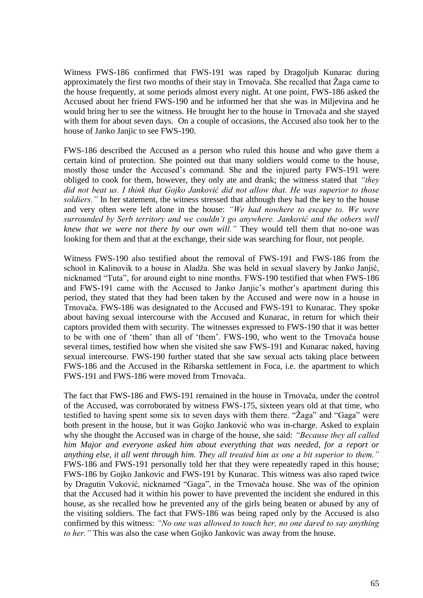Witness FWS-186 confirmed that FWS-191 was raped by Dragoljub Kunarac during approximately the first two months of their stay in Trnovača. She recalled that Žaga came to the house frequently, at some periods almost every night. At one point, FWS-186 asked the Accused about her friend FWS-190 and he informed her that she was in Miljevina and he would bring her to see the witness. He brought her to the house in Trnovača and she stayed with them for about seven days. On a couple of occasions, the Accused also took her to the house of Janko Janjic to see FWS-190.

FWS-186 described the Accused as a person who ruled this house and who gave them a certain kind of protection. She pointed out that many soldiers would come to the house, mostly those under the Accused's command. She and the injured party FWS-191 were obliged to cook for them, however, they only ate and drank; the witness stated that *"they did not beat us. I think that Gojko Janković did not allow that. He was superior to those soldiers."* In her statement, the witness stressed that although they had the key to the house and very often were left alone in the house: *"We had nowhere to escape to. We were surrounded by Serb territory and we couldn't go anywhere. Janković and the others well knew that we were not there by our own will."* They would tell them that no-one was looking for them and that at the exchange, their side was searching for flour, not people.

Witness FWS-190 also testified about the removal of FWS-191 and FWS-186 from the school in Kalinovik to a house in Aladža. She was held in sexual slavery by Janko Janjić, nicknamed "Tuta", for around eight to nine months. FWS-190 testified that when FWS-186 and FWS-191 came with the Accused to Janko Janjic's mother's apartment during this period, they stated that they had been taken by the Accused and were now in a house in Trnovača. FWS-186 was designated to the Accused and FWS-191 to Kunarac. They spoke about having sexual intercourse with the Accused and Kunarac, in return for which their captors provided them with security. The witnesses expressed to FWS-190 that it was better to be with one of 'them' than all of 'them'. FWS-190, who went to the Trnovača house several times, testified how when she visited she saw FWS-191 and Kunarac naked, having sexual intercourse. FWS-190 further stated that she saw sexual acts taking place between FWS-186 and the Accused in the Ribarska settlement in Foca, i.e. the apartment to which FWS-191 and FWS-186 were moved from Trnovača.

The fact that FWS-186 and FWS-191 remained in the house in Trnovača, under the control of the Accused, was corroborated by witness FWS-175, sixteen years old at that time, who testified to having spent some six to seven days with them there. "Žaga" and "Gaga" were both present in the house, but it was Gojko Janković who was in-charge. Asked to explain why she thought the Accused was in charge of the house, she said: *"Because they all called him Major and everyone asked him about everything that was needed, for a report or anything else, it all went through him. They all treated him as one a bit superior to them."* FWS-186 and FWS-191 personally told her that they were repeatedly raped in this house; FWS-186 by Gojko Jankovic and FWS-191 by Kunarac. This witness was also raped twice by Dragutin Vuković, nicknamed "Gaga", in the Trnovača house. She was of the opinion that the Accused had it within his power to have prevented the incident she endured in this house, as she recalled how he prevented any of the girls being beaten or abused by any of the visiting soldiers. The fact that FWS-186 was being raped only by the Accused is also confirmed by this witness: *"No one was allowed to touch her, no one dared to say anything to her."* This was also the case when Gojko Jankovic was away from the house.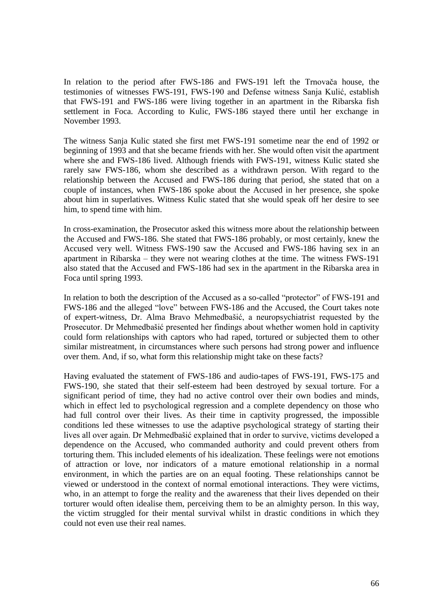In relation to the period after FWS-186 and FWS-191 left the Trnovača house, the testimonies of witnesses FWS-191, FWS-190 and Defense witness Sanja Kulić, establish that FWS-191 and FWS-186 were living together in an apartment in the Ribarska fish settlement in Foca. According to Kulic, FWS-186 stayed there until her exchange in November 1993.

The witness Sanja Kulic stated she first met FWS-191 sometime near the end of 1992 or beginning of 1993 and that she became friends with her. She would often visit the apartment where she and FWS-186 lived. Although friends with FWS-191, witness Kulic stated she rarely saw FWS-186, whom she described as a withdrawn person. With regard to the relationship between the Accused and FWS-186 during that period, she stated that on a couple of instances, when FWS-186 spoke about the Accused in her presence, she spoke about him in superlatives. Witness Kulic stated that she would speak off her desire to see him, to spend time with him.

In cross-examination, the Prosecutor asked this witness more about the relationship between the Accused and FWS-186. She stated that FWS-186 probably, or most certainly, knew the Accused very well. Witness FWS-190 saw the Accused and FWS-186 having sex in an apartment in Ribarska – they were not wearing clothes at the time. The witness FWS-191 also stated that the Accused and FWS-186 had sex in the apartment in the Ribarska area in Foca until spring 1993.

In relation to both the description of the Accused as a so-called "protector" of FWS-191 and FWS-186 and the alleged "love" between FWS-186 and the Accused, the Court takes note of expert-witness, Dr. Alma Bravo Mehmedbašić, a neuropsychiatrist requested by the Prosecutor. Dr Mehmedbašić presented her findings about whether women hold in captivity could form relationships with captors who had raped, tortured or subjected them to other similar mistreatment, in circumstances where such persons had strong power and influence over them. And, if so, what form this relationship might take on these facts?

Having evaluated the statement of FWS-186 and audio-tapes of FWS-191, FWS-175 and FWS-190, she stated that their self-esteem had been destroyed by sexual torture. For a significant period of time, they had no active control over their own bodies and minds, which in effect led to psychological regression and a complete dependency on those who had full control over their lives. As their time in captivity progressed, the impossible conditions led these witnesses to use the adaptive psychological strategy of starting their lives all over again. Dr Mehmedbašić explained that in order to survive, victims developed a dependence on the Accused, who commanded authority and could prevent others from torturing them. This included elements of his idealization. These feelings were not emotions of attraction or love, nor indicators of a mature emotional relationship in a normal environment, in which the parties are on an equal footing. These relationships cannot be viewed or understood in the context of normal emotional interactions. They were victims, who, in an attempt to forge the reality and the awareness that their lives depended on their torturer would often idealise them, perceiving them to be an almighty person. In this way, the victim struggled for their mental survival whilst in drastic conditions in which they could not even use their real names.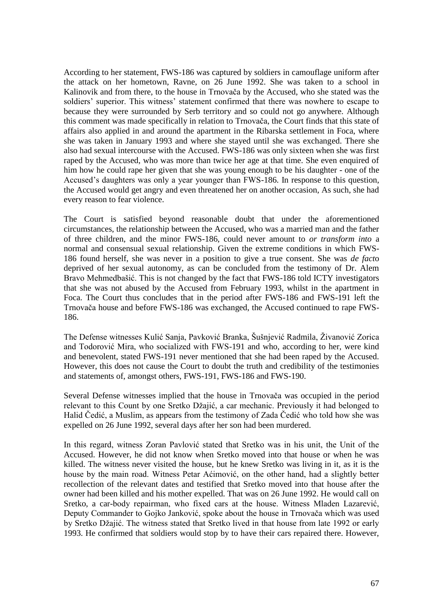According to her statement, FWS-186 was captured by soldiers in camouflage uniform after the attack on her hometown, Ravne, on 26 June 1992. She was taken to a school in Kalinovik and from there, to the house in Trnovača by the Accused, who she stated was the soldiers' superior. This witness' statement confirmed that there was nowhere to escape to because they were surrounded by Serb territory and so could not go anywhere. Although this comment was made specifically in relation to Trnovača, the Court finds that this state of affairs also applied in and around the apartment in the Ribarska settlement in Foca, where she was taken in January 1993 and where she stayed until she was exchanged. There she also had sexual intercourse with the Accused. FWS-186 was only sixteen when she was first raped by the Accused, who was more than twice her age at that time. She even enquired of him how he could rape her given that she was young enough to be his daughter - one of the Accused's daughters was only a year younger than FWS-186. In response to this question, the Accused would get angry and even threatened her on another occasion, As such, she had every reason to fear violence.

The Court is satisfied beyond reasonable doubt that under the aforementioned circumstances, the relationship between the Accused, who was a married man and the father of three children, and the minor FWS-186, could never amount to *or transform into* a normal and consensual sexual relationship. Given the extreme conditions in which FWS-186 found herself, she was never in a position to give a true consent. She was *de fact*o deprived of her sexual autonomy, as can be concluded from the testimony of Dr. Alem Bravo Mehmedbašić. This is not changed by the fact that FWS-186 told ICTY investigators that she was not abused by the Accused from February 1993, whilst in the apartment in Foca. The Court thus concludes that in the period after FWS-186 and FWS-191 left the Trnovača house and before FWS-186 was exchanged, the Accused continued to rape FWS-186.

The Defense witnesses Kulić Sanja, Pavković Branka, Šušnjević Radmila, Živanović Zorica and Todorović Mira, who socialized with FWS-191 and who, according to her, were kind and benevolent, stated FWS-191 never mentioned that she had been raped by the Accused. However, this does not cause the Court to doubt the truth and credibility of the testimonies and statements of, amongst others, FWS-191, FWS-186 and FWS-190.

Several Defense witnesses implied that the house in Trnovača was occupied in the period relevant to this Count by one Sretko Džajić, a car mechanic. Previously it had belonged to Halid Čedić, a Muslim, as appears from the testimony of Zada Čedić who told how she was expelled on 26 June 1992, several days after her son had been murdered.

In this regard, witness Zoran Pavlović stated that Sretko was in his unit, the Unit of the Accused. However, he did not know when Sretko moved into that house or when he was killed. The witness never visited the house, but he knew Sretko was living in it, as it is the house by the main road. Witness Petar Aćimović, on the other hand, had a slightly better recollection of the relevant dates and testified that Sretko moved into that house after the owner had been killed and his mother expelled. That was on 26 June 1992. He would call on Sretko, a car-body repairman, who fixed cars at the house. Witness Mladen Lazarević, Deputy Commander to Gojko Janković, spoke about the house in Trnovača which was used by Sretko Džajić. The witness stated that Sretko lived in that house from late 1992 or early 1993. He confirmed that soldiers would stop by to have their cars repaired there. However,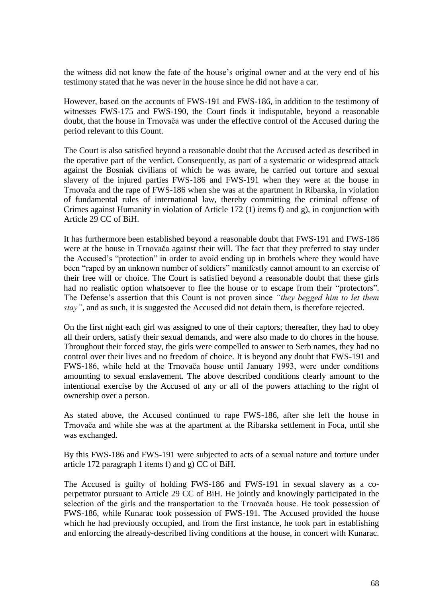the witness did not know the fate of the house's original owner and at the very end of his testimony stated that he was never in the house since he did not have a car.

However, based on the accounts of FWS-191 and FWS-186, in addition to the testimony of witnesses FWS-175 and FWS-190, the Court finds it indisputable, beyond a reasonable doubt, that the house in Trnovača was under the effective control of the Accused during the period relevant to this Count.

The Court is also satisfied beyond a reasonable doubt that the Accused acted as described in the operative part of the verdict. Consequently, as part of a systematic or widespread attack against the Bosniak civilians of which he was aware, he carried out torture and sexual slavery of the injured parties FWS-186 and FWS-191 when they were at the house in Trnovača and the rape of FWS-186 when she was at the apartment in Ribarska, in violation of fundamental rules of international law, thereby committing the criminal offense of Crimes against Humanity in violation of Article 172 (1) items f) and g), in conjunction with Article 29 CC of BiH.

It has furthermore been established beyond a reasonable doubt that FWS-191 and FWS-186 were at the house in Trnovača against their will. The fact that they preferred to stay under the Accused's "protection" in order to avoid ending up in brothels where they would have been "raped by an unknown number of soldiers" manifestly cannot amount to an exercise of their free will or choice. The Court is satisfied beyond a reasonable doubt that these girls had no realistic option whatsoever to flee the house or to escape from their "protectors". The Defense's assertion that this Count is not proven since *"they begged him to let them stay"*, and as such, it is suggested the Accused did not detain them, is therefore rejected.

On the first night each girl was assigned to one of their captors; thereafter, they had to obey all their orders, satisfy their sexual demands, and were also made to do chores in the house. Throughout their forced stay, the girls were compelled to answer to Serb names, they had no control over their lives and no freedom of choice. It is beyond any doubt that FWS-191 and FWS-186, while held at the Trnovača house until January 1993, were under conditions amounting to sexual enslavement. The above described conditions clearly amount to the intentional exercise by the Accused of any or all of the powers attaching to the right of ownership over a person.

As stated above, the Accused continued to rape FWS-186, after she left the house in Trnovača and while she was at the apartment at the Ribarska settlement in Foca, until she was exchanged.

By this FWS-186 and FWS-191 were subjected to acts of a sexual nature and torture under article 172 paragraph 1 items f) and g) CC of BiH.

The Accused is guilty of holding FWS-186 and FWS-191 in sexual slavery as a coperpetrator pursuant to Article 29 CC of BiH. He jointly and knowingly participated in the selection of the girls and the transportation to the Trnovača house. He took possession of FWS-186, while Kunarac took possession of FWS-191. The Accused provided the house which he had previously occupied, and from the first instance, he took part in establishing and enforcing the already-described living conditions at the house, in concert with Kunarac.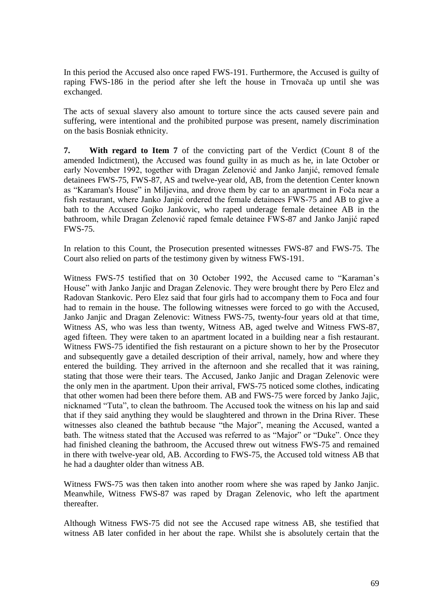In this period the Accused also once raped FWS-191. Furthermore, the Accused is guilty of raping FWS-186 in the period after she left the house in Trnovača up until she was exchanged.

The acts of sexual slavery also amount to torture since the acts caused severe pain and suffering, were intentional and the prohibited purpose was present, namely discrimination on the basis Bosniak ethnicity.

**7. With regard to Item 7** of the convicting part of the Verdict (Count 8 of the amended Indictment), the Accused was found guilty in as much as he, in late October or early November 1992, together with Dragan Zelenović and Janko Janjić, removed female detainees FWS-75, FWS-87, AS and twelve-year old, AB, from the detention Center known as "Karaman's House" in Miljevina, and drove them by car to an apartment in Foča near a fish restaurant, where Janko Janjić ordered the female detainees FWS-75 and AB to give a bath to the Accused Gojko Jankovic, who raped underage female detainee AB in the bathroom, while Dragan Zelenović raped female detainee FWS-87 and Janko Janjić raped FWS-75.

In relation to this Count, the Prosecution presented witnesses FWS-87 and FWS-75. The Court also relied on parts of the testimony given by witness FWS-191.

Witness FWS-75 testified that on 30 October 1992, the Accused came to "Karaman's House" with Janko Janjic and Dragan Zelenovic. They were brought there by Pero Elez and Radovan Stankovic. Pero Elez said that four girls had to accompany them to Foca and four had to remain in the house. The following witnesses were forced to go with the Accused, Janko Janjic and Dragan Zelenovic: Witness FWS-75, twenty-four years old at that time, Witness AS, who was less than twenty, Witness AB, aged twelve and Witness FWS-87, aged fifteen. They were taken to an apartment located in a building near a fish restaurant. Witness FWS-75 identified the fish restaurant on a picture shown to her by the Prosecutor and subsequently gave a detailed description of their arrival, namely, how and where they entered the building. They arrived in the afternoon and she recalled that it was raining, stating that those were their tears. The Accused, Janko Janjic and Dragan Zelenovic were the only men in the apartment. Upon their arrival, FWS-75 noticed some clothes, indicating that other women had been there before them. AB and FWS-75 were forced by Janko Jajic, nicknamed "Tuta", to clean the bathroom. The Accused took the witness on his lap and said that if they said anything they would be slaughtered and thrown in the Drina River. These witnesses also cleaned the bathtub because "the Major", meaning the Accused, wanted a bath. The witness stated that the Accused was referred to as "Major" or "Duke". Once they had finished cleaning the bathroom, the Accused threw out witness FWS-75 and remained in there with twelve-year old, AB. According to FWS-75, the Accused told witness AB that he had a daughter older than witness AB.

Witness FWS-75 was then taken into another room where she was raped by Janko Janjic. Meanwhile, Witness FWS-87 was raped by Dragan Zelenovic, who left the apartment thereafter.

Although Witness FWS-75 did not see the Accused rape witness AB, she testified that witness AB later confided in her about the rape. Whilst she is absolutely certain that the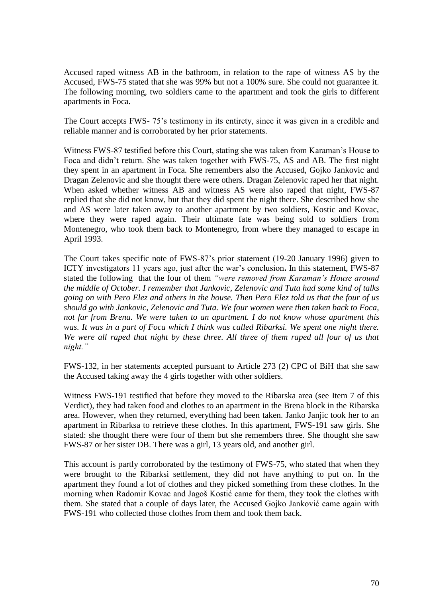Accused raped witness AB in the bathroom, in relation to the rape of witness AS by the Accused, FWS-75 stated that she was 99% but not a 100% sure. She could not guarantee it. The following morning, two soldiers came to the apartment and took the girls to different apartments in Foca.

The Court accepts FWS- 75's testimony in its entirety, since it was given in a credible and reliable manner and is corroborated by her prior statements.

Witness FWS-87 testified before this Court, stating she was taken from Karaman's House to Foca and didn't return. She was taken together with FWS-75, AS and AB. The first night they spent in an apartment in Foca. She remembers also the Accused, Gojko Jankovic and Dragan Zelenovic and she thought there were others. Dragan Zelenovic raped her that night*.* When asked whether witness AB and witness AS were also raped that night, FWS-87 replied that she did not know, but that they did spent the night there. She described how she and AS were later taken away to another apartment by two soldiers, Kostic and Kovac, where they were raped again. Their ultimate fate was being sold to soldiers from Montenegro, who took them back to Montenegro, from where they managed to escape in April 1993.

The Court takes specific note of FWS-87's prior statement (19-20 January 1996) given to ICTY investigators 11 years ago, just after the war's conclusion**.** In this statement, FWS-87 stated the following that the four of them *"were removed from Karaman's House around the middle of October. I remember that Jankovic, Zelenovic and Tuta had some kind of talks going on with Pero Elez and others in the house. Then Pero Elez told us that the four of us should go with Jankovic, Zelenovic and Tuta. We four women were then taken back to Foca, not far from Brena. We were taken to an apartment. I do not know whose apartment this*  was. It was in a part of Foca which I think was called Ribarksi. We spent one night there. *We were all raped that night by these three. All three of them raped all four of us that night."*

FWS-132, in her statements accepted pursuant to Article 273 (2) CPC of BiH that she saw the Accused taking away the 4 girls together with other soldiers.

Witness FWS-191 testified that before they moved to the Ribarska area (see Item 7 of this Verdict), they had taken food and clothes to an apartment in the Brena block in the Ribarska area. However, when they returned, everything had been taken. Janko Janjic took her to an apartment in Ribarksa to retrieve these clothes. In this apartment, FWS-191 saw girls. She stated: she thought there were four of them but she remembers three. She thought she saw FWS-87 or her sister DB. There was a girl, 13 years old, and another girl.

This account is partly corroborated by the testimony of FWS-75, who stated that when they were brought to the Ribarksi settlement, they did not have anything to put on. In the apartment they found a lot of clothes and they picked something from these clothes. In the morning when Radomir Kovac and Jagoš Kostić came for them, they took the clothes with them. She stated that a couple of days later, the Accused Gojko Janković came again with FWS-191 who collected those clothes from them and took them back.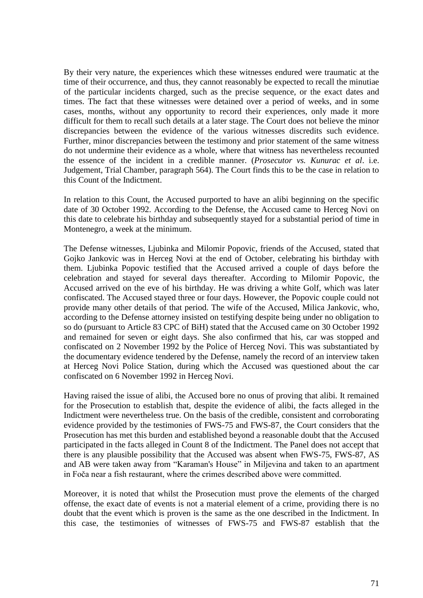By their very nature, the experiences which these witnesses endured were traumatic at the time of their occurrence, and thus, they cannot reasonably be expected to recall the minutiae of the particular incidents charged, such as the precise sequence, or the exact dates and times. The fact that these witnesses were detained over a period of weeks, and in some cases, months, without any opportunity to record their experiences, only made it more difficult for them to recall such details at a later stage. The Court does not believe the minor discrepancies between the evidence of the various witnesses discredits such evidence. Further, minor discrepancies between the testimony and prior statement of the same witness do not undermine their evidence as a whole, where that witness has nevertheless recounted the essence of the incident in a credible manner. (*Prosecutor vs. Kunurac et al*. i.e. Judgement, Trial Chamber, paragraph 564). The Court finds this to be the case in relation to this Count of the Indictment.

In relation to this Count, the Accused purported to have an alibi beginning on the specific date of 30 October 1992. According to the Defense, the Accused came to Herceg Novi on this date to celebrate his birthday and subsequently stayed for a substantial period of time in Montenegro, a week at the minimum.

The Defense witnesses, Ljubinka and Milomir Popovic, friends of the Accused, stated that Gojko Jankovic was in Herceg Novi at the end of October, celebrating his birthday with them. Ljubinka Popovic testified that the Accused arrived a couple of days before the celebration and stayed for several days thereafter. According to Milomir Popovic, the Accused arrived on the eve of his birthday. He was driving a white Golf, which was later confiscated. The Accused stayed three or four days. However, the Popovic couple could not provide many other details of that period. The wife of the Accused, Milica Jankovic, who, according to the Defense attorney insisted on testifying despite being under no obligation to so do (pursuant to Article 83 CPC of BiH) stated that the Accused came on 30 October 1992 and remained for seven or eight days. She also confirmed that his, car was stopped and confiscated on 2 November 1992 by the Police of Herceg Novi. This was substantiated by the documentary evidence tendered by the Defense, namely the record of an interview taken at Herceg Novi Police Station, during which the Accused was questioned about the car confiscated on 6 November 1992 in Herceg Novi.

Having raised the issue of alibi, the Accused bore no onus of proving that alibi. It remained for the Prosecution to establish that, despite the evidence of alibi, the facts alleged in the Indictment were nevertheless true. On the basis of the credible, consistent and corroborating evidence provided by the testimonies of FWS-75 and FWS-87, the Court considers that the Prosecution has met this burden and established beyond a reasonable doubt that the Accused participated in the facts alleged in Count 8 of the Indictment. The Panel does not accept that there is any plausible possibility that the Accused was absent when FWS-75, FWS-87, AS and AB were taken away from "Karaman's House" in Miljevina and taken to an apartment in Foča near a fish restaurant, where the crimes described above were committed.

Moreover, it is noted that whilst the Prosecution must prove the elements of the charged offense, the exact date of events is not a material element of a crime, providing there is no doubt that the event which is proven is the same as the one described in the Indictment. In this case, the testimonies of witnesses of FWS-75 and FWS-87 establish that the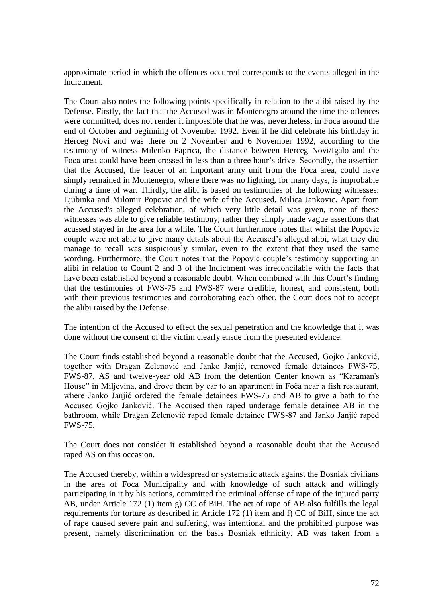approximate period in which the offences occurred corresponds to the events alleged in the Indictment.

The Court also notes the following points specifically in relation to the alibi raised by the Defense. Firstly, the fact that the Accused was in Montenegro around the time the offences were committed, does not render it impossible that he was, nevertheless, in Foca around the end of October and beginning of November 1992. Even if he did celebrate his birthday in Herceg Novi and was there on 2 November and 6 November 1992, according to the testimony of witness Milenko Paprica, the distance between Herceg Novi/Igalo and the Foca area could have been crossed in less than a three hour's drive. Secondly, the assertion that the Accused, the leader of an important army unit from the Foca area, could have simply remained in Montenegro, where there was no fighting, for many days, is improbable during a time of war. Thirdly, the alibi is based on testimonies of the following witnesses: Ljubinka and Milomir Popovic and the wife of the Accused, Milica Jankovic. Apart from the Accused's alleged celebration, of which very little detail was given, none of these witnesses was able to give reliable testimony; rather they simply made vague assertions that acussed stayed in the area for a while. The Court furthermore notes that whilst the Popovic couple were not able to give many details about the Accused's alleged alibi, what they did manage to recall was suspiciously similar, even to the extent that they used the same wording. Furthermore, the Court notes that the Popovic couple's testimony supporting an alibi in relation to Count 2 and 3 of the Indictment was irreconcilable with the facts that have been established beyond a reasonable doubt. When combined with this Court's finding that the testimonies of FWS-75 and FWS-87 were credible, honest, and consistent, both with their previous testimonies and corroborating each other, the Court does not to accept the alibi raised by the Defense.

The intention of the Accused to effect the sexual penetration and the knowledge that it was done without the consent of the victim clearly ensue from the presented evidence.

The Court finds established beyond a reasonable doubt that the Accused, Gojko Janković, together with Dragan Zelenović and Janko Janjić, removed female detainees FWS-75, FWS-87, AS and twelve-year old AB from the detention Center known as "Karaman's House" in Miljevina, and drove them by car to an apartment in Foča near a fish restaurant, where Janko Janjić ordered the female detainees FWS-75 and AB to give a bath to the Accused Gojko Janković. The Accused then raped underage female detainee AB in the bathroom, while Dragan Zelenović raped female detainee FWS-87 and Janko Janjić raped FWS-75.

The Court does not consider it established beyond a reasonable doubt that the Accused raped AS on this occasion.

The Accused thereby, within a widespread or systematic attack against the Bosniak civilians in the area of Foca Municipality and with knowledge of such attack and willingly participating in it by his actions, committed the criminal offense of rape of the injured party AB, under Article 172 (1) item g) CC of BiH. The act of rape of AB also fulfills the legal requirements for torture as described in Article 172 (1) item and f) CC of BiH, since the act of rape caused severe pain and suffering, was intentional and the prohibited purpose was present, namely discrimination on the basis Bosniak ethnicity. AB was taken from a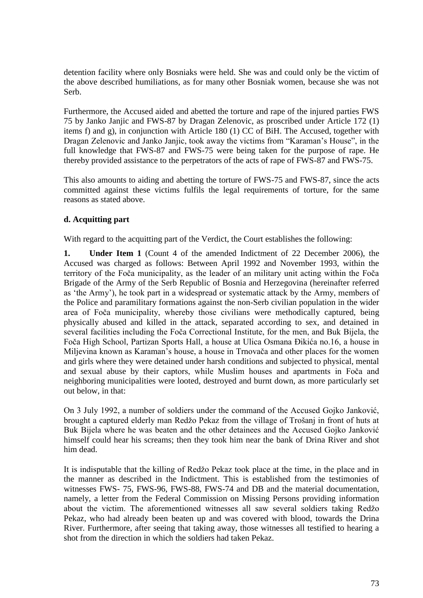detention facility where only Bosniaks were held. She was and could only be the victim of the above described humiliations, as for many other Bosniak women, because she was not Serb.

Furthermore, the Accused aided and abetted the torture and rape of the injured parties FWS 75 by Janko Janjic and FWS-87 by Dragan Zelenovic, as proscribed under Article 172 (1) items f) and g), in conjunction with Article 180 (1) CC of BiH. The Accused, together with Dragan Zelenovic and Janko Janjic, took away the victims from "Karaman's House", in the full knowledge that FWS-87 and FWS-75 were being taken for the purpose of rape. He thereby provided assistance to the perpetrators of the acts of rape of FWS-87 and FWS-75.

This also amounts to aiding and abetting the torture of FWS-75 and FWS-87, since the acts committed against these victims fulfils the legal requirements of torture, for the same reasons as stated above.

## **d. Acquitting part**

With regard to the acquitting part of the Verdict, the Court establishes the following:

**1. Under Item 1** (Count 4 of the amended Indictment of 22 December 2006), the Accused was charged as follows: Between April 1992 and November 1993, within the territory of the Foča municipality, as the leader of an military unit acting within the Foča Brigade of the Army of the Serb Republic of Bosnia and Herzegovina (hereinafter referred as 'the Army'), he took part in a widespread or systematic attack by the Army, members of the Police and paramilitary formations against the non-Serb civilian population in the wider area of Foča municipality, whereby those civilians were methodically captured, being physically abused and killed in the attack, separated according to sex, and detained in several facilities including the Foča Correctional Institute, for the men, and Buk Bijela, the Foča High School, Partizan Sports Hall, a house at Ulica Osmana Đikića no.16, a house in Miljevina known as Karaman's house, a house in Trnovača and other places for the women and girls where they were detained under harsh conditions and subjected to physical, mental and sexual abuse by their captors, while Muslim houses and apartments in Foča and neighboring municipalities were looted, destroyed and burnt down, as more particularly set out below, in that:

On 3 July 1992, a number of soldiers under the command of the Accused Gojko Janković, brought a captured elderly man Redžo Pekaz from the village of Trošanj in front of huts at Buk Bijela where he was beaten and the other detainees and the Accused Gojko Janković himself could hear his screams; then they took him near the bank of Drina River and shot him dead.

It is indisputable that the killing of Redžo Pekaz took place at the time, in the place and in the manner as described in the Indictment. This is established from the testimonies of witnesses FWS- 75, FWS-96, FWS-88, FWS-74 and DB and the material documentation, namely, a letter from the Federal Commission on Missing Persons providing information about the victim. The aforementioned witnesses all saw several soldiers taking Redžo Pekaz, who had already been beaten up and was covered with blood, towards the Drina River. Furthermore, after seeing that taking away, those witnesses all testified to hearing a shot from the direction in which the soldiers had taken Pekaz.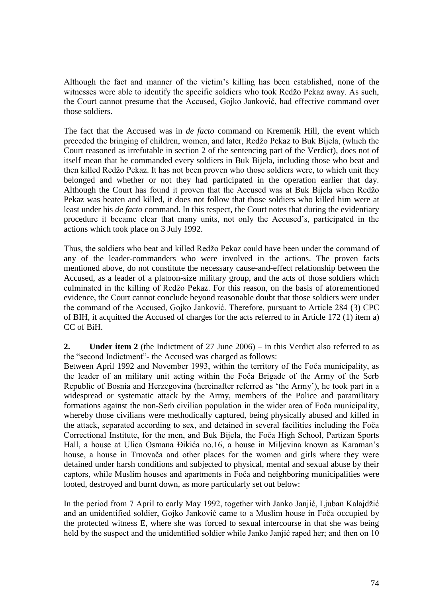Although the fact and manner of the victim's killing has been established, none of the witnesses were able to identify the specific soldiers who took Redžo Pekaz away. As such, the Court cannot presume that the Accused, Gojko Janković, had effective command over those soldiers.

The fact that the Accused was in *de facto* command on Kremenik Hill, the event which preceded the bringing of children, women, and later, Redžo Pekaz to Buk Bijela, (which the Court reasoned as irrefutable in section 2 of the sentencing part of the Verdict), does not of itself mean that he commanded every soldiers in Buk Bijela, including those who beat and then killed Redžo Pekaz. It has not been proven who those soldiers were, to which unit they belonged and whether or not they had participated in the operation earlier that day. Although the Court has found it proven that the Accused was at Buk Bijela when Redžo Pekaz was beaten and killed, it does not follow that those soldiers who killed him were at least under his *de facto* command. In this respect, the Court notes that during the evidentiary procedure it became clear that many units, not only the Accused's, participated in the actions which took place on 3 July 1992.

Thus, the soldiers who beat and killed Redžo Pekaz could have been under the command of any of the leader-commanders who were involved in the actions. The proven facts mentioned above, do not constitute the necessary cause-and-effect relationship between the Accused, as a leader of a platoon-size military group, and the acts of those soldiers which culminated in the killing of Redžo Pekaz. For this reason, on the basis of aforementioned evidence, the Court cannot conclude beyond reasonable doubt that those soldiers were under the command of the Accused, Gojko Janković. Therefore, pursuant to Article 284 (3) CPC of BIH, it acquitted the Accused of charges for the acts referred to in Article 172 (1) item a) CC of BiH.

**2. Under item 2** (the Indictment of 27 June 2006) – in this Verdict also referred to as the "second Indictment"- the Accused was charged as follows:

Between April 1992 and November 1993, within the territory of the Foča municipality, as the leader of an military unit acting within the Foča Brigade of the Army of the Serb Republic of Bosnia and Herzegovina (hereinafter referred as 'the Army'), he took part in a widespread or systematic attack by the Army, members of the Police and paramilitary formations against the non-Serb civilian population in the wider area of Foča municipality, whereby those civilians were methodically captured, being physically abused and killed in the attack, separated according to sex, and detained in several facilities including the Foča Correctional Institute, for the men, and Buk Bijela, the Foča High School, Partizan Sports Hall, a house at Ulica Osmana Đikića no.16, a house in Miljevina known as Karaman's house, a house in Trnovača and other places for the women and girls where they were detained under harsh conditions and subjected to physical, mental and sexual abuse by their captors, while Muslim houses and apartments in Foča and neighboring municipalities were looted, destroyed and burnt down, as more particularly set out below:

In the period from 7 April to early May 1992, together with Janko Janjić, Ljuban Kalajdžić and an unidentified soldier, Gojko Janković came to a Muslim house in Foča occupied by the protected witness E, where she was forced to sexual intercourse in that she was being held by the suspect and the unidentified soldier while Janko Janjić raped her; and then on 10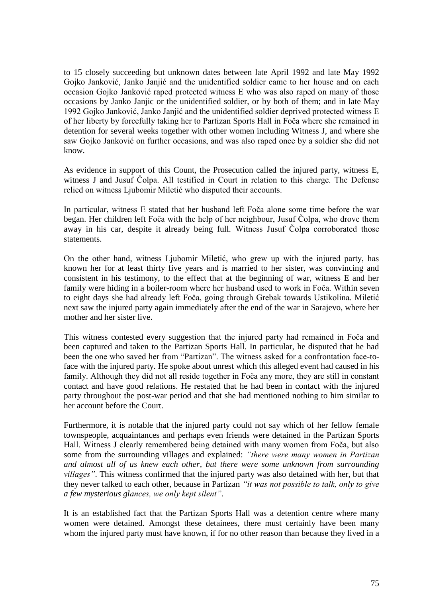to 15 closely succeeding but unknown dates between late April 1992 and late May 1992 Gojko Janković, Janko Janjić and the unidentified soldier came to her house and on each occasion Gojko Janković raped protected witness E who was also raped on many of those occasions by Janko Janjic or the unidentified soldier, or by both of them; and in late May 1992 Gojko Janković, Janko Janjić and the unidentified soldier deprived protected witness E of her liberty by forcefully taking her to Partizan Sports Hall in Foča where she remained in detention for several weeks together with other women including Witness J, and where she saw Gojko Janković on further occasions, and was also raped once by a soldier she did not know.

As evidence in support of this Count, the Prosecution called the injured party, witness E, witness J and Jusuf Čolpa. All testified in Court in relation to this charge. The Defense relied on witness Ljubomir Miletić who disputed their accounts.

In particular, witness E stated that her husband left Foča alone some time before the war began. Her children left Foča with the help of her neighbour, Jusuf Čolpa, who drove them away in his car, despite it already being full. Witness Jusuf Čolpa corroborated those statements.

On the other hand, witness Ljubomir Miletić, who grew up with the injured party, has known her for at least thirty five years and is married to her sister, was convincing and consistent in his testimony, to the effect that at the beginning of war, witness E and her family were hiding in a boiler-room where her husband used to work in Foča. Within seven to eight days she had already left Foča, going through Grebak towards Ustikolina. Miletić next saw the injured party again immediately after the end of the war in Sarajevo, where her mother and her sister live.

This witness contested every suggestion that the injured party had remained in Foča and been captured and taken to the Partizan Sports Hall. In particular, he disputed that he had been the one who saved her from "Partizan". The witness asked for a confrontation face-toface with the injured party. He spoke about unrest which this alleged event had caused in his family. Although they did not all reside together in Foča any more, they are still in constant contact and have good relations. He restated that he had been in contact with the injured party throughout the post-war period and that she had mentioned nothing to him similar to her account before the Court.

Furthermore, it is notable that the injured party could not say which of her fellow female townspeople, acquaintances and perhaps even friends were detained in the Partizan Sports Hall. Witness J clearly remembered being detained with many women from Foča, but also some from the surrounding villages and explained: *"there were many women in Partizan and almost all of us knew each other, but there were some unknown from surrounding villages"*. This witness confirmed that the injured party was also detained with her, but that they never talked to each other, because in Partizan *"it was not possible to talk, only to give a few mysterious glances, we only kept silent"*.

It is an established fact that the Partizan Sports Hall was a detention centre where many women were detained. Amongst these detainees, there must certainly have been many whom the injured party must have known, if for no other reason than because they lived in a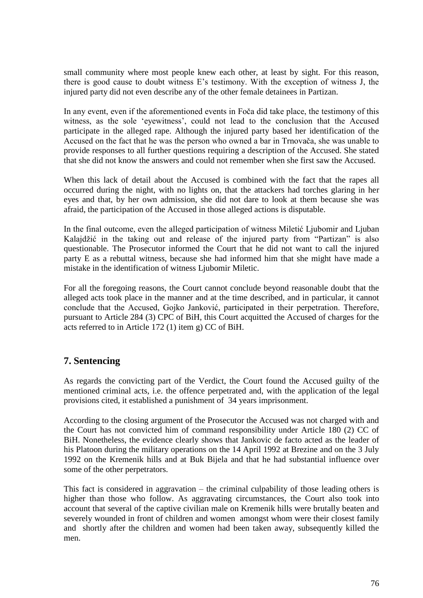small community where most people knew each other, at least by sight. For this reason, there is good cause to doubt witness E's testimony. With the exception of witness J, the injured party did not even describe any of the other female detainees in Partizan.

In any event, even if the aforementioned events in Foča did take place, the testimony of this witness, as the sole 'eyewitness', could not lead to the conclusion that the Accused participate in the alleged rape. Although the injured party based her identification of the Accused on the fact that he was the person who owned a bar in Trnovača, she was unable to provide responses to all further questions requiring a description of the Accused. She stated that she did not know the answers and could not remember when she first saw the Accused.

When this lack of detail about the Accused is combined with the fact that the rapes all occurred during the night, with no lights on, that the attackers had torches glaring in her eyes and that, by her own admission, she did not dare to look at them because she was afraid, the participation of the Accused in those alleged actions is disputable.

In the final outcome, even the alleged participation of witness Miletić Ljubomir and Ljuban Kalajdžić in the taking out and release of the injured party from "Partizan" is also questionable. The Prosecutor informed the Court that he did not want to call the injured party E as a rebuttal witness, because she had informed him that she might have made a mistake in the identification of witness Ljubomir Miletic.

For all the foregoing reasons, the Court cannot conclude beyond reasonable doubt that the alleged acts took place in the manner and at the time described, and in particular, it cannot conclude that the Accused, Gojko Janković, participated in their perpetration. Therefore, pursuant to Article 284 (3) CPC of BiH, this Court acquitted the Accused of charges for the acts referred to in Article 172 (1) item g) CC of BiH.

## **7. Sentencing**

As regards the convicting part of the Verdict, the Court found the Accused guilty of the mentioned criminal acts, i.e. the offence perpetrated and, with the application of the legal provisions cited, it established a punishment of 34 years imprisonment.

According to the closing argument of the Prosecutor the Accused was not charged with and the Court has not convicted him of command responsibility under Article 180 (2) CC of BiH. Nonetheless, the evidence clearly shows that Jankovic de facto acted as the leader of his Platoon during the military operations on the 14 April 1992 at Brezine and on the 3 July 1992 on the Kremenik hills and at Buk Bijela and that he had substantial influence over some of the other perpetrators.

This fact is considered in aggravation – the criminal culpability of those leading others is higher than those who follow. As aggravating circumstances, the Court also took into account that several of the captive civilian male on Kremenik hills were brutally beaten and severely wounded in front of children and women amongst whom were their closest family and shortly after the children and women had been taken away, subsequently killed the men.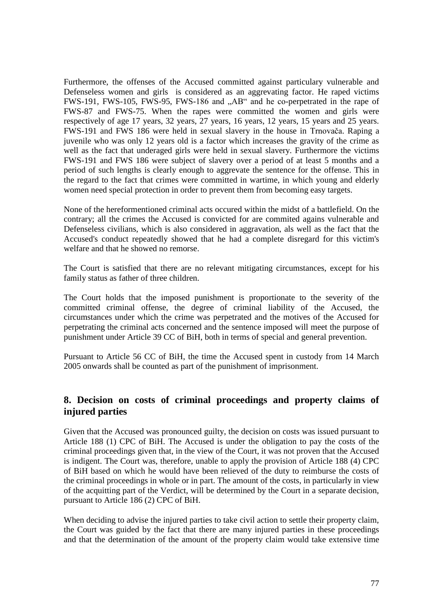Furthermore, the offenses of the Accused committed against particulary vulnerable and Defenseless women and girls is considered as an aggrevating factor. He raped victims FWS-191, FWS-105, FWS-95, FWS-186 and "AB" and he co-perpetrated in the rape of FWS-87 and FWS-75. When the rapes were committed the women and girls were respectively of age 17 years, 32 years, 27 years, 16 years, 12 years, 15 years and 25 years. FWS-191 and FWS 186 were held in sexual slavery in the house in Trnovača. Raping a juvenile who was only 12 years old is a factor which increases the gravity of the crime as well as the fact that underaged girls were held in sexual slavery. Furthermore the victims FWS-191 and FWS 186 were subject of slavery over a period of at least 5 months and a period of such lengths is clearly enough to aggrevate the sentence for the offense. This in the regard to the fact that crimes were committed in wartime, in which young and elderly women need special protection in order to prevent them from becoming easy targets.

None of the hereformentioned criminal acts occured within the midst of a battlefield. On the contrary; all the crimes the Accused is convicted for are commited agains vulnerable and Defenseless civilians, which is also considered in aggravation, als well as the fact that the Accused's conduct repeatedly showed that he had a complete disregard for this victim's welfare and that he showed no remorse.

The Court is satisfied that there are no relevant mitigating circumstances, except for his family status as father of three children.

The Court holds that the imposed punishment is proportionate to the severity of the committed criminal offense, the degree of criminal liability of the Accused, the circumstances under which the crime was perpetrated and the motives of the Accused for perpetrating the criminal acts concerned and the sentence imposed will meet the purpose of punishment under Article 39 CC of BiH, both in terms of special and general prevention.

Pursuant to Article 56 CC of BiH, the time the Accused spent in custody from 14 March 2005 onwards shall be counted as part of the punishment of imprisonment.

## **8. Decision on costs of criminal proceedings and property claims of injured parties**

Given that the Accused was pronounced guilty, the decision on costs was issued pursuant to Article 188 (1) CPC of BiH. The Accused is under the obligation to pay the costs of the criminal proceedings given that, in the view of the Court, it was not proven that the Accused is indigent. The Court was, therefore, unable to apply the provision of Article 188 (4) CPC of BiH based on which he would have been relieved of the duty to reimburse the costs of the criminal proceedings in whole or in part. The amount of the costs, in particularly in view of the acquitting part of the Verdict, will be determined by the Court in a separate decision, pursuant to Article 186 (2) CPC of BiH.

When deciding to advise the injured parties to take civil action to settle their property claim, the Court was guided by the fact that there are many injured parties in these proceedings and that the determination of the amount of the property claim would take extensive time